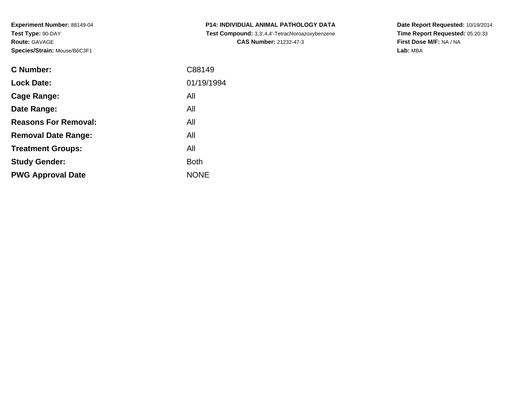**Experiment Number:** 88149-04**Test Type:** 90-DAY**Route:** GAVAGE**Species/Strain:** Mouse/B6C3F1

| <b>C Number:</b>            | C88149      |
|-----------------------------|-------------|
| <b>Lock Date:</b>           | 01/19/1994  |
| Cage Range:                 | All         |
| Date Range:                 | All         |
| <b>Reasons For Removal:</b> | All         |
| <b>Removal Date Range:</b>  | All         |
| <b>Treatment Groups:</b>    | All         |
| <b>Study Gender:</b>        | <b>Both</b> |
| <b>PWG Approval Date</b>    | <b>NONE</b> |
|                             |             |

**P14: INDIVIDUAL ANIMAL PATHOLOGY DATA Test Compound:** 3,3',4,4'-Tetrachloroazoxybenzene**CAS Number:** 21232-47-3

**Date Report Requested:** 10/19/2014 **Time Report Requested:** 05:20:33**First Dose M/F:** NA / NA**Lab:** MBA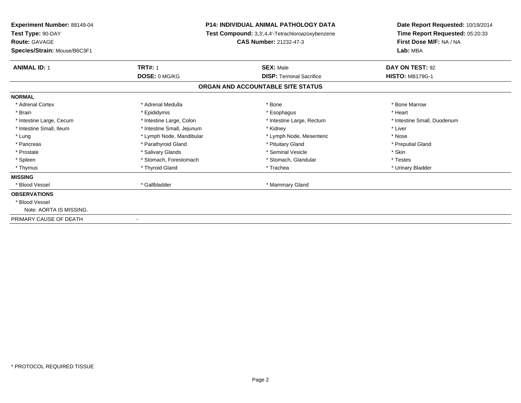| Experiment Number: 88149-04  | <b>P14: INDIVIDUAL ANIMAL PATHOLOGY DATA</b><br><b>Test Compound:</b> 3,3',4,4'-Tetrachloroazoxybenzene |                                   | Date Report Requested: 10/19/2014<br>Time Report Requested: 05:20:33 |  |
|------------------------------|---------------------------------------------------------------------------------------------------------|-----------------------------------|----------------------------------------------------------------------|--|
| Test Type: 90-DAY            |                                                                                                         |                                   |                                                                      |  |
| <b>Route: GAVAGE</b>         |                                                                                                         | <b>CAS Number: 21232-47-3</b>     | First Dose M/F: NA / NA                                              |  |
| Species/Strain: Mouse/B6C3F1 |                                                                                                         |                                   | Lab: MBA                                                             |  |
| <b>ANIMAL ID: 1</b>          | <b>TRT#: 1</b>                                                                                          | <b>SEX: Male</b>                  | DAY ON TEST: 92                                                      |  |
|                              | DOSE: 0 MG/KG                                                                                           | <b>DISP: Terminal Sacrifice</b>   | <b>HISTO: MB179G-1</b>                                               |  |
|                              |                                                                                                         | ORGAN AND ACCOUNTABLE SITE STATUS |                                                                      |  |
| <b>NORMAL</b>                |                                                                                                         |                                   |                                                                      |  |
| * Adrenal Cortex             | * Adrenal Medulla                                                                                       | * Bone                            | * Bone Marrow                                                        |  |
| * Brain                      | * Epididymis                                                                                            | * Esophagus                       | * Heart                                                              |  |
| * Intestine Large, Cecum     | * Intestine Large, Colon                                                                                | * Intestine Large, Rectum         | * Intestine Small, Duodenum                                          |  |
| * Intestine Small, Ileum     | * Intestine Small, Jejunum                                                                              | * Kidney                          | * Liver                                                              |  |
| * Lung                       | * Lymph Node, Mandibular                                                                                | * Lymph Node, Mesenteric          | * Nose                                                               |  |
| * Pancreas                   | * Parathyroid Gland                                                                                     | * Pituitary Gland                 | * Preputial Gland                                                    |  |
| * Prostate                   | * Salivary Glands                                                                                       | * Seminal Vesicle                 | * Skin                                                               |  |
| * Spleen                     | * Stomach, Forestomach                                                                                  | * Stomach, Glandular              | * Testes                                                             |  |
| * Thymus                     | * Thyroid Gland                                                                                         | * Trachea                         | * Urinary Bladder                                                    |  |
| <b>MISSING</b>               |                                                                                                         |                                   |                                                                      |  |
| * Blood Vessel               | * Gallbladder                                                                                           | * Mammary Gland                   |                                                                      |  |
| <b>OBSERVATIONS</b>          |                                                                                                         |                                   |                                                                      |  |
| * Blood Vessel               |                                                                                                         |                                   |                                                                      |  |
| Note: AORTA IS MISSING.      |                                                                                                         |                                   |                                                                      |  |
| PRIMARY CAUSE OF DEATH       | $\overline{\phantom{a}}$                                                                                |                                   |                                                                      |  |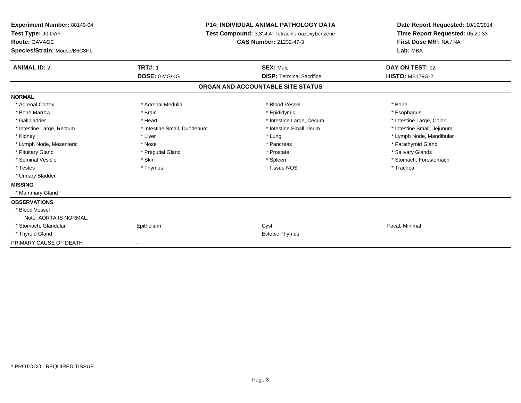| Experiment Number: 88149-04<br>Test Type: 90-DAY<br><b>Route: GAVAGE</b><br>Species/Strain: Mouse/B6C3F1 |                             | <b>P14: INDIVIDUAL ANIMAL PATHOLOGY DATA</b><br>Test Compound: 3,3',4,4'-Tetrachloroazoxybenzene<br><b>CAS Number: 21232-47-3</b> | Date Report Requested: 10/19/2014<br>Time Report Requested: 05:20:33<br>First Dose M/F: NA / NA<br>Lab: MBA |
|----------------------------------------------------------------------------------------------------------|-----------------------------|-----------------------------------------------------------------------------------------------------------------------------------|-------------------------------------------------------------------------------------------------------------|
| <b>ANIMAL ID: 2</b>                                                                                      | <b>TRT#: 1</b>              | <b>SEX: Male</b>                                                                                                                  | DAY ON TEST: 92                                                                                             |
|                                                                                                          | DOSE: 0 MG/KG               | <b>DISP: Terminal Sacrifice</b>                                                                                                   | <b>HISTO: MB179G-2</b>                                                                                      |
|                                                                                                          |                             | ORGAN AND ACCOUNTABLE SITE STATUS                                                                                                 |                                                                                                             |
| <b>NORMAL</b>                                                                                            |                             |                                                                                                                                   |                                                                                                             |
| * Adrenal Cortex                                                                                         | * Adrenal Medulla           | * Blood Vessel                                                                                                                    | * Bone                                                                                                      |
| * Bone Marrow                                                                                            | * Brain                     | * Epididymis                                                                                                                      | * Esophagus                                                                                                 |
| * Gallbladder                                                                                            | * Heart                     | * Intestine Large, Cecum                                                                                                          | * Intestine Large, Colon                                                                                    |
| * Intestine Large, Rectum                                                                                | * Intestine Small, Duodenum | * Intestine Small, Ileum                                                                                                          | * Intestine Small, Jejunum                                                                                  |
| * Kidney                                                                                                 | * Liver                     | * Lung                                                                                                                            | * Lymph Node, Mandibular                                                                                    |
| * Lymph Node, Mesenteric                                                                                 | * Nose                      | * Pancreas                                                                                                                        | * Parathyroid Gland                                                                                         |
| * Pituitary Gland                                                                                        | * Preputial Gland           | * Prostate                                                                                                                        | * Salivary Glands                                                                                           |
| * Seminal Vesicle                                                                                        | * Skin                      | * Spleen                                                                                                                          | * Stomach, Forestomach                                                                                      |
| * Testes                                                                                                 | * Thymus                    | <b>Tissue NOS</b>                                                                                                                 | * Trachea                                                                                                   |
| * Urinary Bladder                                                                                        |                             |                                                                                                                                   |                                                                                                             |
| <b>MISSING</b>                                                                                           |                             |                                                                                                                                   |                                                                                                             |
| * Mammary Gland                                                                                          |                             |                                                                                                                                   |                                                                                                             |
| <b>OBSERVATIONS</b>                                                                                      |                             |                                                                                                                                   |                                                                                                             |
| * Blood Vessel                                                                                           |                             |                                                                                                                                   |                                                                                                             |
| Note: AORTA IS NORMAL.                                                                                   |                             |                                                                                                                                   |                                                                                                             |
| * Stomach, Glandular                                                                                     | Epithelium                  | Cyst                                                                                                                              | Focal, Minimal                                                                                              |
| * Thyroid Gland                                                                                          |                             | Ectopic Thymus                                                                                                                    |                                                                                                             |
| PRIMARY CAUSE OF DEATH                                                                                   |                             |                                                                                                                                   |                                                                                                             |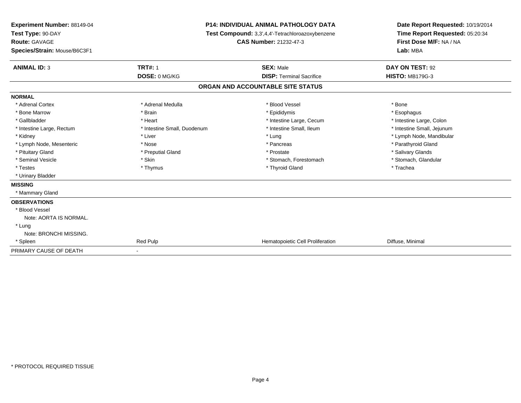| Experiment Number: 88149-04<br>Test Type: 90-DAY<br><b>Route: GAVAGE</b><br>Species/Strain: Mouse/B6C3F1 |                             | <b>P14: INDIVIDUAL ANIMAL PATHOLOGY DATA</b><br>Test Compound: 3,3',4,4'-Tetrachloroazoxybenzene<br>CAS Number: 21232-47-3 | Date Report Requested: 10/19/2014<br>Time Report Requested: 05:20:34<br>First Dose M/F: NA / NA<br>Lab: MBA |
|----------------------------------------------------------------------------------------------------------|-----------------------------|----------------------------------------------------------------------------------------------------------------------------|-------------------------------------------------------------------------------------------------------------|
| <b>ANIMAL ID: 3</b>                                                                                      | <b>TRT#: 1</b>              | <b>SEX: Male</b>                                                                                                           | DAY ON TEST: 92                                                                                             |
|                                                                                                          | DOSE: 0 MG/KG               | <b>DISP: Terminal Sacrifice</b>                                                                                            | <b>HISTO: MB179G-3</b>                                                                                      |
|                                                                                                          |                             | ORGAN AND ACCOUNTABLE SITE STATUS                                                                                          |                                                                                                             |
| <b>NORMAL</b>                                                                                            |                             |                                                                                                                            |                                                                                                             |
| * Adrenal Cortex                                                                                         | * Adrenal Medulla           | * Blood Vessel                                                                                                             | * Bone                                                                                                      |
| * Bone Marrow                                                                                            | * Brain                     | * Epididymis                                                                                                               | * Esophagus                                                                                                 |
| * Gallbladder                                                                                            | * Heart                     | * Intestine Large, Cecum                                                                                                   | * Intestine Large, Colon                                                                                    |
| * Intestine Large, Rectum                                                                                | * Intestine Small, Duodenum | * Intestine Small, Ileum                                                                                                   | * Intestine Small, Jejunum                                                                                  |
| * Kidney                                                                                                 | * Liver                     | * Lung                                                                                                                     | * Lymph Node, Mandibular                                                                                    |
| * Lymph Node, Mesenteric                                                                                 | * Nose                      | * Pancreas                                                                                                                 | * Parathyroid Gland                                                                                         |
| * Pituitary Gland                                                                                        | * Preputial Gland           | * Prostate                                                                                                                 | * Salivary Glands                                                                                           |
| * Seminal Vesicle                                                                                        | * Skin                      | * Stomach, Forestomach                                                                                                     | * Stomach, Glandular                                                                                        |
| * Testes                                                                                                 | * Thymus                    | * Thyroid Gland                                                                                                            | * Trachea                                                                                                   |
| * Urinary Bladder                                                                                        |                             |                                                                                                                            |                                                                                                             |
| <b>MISSING</b>                                                                                           |                             |                                                                                                                            |                                                                                                             |
| * Mammary Gland                                                                                          |                             |                                                                                                                            |                                                                                                             |
| <b>OBSERVATIONS</b>                                                                                      |                             |                                                                                                                            |                                                                                                             |
| * Blood Vessel                                                                                           |                             |                                                                                                                            |                                                                                                             |
| Note: AORTA IS NORMAL.                                                                                   |                             |                                                                                                                            |                                                                                                             |
| * Lung                                                                                                   |                             |                                                                                                                            |                                                                                                             |
| Note: BRONCHI MISSING.                                                                                   |                             |                                                                                                                            |                                                                                                             |
| * Spleen                                                                                                 | Red Pulp                    | Hematopoietic Cell Proliferation                                                                                           | Diffuse, Minimal                                                                                            |
| PRIMARY CAUSE OF DEATH                                                                                   |                             |                                                                                                                            |                                                                                                             |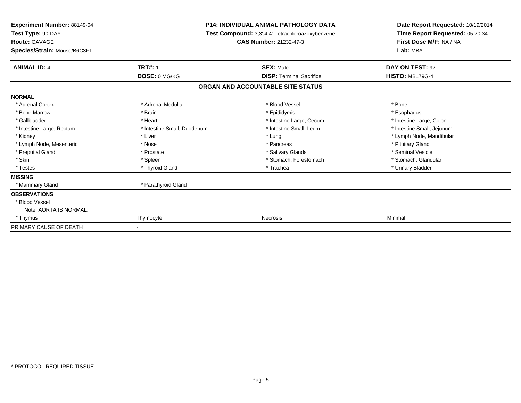| Experiment Number: 88149-04<br>Test Type: 90-DAY<br><b>Route: GAVAGE</b> |                             | <b>P14: INDIVIDUAL ANIMAL PATHOLOGY DATA</b><br><b>Test Compound:</b> 3,3',4,4'-Tetrachloroazoxybenzene<br><b>CAS Number: 21232-47-3</b> | Date Report Requested: 10/19/2014<br>Time Report Requested: 05:20:34<br>First Dose M/F: NA / NA |  |
|--------------------------------------------------------------------------|-----------------------------|------------------------------------------------------------------------------------------------------------------------------------------|-------------------------------------------------------------------------------------------------|--|
| Species/Strain: Mouse/B6C3F1                                             |                             |                                                                                                                                          | Lab: MBA                                                                                        |  |
| <b>ANIMAL ID: 4</b>                                                      | <b>TRT#: 1</b>              | <b>SEX: Male</b>                                                                                                                         | DAY ON TEST: 92                                                                                 |  |
|                                                                          | DOSE: 0 MG/KG               | <b>DISP: Terminal Sacrifice</b>                                                                                                          | <b>HISTO: MB179G-4</b>                                                                          |  |
|                                                                          |                             | ORGAN AND ACCOUNTABLE SITE STATUS                                                                                                        |                                                                                                 |  |
| <b>NORMAL</b>                                                            |                             |                                                                                                                                          |                                                                                                 |  |
| * Adrenal Cortex                                                         | * Adrenal Medulla           | * Blood Vessel                                                                                                                           | * Bone                                                                                          |  |
| * Bone Marrow                                                            | * Brain                     | * Epididymis                                                                                                                             | * Esophagus                                                                                     |  |
| * Gallbladder                                                            | * Heart                     | * Intestine Large, Cecum                                                                                                                 | * Intestine Large, Colon                                                                        |  |
| * Intestine Large, Rectum                                                | * Intestine Small, Duodenum | * Intestine Small, Ileum                                                                                                                 | * Intestine Small, Jejunum                                                                      |  |
| * Kidney                                                                 | * Liver                     | * Lung                                                                                                                                   | * Lymph Node, Mandibular                                                                        |  |
| * Lymph Node, Mesenteric                                                 | * Nose                      | * Pancreas                                                                                                                               | * Pituitary Gland                                                                               |  |
| * Preputial Gland                                                        | * Prostate                  | * Salivary Glands                                                                                                                        | * Seminal Vesicle                                                                               |  |
| * Skin                                                                   | * Spleen                    | * Stomach, Forestomach                                                                                                                   | * Stomach, Glandular                                                                            |  |
| * Testes                                                                 | * Thyroid Gland             | * Trachea                                                                                                                                | * Urinary Bladder                                                                               |  |
| <b>MISSING</b>                                                           |                             |                                                                                                                                          |                                                                                                 |  |
| * Mammary Gland                                                          | * Parathyroid Gland         |                                                                                                                                          |                                                                                                 |  |
| <b>OBSERVATIONS</b>                                                      |                             |                                                                                                                                          |                                                                                                 |  |
| * Blood Vessel                                                           |                             |                                                                                                                                          |                                                                                                 |  |
| Note: AORTA IS NORMAL.                                                   |                             |                                                                                                                                          |                                                                                                 |  |
| * Thymus                                                                 | Thymocyte                   | Necrosis                                                                                                                                 | Minimal                                                                                         |  |
| PRIMARY CAUSE OF DEATH                                                   |                             |                                                                                                                                          |                                                                                                 |  |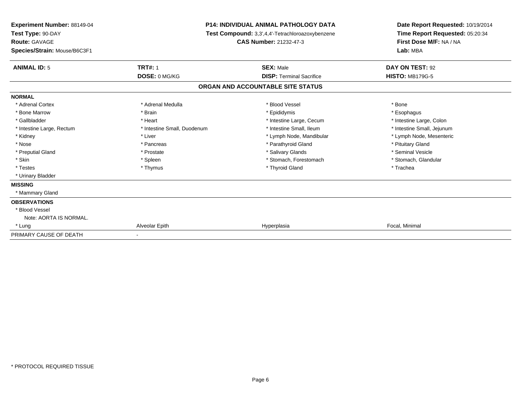| <b>Experiment Number: 88149-04</b><br>Test Type: 90-DAY<br><b>Route: GAVAGE</b><br>Species/Strain: Mouse/B6C3F1 |                             | <b>P14: INDIVIDUAL ANIMAL PATHOLOGY DATA</b><br>Test Compound: 3,3',4,4'-Tetrachloroazoxybenzene<br><b>CAS Number: 21232-47-3</b> | Date Report Requested: 10/19/2014<br>Time Report Requested: 05:20:34<br>First Dose M/F: NA / NA<br>Lab: MBA |  |
|-----------------------------------------------------------------------------------------------------------------|-----------------------------|-----------------------------------------------------------------------------------------------------------------------------------|-------------------------------------------------------------------------------------------------------------|--|
| <b>ANIMAL ID: 5</b>                                                                                             | <b>TRT#: 1</b>              | <b>SEX: Male</b>                                                                                                                  | DAY ON TEST: 92                                                                                             |  |
|                                                                                                                 | DOSE: 0 MG/KG               | <b>DISP: Terminal Sacrifice</b>                                                                                                   | <b>HISTO: MB179G-5</b>                                                                                      |  |
|                                                                                                                 |                             | ORGAN AND ACCOUNTABLE SITE STATUS                                                                                                 |                                                                                                             |  |
| <b>NORMAL</b>                                                                                                   |                             |                                                                                                                                   |                                                                                                             |  |
| * Adrenal Cortex                                                                                                | * Adrenal Medulla           | * Blood Vessel                                                                                                                    | * Bone                                                                                                      |  |
| * Bone Marrow                                                                                                   | * Brain                     | * Epididymis                                                                                                                      | * Esophagus                                                                                                 |  |
| * Gallbladder                                                                                                   | * Heart                     | * Intestine Large, Cecum                                                                                                          | * Intestine Large, Colon                                                                                    |  |
| * Intestine Large, Rectum                                                                                       | * Intestine Small, Duodenum | * Intestine Small, Ileum                                                                                                          | * Intestine Small, Jejunum                                                                                  |  |
| * Kidney                                                                                                        | * Liver                     | * Lymph Node, Mandibular                                                                                                          | * Lymph Node, Mesenteric                                                                                    |  |
| * Nose                                                                                                          | * Pancreas                  | * Parathyroid Gland                                                                                                               | * Pituitary Gland                                                                                           |  |
| * Preputial Gland                                                                                               | * Prostate                  | * Salivary Glands                                                                                                                 | * Seminal Vesicle                                                                                           |  |
| * Skin                                                                                                          | * Spleen                    | * Stomach, Forestomach                                                                                                            | * Stomach, Glandular                                                                                        |  |
| * Testes                                                                                                        | * Thymus                    | * Thyroid Gland                                                                                                                   | * Trachea                                                                                                   |  |
| * Urinary Bladder                                                                                               |                             |                                                                                                                                   |                                                                                                             |  |
| <b>MISSING</b>                                                                                                  |                             |                                                                                                                                   |                                                                                                             |  |
| * Mammary Gland                                                                                                 |                             |                                                                                                                                   |                                                                                                             |  |
| <b>OBSERVATIONS</b>                                                                                             |                             |                                                                                                                                   |                                                                                                             |  |
| * Blood Vessel                                                                                                  |                             |                                                                                                                                   |                                                                                                             |  |
| Note: AORTA IS NORMAL.                                                                                          |                             |                                                                                                                                   |                                                                                                             |  |
| * Lung                                                                                                          | Alveolar Epith              | Hyperplasia                                                                                                                       | Focal, Minimal                                                                                              |  |
| PRIMARY CAUSE OF DEATH                                                                                          |                             |                                                                                                                                   |                                                                                                             |  |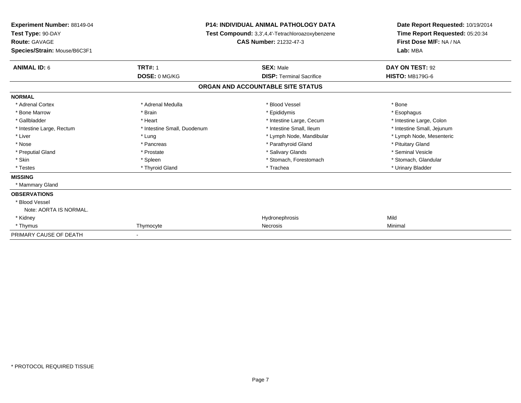| Experiment Number: 88149-04<br>Test Type: 90-DAY |                             | <b>P14: INDIVIDUAL ANIMAL PATHOLOGY DATA</b>     | Date Report Requested: 10/19/2014<br>Time Report Requested: 05:20:34 |
|--------------------------------------------------|-----------------------------|--------------------------------------------------|----------------------------------------------------------------------|
|                                                  |                             | Test Compound: 3,3',4,4'-Tetrachloroazoxybenzene |                                                                      |
| Route: GAVAGE                                    |                             | CAS Number: 21232-47-3                           | First Dose M/F: NA / NA                                              |
| Species/Strain: Mouse/B6C3F1                     |                             |                                                  | Lab: MBA                                                             |
| <b>ANIMAL ID: 6</b>                              | <b>TRT#: 1</b>              | <b>SEX: Male</b>                                 | DAY ON TEST: 92                                                      |
|                                                  | DOSE: 0 MG/KG               | <b>DISP: Terminal Sacrifice</b>                  | <b>HISTO: MB179G-6</b>                                               |
|                                                  |                             | ORGAN AND ACCOUNTABLE SITE STATUS                |                                                                      |
| <b>NORMAL</b>                                    |                             |                                                  |                                                                      |
| * Adrenal Cortex                                 | * Adrenal Medulla           | * Blood Vessel                                   | * Bone                                                               |
| * Bone Marrow                                    | * Brain                     | * Epididymis                                     | * Esophagus                                                          |
| * Gallbladder                                    | * Heart                     | * Intestine Large, Cecum                         | * Intestine Large, Colon                                             |
| * Intestine Large, Rectum                        | * Intestine Small, Duodenum | * Intestine Small, Ileum                         | * Intestine Small, Jejunum                                           |
| * Liver                                          | * Lung                      | * Lymph Node, Mandibular                         | * Lymph Node, Mesenteric                                             |
| * Nose                                           | * Pancreas                  | * Parathyroid Gland                              | * Pituitary Gland                                                    |
| * Preputial Gland                                | * Prostate                  | * Salivary Glands                                | * Seminal Vesicle                                                    |
| * Skin                                           | * Spleen                    | * Stomach, Forestomach                           | * Stomach, Glandular                                                 |
| * Testes                                         | * Thyroid Gland             | * Trachea                                        | * Urinary Bladder                                                    |
| <b>MISSING</b>                                   |                             |                                                  |                                                                      |
| * Mammary Gland                                  |                             |                                                  |                                                                      |
| <b>OBSERVATIONS</b>                              |                             |                                                  |                                                                      |
| * Blood Vessel                                   |                             |                                                  |                                                                      |
| Note: AORTA IS NORMAL.                           |                             |                                                  |                                                                      |
| * Kidney                                         |                             | Hydronephrosis                                   | Mild                                                                 |
| * Thymus                                         | Thymocyte                   | Necrosis                                         | Minimal                                                              |
| PRIMARY CAUSE OF DEATH                           |                             |                                                  |                                                                      |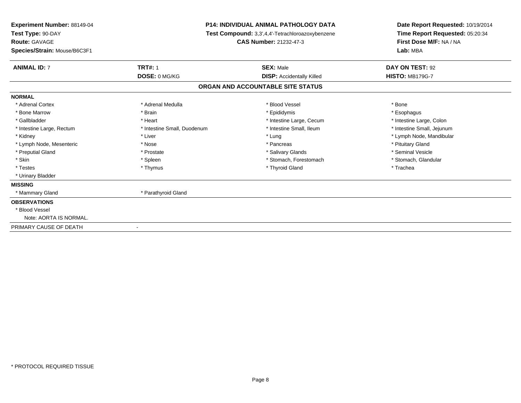| <b>Experiment Number: 88149-04</b>    |                             | <b>P14: INDIVIDUAL ANIMAL PATHOLOGY DATA</b>     | Date Report Requested: 10/19/2014                          |  |
|---------------------------------------|-----------------------------|--------------------------------------------------|------------------------------------------------------------|--|
| Test Type: 90-DAY                     |                             | Test Compound: 3,3',4,4'-Tetrachloroazoxybenzene | Time Report Requested: 05:20:34<br>First Dose M/F: NA / NA |  |
| <b>Route: GAVAGE</b>                  |                             | <b>CAS Number: 21232-47-3</b>                    |                                                            |  |
| Species/Strain: Mouse/B6C3F1          |                             |                                                  | Lab: MBA                                                   |  |
| <b>TRT#: 1</b><br><b>ANIMAL ID: 7</b> |                             | <b>SEX: Male</b>                                 | DAY ON TEST: 92                                            |  |
|                                       | DOSE: 0 MG/KG               | <b>DISP:</b> Accidentally Killed                 | <b>HISTO: MB179G-7</b>                                     |  |
|                                       |                             | ORGAN AND ACCOUNTABLE SITE STATUS                |                                                            |  |
| <b>NORMAL</b>                         |                             |                                                  |                                                            |  |
| * Adrenal Cortex                      | * Adrenal Medulla           | * Blood Vessel                                   | * Bone                                                     |  |
| * Bone Marrow                         | * Brain                     | * Epididymis                                     | * Esophagus                                                |  |
| * Gallbladder                         | * Heart                     | * Intestine Large, Cecum                         | * Intestine Large, Colon                                   |  |
| * Intestine Large, Rectum             | * Intestine Small, Duodenum | * Intestine Small, Ileum                         | * Intestine Small, Jejunum                                 |  |
| * Liver<br>* Kidney                   |                             | * Lung                                           | * Lymph Node, Mandibular                                   |  |
| * Lymph Node, Mesenteric              | * Nose                      | * Pancreas                                       | * Pituitary Gland                                          |  |
| * Preputial Gland                     | * Prostate                  | * Salivary Glands                                | * Seminal Vesicle                                          |  |
| * Skin                                | * Spleen                    | * Stomach, Forestomach                           | * Stomach, Glandular                                       |  |
| * Testes                              | * Thymus                    | * Thyroid Gland                                  | * Trachea                                                  |  |
| * Urinary Bladder                     |                             |                                                  |                                                            |  |
| <b>MISSING</b>                        |                             |                                                  |                                                            |  |
| * Mammary Gland                       | * Parathyroid Gland         |                                                  |                                                            |  |
| <b>OBSERVATIONS</b>                   |                             |                                                  |                                                            |  |
| * Blood Vessel                        |                             |                                                  |                                                            |  |
| Note: AORTA IS NORMAL.                |                             |                                                  |                                                            |  |
| PRIMARY CAUSE OF DEATH                |                             |                                                  |                                                            |  |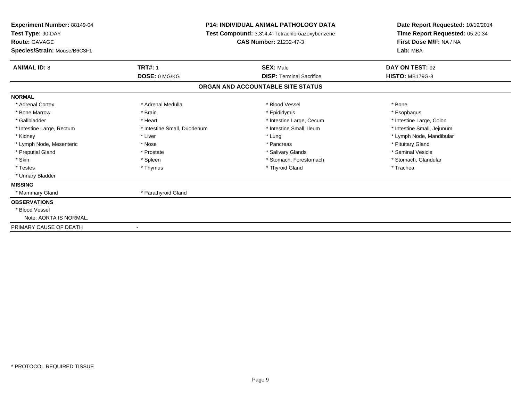| Experiment Number: 88149-04<br>Test Type: 90-DAY<br><b>Route: GAVAGE</b><br>Species/Strain: Mouse/B6C3F1 | <b>P14: INDIVIDUAL ANIMAL PATHOLOGY DATA</b><br><b>Test Compound:</b> 3,3',4,4'-Tetrachloroazoxybenzene<br><b>CAS Number: 21232-47-3</b> | Date Report Requested: 10/19/2014<br>Time Report Requested: 05:20:34<br>First Dose M/F: NA / NA<br>Lab: MBA |
|----------------------------------------------------------------------------------------------------------|------------------------------------------------------------------------------------------------------------------------------------------|-------------------------------------------------------------------------------------------------------------|
| <b>TRT#: 1</b><br><b>ANIMAL ID: 8</b>                                                                    | <b>SEX: Male</b>                                                                                                                         | DAY ON TEST: 92                                                                                             |
| DOSE: 0 MG/KG                                                                                            | <b>DISP: Terminal Sacrifice</b>                                                                                                          | <b>HISTO: MB179G-8</b>                                                                                      |
|                                                                                                          | ORGAN AND ACCOUNTABLE SITE STATUS                                                                                                        |                                                                                                             |
| <b>NORMAL</b>                                                                                            |                                                                                                                                          |                                                                                                             |
| * Adrenal Cortex<br>* Adrenal Medulla                                                                    | * Blood Vessel                                                                                                                           | * Bone                                                                                                      |
| * Brain<br>* Bone Marrow                                                                                 | * Epididymis                                                                                                                             | * Esophagus                                                                                                 |
| * Gallbladder<br>* Heart                                                                                 | * Intestine Large, Cecum                                                                                                                 | * Intestine Large, Colon                                                                                    |
| * Intestine Small, Duodenum<br>* Intestine Large, Rectum                                                 | * Intestine Small, Ileum                                                                                                                 | * Intestine Small, Jejunum                                                                                  |
| * Liver<br>* Kidney                                                                                      | * Lung                                                                                                                                   | * Lymph Node, Mandibular                                                                                    |
| * Lymph Node, Mesenteric<br>* Nose                                                                       | * Pancreas                                                                                                                               | * Pituitary Gland                                                                                           |
| * Preputial Gland<br>* Prostate                                                                          | * Salivary Glands                                                                                                                        | * Seminal Vesicle                                                                                           |
| * Skin<br>* Spleen                                                                                       | * Stomach, Forestomach                                                                                                                   | * Stomach, Glandular                                                                                        |
| * Testes<br>* Thymus                                                                                     | * Thyroid Gland                                                                                                                          | * Trachea                                                                                                   |
| * Urinary Bladder                                                                                        |                                                                                                                                          |                                                                                                             |
| <b>MISSING</b>                                                                                           |                                                                                                                                          |                                                                                                             |
| * Parathyroid Gland<br>* Mammary Gland                                                                   |                                                                                                                                          |                                                                                                             |
| <b>OBSERVATIONS</b>                                                                                      |                                                                                                                                          |                                                                                                             |
| * Blood Vessel                                                                                           |                                                                                                                                          |                                                                                                             |
| Note: AORTA IS NORMAL.                                                                                   |                                                                                                                                          |                                                                                                             |
| PRIMARY CAUSE OF DEATH                                                                                   |                                                                                                                                          |                                                                                                             |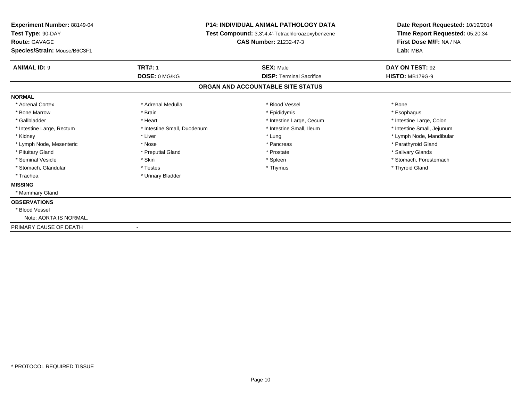| Test Type: 90-DAY<br><b>Test Compound:</b> 3,3',4,4'-Tetrachloroazoxybenzene                                       |                                                            |
|--------------------------------------------------------------------------------------------------------------------|------------------------------------------------------------|
|                                                                                                                    | Time Report Requested: 05:20:34<br>First Dose M/F: NA / NA |
| <b>Route: GAVAGE</b><br><b>CAS Number: 21232-47-3</b>                                                              |                                                            |
| Lab: MBA<br>Species/Strain: Mouse/B6C3F1                                                                           |                                                            |
| <b>TRT#: 1</b><br><b>ANIMAL ID: 9</b><br><b>SEX: Male</b><br>DAY ON TEST: 92                                       |                                                            |
| DOSE: 0 MG/KG<br><b>DISP: Terminal Sacrifice</b><br><b>HISTO: MB179G-9</b>                                         |                                                            |
| ORGAN AND ACCOUNTABLE SITE STATUS                                                                                  |                                                            |
| <b>NORMAL</b>                                                                                                      |                                                            |
| * Adrenal Cortex<br>* Adrenal Medulla<br>* Blood Vessel<br>* Bone                                                  |                                                            |
| * Bone Marrow<br>* Brain<br>* Epididymis<br>* Esophagus                                                            |                                                            |
| * Gallbladder<br>* Intestine Large, Cecum<br>* Intestine Large, Colon<br>* Heart                                   |                                                            |
| * Intestine Small, Ileum<br>* Intestine Small, Jejunum<br>* Intestine Large, Rectum<br>* Intestine Small, Duodenum |                                                            |
| * Kidney<br>* Liver<br>* Lung<br>* Lymph Node, Mandibular                                                          |                                                            |
| * Parathyroid Gland<br>* Lymph Node, Mesenteric<br>* Nose<br>* Pancreas                                            |                                                            |
| * Salivary Glands<br>* Pituitary Gland<br>* Preputial Gland<br>* Prostate                                          |                                                            |
| * Seminal Vesicle<br>* Skin<br>* Stomach, Forestomach<br>* Spleen                                                  |                                                            |
| * Stomach, Glandular<br>* Thyroid Gland<br>* Testes<br>* Thymus                                                    |                                                            |
| * Trachea<br>* Urinary Bladder                                                                                     |                                                            |
| <b>MISSING</b>                                                                                                     |                                                            |
| * Mammary Gland                                                                                                    |                                                            |
| <b>OBSERVATIONS</b>                                                                                                |                                                            |
| * Blood Vessel                                                                                                     |                                                            |
| Note: AORTA IS NORMAL.                                                                                             |                                                            |
| PRIMARY CAUSE OF DEATH                                                                                             |                                                            |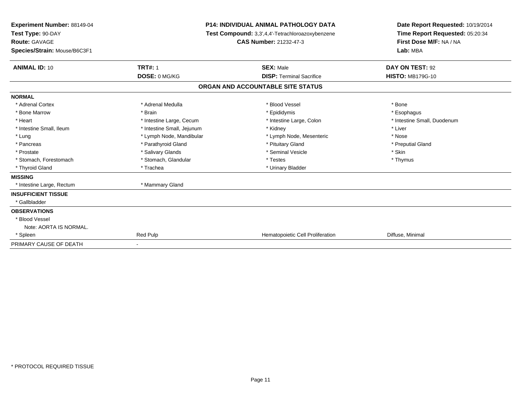| Experiment Number: 88149-04  | <b>P14: INDIVIDUAL ANIMAL PATHOLOGY DATA</b><br>Test Compound: 3,3',4,4'-Tetrachloroazoxybenzene |                                   | Date Report Requested: 10/19/2014 |  |
|------------------------------|--------------------------------------------------------------------------------------------------|-----------------------------------|-----------------------------------|--|
| Test Type: 90-DAY            |                                                                                                  |                                   | Time Report Requested: 05:20:34   |  |
| <b>Route: GAVAGE</b>         |                                                                                                  | CAS Number: 21232-47-3            | First Dose M/F: NA / NA           |  |
| Species/Strain: Mouse/B6C3F1 |                                                                                                  |                                   | Lab: MBA                          |  |
| <b>ANIMAL ID: 10</b>         | <b>TRT#: 1</b>                                                                                   | <b>SEX: Male</b>                  | DAY ON TEST: 92                   |  |
|                              | DOSE: 0 MG/KG                                                                                    | <b>DISP: Terminal Sacrifice</b>   | <b>HISTO: MB179G-10</b>           |  |
|                              |                                                                                                  | ORGAN AND ACCOUNTABLE SITE STATUS |                                   |  |
| <b>NORMAL</b>                |                                                                                                  |                                   |                                   |  |
| * Adrenal Cortex             | * Adrenal Medulla                                                                                | * Blood Vessel                    | * Bone                            |  |
| * Bone Marrow                | * Brain                                                                                          | * Epididymis                      | * Esophagus                       |  |
| * Heart                      | * Intestine Large, Cecum                                                                         | * Intestine Large, Colon          | * Intestine Small, Duodenum       |  |
| * Intestine Small, Ileum     | * Intestine Small, Jejunum                                                                       | * Kidney                          | * Liver                           |  |
| * Lung                       | * Lymph Node, Mandibular                                                                         | * Lymph Node, Mesenteric          | * Nose                            |  |
| * Pancreas                   | * Parathyroid Gland                                                                              | * Pituitary Gland                 | * Preputial Gland                 |  |
| * Prostate                   | * Salivary Glands                                                                                | * Seminal Vesicle                 | * Skin                            |  |
| * Stomach, Forestomach       | * Stomach, Glandular                                                                             | * Testes                          | * Thymus                          |  |
| * Thyroid Gland              | * Trachea                                                                                        | * Urinary Bladder                 |                                   |  |
| <b>MISSING</b>               |                                                                                                  |                                   |                                   |  |
| * Intestine Large, Rectum    | * Mammary Gland                                                                                  |                                   |                                   |  |
| <b>INSUFFICIENT TISSUE</b>   |                                                                                                  |                                   |                                   |  |
| * Gallbladder                |                                                                                                  |                                   |                                   |  |
| <b>OBSERVATIONS</b>          |                                                                                                  |                                   |                                   |  |
| * Blood Vessel               |                                                                                                  |                                   |                                   |  |
| Note: AORTA IS NORMAL.       |                                                                                                  |                                   |                                   |  |
| * Spleen                     | Red Pulp                                                                                         | Hematopoietic Cell Proliferation  | Diffuse, Minimal                  |  |
| PRIMARY CAUSE OF DEATH       | $\blacksquare$                                                                                   |                                   |                                   |  |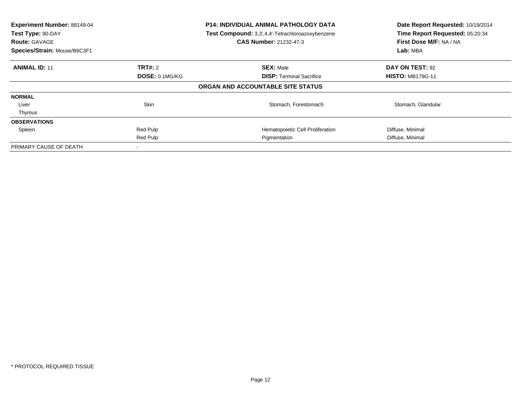| Experiment Number: 88149-04<br>Test Type: 90-DAY<br><b>Route: GAVAGE</b><br>Species/Strain: Mouse/B6C3F1 |                | <b>P14: INDIVIDUAL ANIMAL PATHOLOGY DATA</b><br>Test Compound: 3,3',4,4'-Tetrachloroazoxybenzene<br><b>CAS Number: 21232-47-3</b> | Date Report Requested: 10/19/2014<br>Time Report Requested: 05:20:34<br>First Dose M/F: NA / NA<br>Lab: MBA |
|----------------------------------------------------------------------------------------------------------|----------------|-----------------------------------------------------------------------------------------------------------------------------------|-------------------------------------------------------------------------------------------------------------|
| <b>ANIMAL ID: 11</b>                                                                                     | <b>TRT#:</b> 2 | <b>SEX: Male</b>                                                                                                                  | DAY ON TEST: 92                                                                                             |
|                                                                                                          | DOSE: 0.1MG/KG | <b>DISP:</b> Terminal Sacrifice                                                                                                   | <b>HISTO: MB179G-11</b>                                                                                     |
|                                                                                                          |                | ORGAN AND ACCOUNTABLE SITE STATUS                                                                                                 |                                                                                                             |
| <b>NORMAL</b>                                                                                            |                |                                                                                                                                   |                                                                                                             |
| Liver                                                                                                    | <b>Skin</b>    | Stomach, Forestomach                                                                                                              | Stomach, Glandular                                                                                          |
| Thymus                                                                                                   |                |                                                                                                                                   |                                                                                                             |
| <b>OBSERVATIONS</b>                                                                                      |                |                                                                                                                                   |                                                                                                             |
| Spleen                                                                                                   | Red Pulp       | Hematopoietic Cell Proliferation                                                                                                  | Diffuse, Minimal                                                                                            |
|                                                                                                          | Red Pulp       | Pigmentation                                                                                                                      | Diffuse, Minimal                                                                                            |
| PRIMARY CAUSE OF DEATH                                                                                   |                |                                                                                                                                   |                                                                                                             |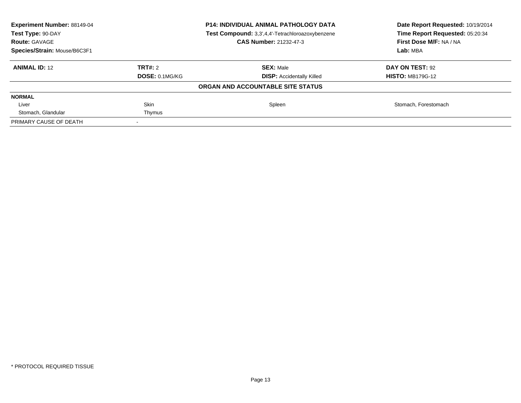| Experiment Number: 88149-04<br>Test Type: 90-DAY<br><b>Route: GAVAGE</b><br>Species/Strain: Mouse/B6C3F1 | <b>P14: INDIVIDUAL ANIMAL PATHOLOGY DATA</b><br>Test Compound: 3,3',4,4'-Tetrachloroazoxybenzene<br>CAS Number: 21232-47-3 |                                   | Date Report Requested: 10/19/2014<br>Time Report Requested: 05:20:34<br>First Dose M/F: NA / NA<br>Lab: MBA |
|----------------------------------------------------------------------------------------------------------|----------------------------------------------------------------------------------------------------------------------------|-----------------------------------|-------------------------------------------------------------------------------------------------------------|
| <b>ANIMAL ID: 12</b>                                                                                     | TRT#: 2                                                                                                                    | <b>SEX: Male</b>                  | DAY ON TEST: 92                                                                                             |
|                                                                                                          | <b>DOSE: 0.1MG/KG</b>                                                                                                      | <b>DISP:</b> Accidentally Killed  | <b>HISTO: MB179G-12</b>                                                                                     |
|                                                                                                          |                                                                                                                            | ORGAN AND ACCOUNTABLE SITE STATUS |                                                                                                             |
| <b>NORMAL</b>                                                                                            |                                                                                                                            |                                   |                                                                                                             |
| Liver                                                                                                    | Skin                                                                                                                       | Spleen                            | Stomach, Forestomach                                                                                        |
| Stomach, Glandular                                                                                       | Thymus                                                                                                                     |                                   |                                                                                                             |
| PRIMARY CAUSE OF DEATH                                                                                   |                                                                                                                            |                                   |                                                                                                             |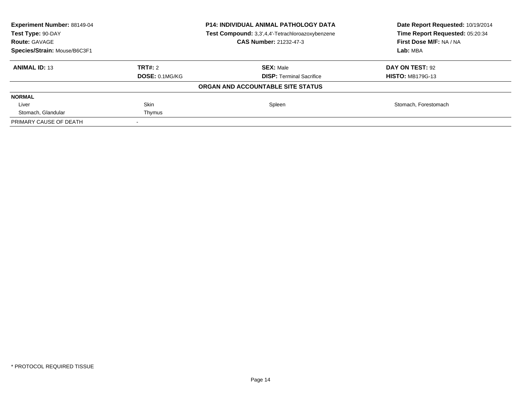| <b>Experiment Number: 88149-04</b><br>Test Type: 90-DAY<br><b>Route: GAVAGE</b> | <b>P14: INDIVIDUAL ANIMAL PATHOLOGY DATA</b><br>Test Compound: 3,3',4,4'-Tetrachloroazoxybenzene<br><b>CAS Number: 21232-47-3</b> |                                   | Date Report Requested: 10/19/2014<br>Time Report Requested: 05:20:34<br>First Dose M/F: NA / NA |
|---------------------------------------------------------------------------------|-----------------------------------------------------------------------------------------------------------------------------------|-----------------------------------|-------------------------------------------------------------------------------------------------|
| Species/Strain: Mouse/B6C3F1                                                    |                                                                                                                                   |                                   | Lab: MBA                                                                                        |
| <b>ANIMAL ID: 13</b>                                                            | <b>TRT#:</b> 2                                                                                                                    | <b>SEX: Male</b>                  | DAY ON TEST: 92                                                                                 |
|                                                                                 | <b>DOSE: 0.1MG/KG</b>                                                                                                             | <b>DISP:</b> Terminal Sacrifice   | <b>HISTO: MB179G-13</b>                                                                         |
|                                                                                 |                                                                                                                                   | ORGAN AND ACCOUNTABLE SITE STATUS |                                                                                                 |
| <b>NORMAL</b>                                                                   |                                                                                                                                   |                                   |                                                                                                 |
| Liver                                                                           | <b>Skin</b>                                                                                                                       | Spleen                            | Stomach, Forestomach                                                                            |
| Stomach, Glandular                                                              | Thymus                                                                                                                            |                                   |                                                                                                 |
| PRIMARY CAUSE OF DEATH                                                          |                                                                                                                                   |                                   |                                                                                                 |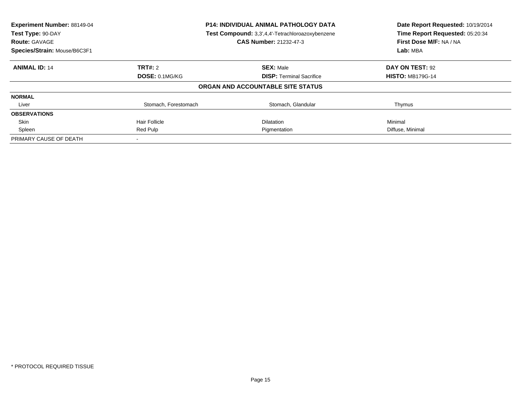| Experiment Number: 88149-04<br>Test Type: 90-DAY<br><b>Route: GAVAGE</b> | <b>P14: INDIVIDUAL ANIMAL PATHOLOGY DATA</b><br>Test Compound: 3,3',4,4'-Tetrachloroazoxybenzene<br>CAS Number: 21232-47-3 |                                   | Date Report Requested: 10/19/2014<br>Time Report Requested: 05:20:34<br>First Dose M/F: NA / NA |
|--------------------------------------------------------------------------|----------------------------------------------------------------------------------------------------------------------------|-----------------------------------|-------------------------------------------------------------------------------------------------|
| Species/Strain: Mouse/B6C3F1                                             |                                                                                                                            |                                   | Lab: MBA                                                                                        |
| <b>ANIMAL ID: 14</b>                                                     | TRT#: 2                                                                                                                    | <b>SEX: Male</b>                  | DAY ON TEST: 92                                                                                 |
|                                                                          | DOSE: 0.1MG/KG                                                                                                             | <b>DISP:</b> Terminal Sacrifice   | <b>HISTO: MB179G-14</b>                                                                         |
|                                                                          |                                                                                                                            | ORGAN AND ACCOUNTABLE SITE STATUS |                                                                                                 |
| <b>NORMAL</b>                                                            |                                                                                                                            |                                   |                                                                                                 |
| Liver                                                                    | Stomach, Forestomach                                                                                                       | Stomach, Glandular                | Thymus                                                                                          |
| <b>OBSERVATIONS</b>                                                      |                                                                                                                            |                                   |                                                                                                 |
| <b>Skin</b>                                                              | Hair Follicle                                                                                                              | <b>Dilatation</b>                 | Minimal                                                                                         |
| Spleen                                                                   | Red Pulp                                                                                                                   | Pigmentation                      | Diffuse, Minimal                                                                                |
| PRIMARY CAUSE OF DEATH                                                   |                                                                                                                            |                                   |                                                                                                 |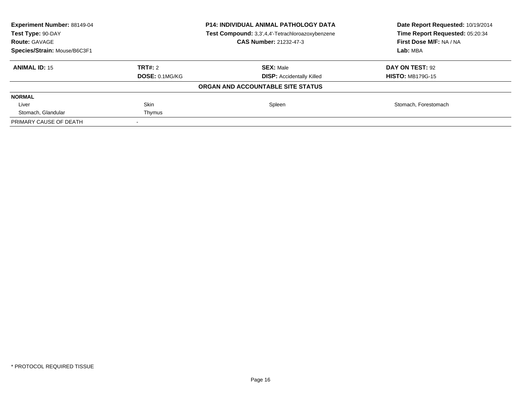| <b>Experiment Number: 88149-04</b><br>Test Type: 90-DAY<br><b>Route: GAVAGE</b> | <b>P14: INDIVIDUAL ANIMAL PATHOLOGY DATA</b><br>Test Compound: 3,3',4,4'-Tetrachloroazoxybenzene<br><b>CAS Number: 21232-47-3</b> |                                   | Date Report Requested: 10/19/2014<br>Time Report Requested: 05:20:34<br>First Dose M/F: NA / NA<br>Lab: MBA |
|---------------------------------------------------------------------------------|-----------------------------------------------------------------------------------------------------------------------------------|-----------------------------------|-------------------------------------------------------------------------------------------------------------|
| Species/Strain: Mouse/B6C3F1                                                    |                                                                                                                                   |                                   |                                                                                                             |
| <b>ANIMAL ID: 15</b>                                                            | <b>TRT#:</b> 2                                                                                                                    | <b>SEX: Male</b>                  | DAY ON TEST: 92                                                                                             |
|                                                                                 | <b>DOSE: 0.1MG/KG</b>                                                                                                             | <b>DISP:</b> Accidentally Killed  | <b>HISTO: MB179G-15</b>                                                                                     |
|                                                                                 |                                                                                                                                   | ORGAN AND ACCOUNTABLE SITE STATUS |                                                                                                             |
| <b>NORMAL</b>                                                                   |                                                                                                                                   |                                   |                                                                                                             |
| Liver                                                                           | <b>Skin</b>                                                                                                                       | Spleen                            | Stomach, Forestomach                                                                                        |
| Stomach, Glandular                                                              | Thymus                                                                                                                            |                                   |                                                                                                             |
| PRIMARY CAUSE OF DEATH                                                          |                                                                                                                                   |                                   |                                                                                                             |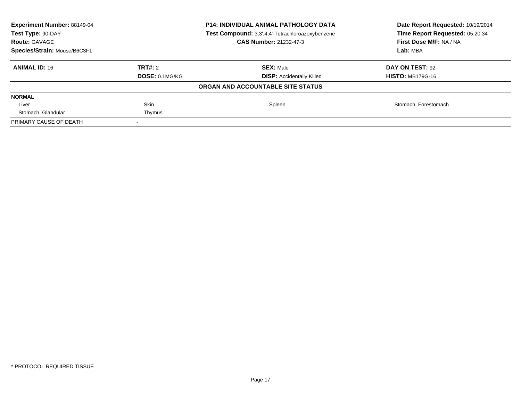| <b>Experiment Number: 88149-04</b><br>Test Type: 90-DAY<br><b>Route: GAVAGE</b> | <b>P14: INDIVIDUAL ANIMAL PATHOLOGY DATA</b><br>Test Compound: 3,3',4,4'-Tetrachloroazoxybenzene<br><b>CAS Number: 21232-47-3</b> |                                   | Date Report Requested: 10/19/2014<br>Time Report Requested: 05:20:34<br>First Dose M/F: NA / NA |
|---------------------------------------------------------------------------------|-----------------------------------------------------------------------------------------------------------------------------------|-----------------------------------|-------------------------------------------------------------------------------------------------|
| Species/Strain: Mouse/B6C3F1                                                    |                                                                                                                                   |                                   | Lab: MBA                                                                                        |
| <b>ANIMAL ID: 16</b>                                                            | <b>TRT#:</b> 2                                                                                                                    | <b>SEX: Male</b>                  | DAY ON TEST: 92                                                                                 |
|                                                                                 | <b>DOSE: 0.1MG/KG</b>                                                                                                             | <b>DISP:</b> Accidentally Killed  | <b>HISTO: MB179G-16</b>                                                                         |
|                                                                                 |                                                                                                                                   | ORGAN AND ACCOUNTABLE SITE STATUS |                                                                                                 |
| <b>NORMAL</b>                                                                   |                                                                                                                                   |                                   |                                                                                                 |
| Liver                                                                           | <b>Skin</b>                                                                                                                       | Spleen                            | Stomach, Forestomach                                                                            |
| Stomach, Glandular                                                              | Thymus                                                                                                                            |                                   |                                                                                                 |
| PRIMARY CAUSE OF DEATH                                                          |                                                                                                                                   |                                   |                                                                                                 |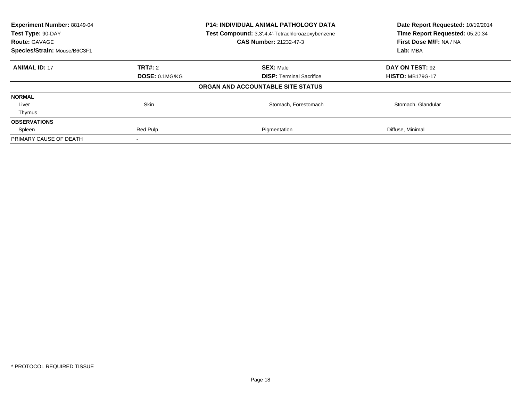| Experiment Number: 88149-04<br><b>P14: INDIVIDUAL ANIMAL PATHOLOGY DATA</b><br>Test Compound: 3,3',4,4'-Tetrachloroazoxybenzene<br>Test Type: 90-DAY<br><b>CAS Number: 21232-47-3</b><br><b>Route: GAVAGE</b> |                       | Date Report Requested: 10/19/2014<br>Time Report Requested: 05:20:34<br>First Dose M/F: NA / NA<br>Lab: MBA |                         |
|---------------------------------------------------------------------------------------------------------------------------------------------------------------------------------------------------------------|-----------------------|-------------------------------------------------------------------------------------------------------------|-------------------------|
| Species/Strain: Mouse/B6C3F1                                                                                                                                                                                  |                       |                                                                                                             |                         |
| <b>ANIMAL ID: 17</b>                                                                                                                                                                                          | TRT#: 2               | <b>SEX: Male</b>                                                                                            | DAY ON TEST: 92         |
|                                                                                                                                                                                                               | <b>DOSE: 0.1MG/KG</b> | <b>DISP:</b> Terminal Sacrifice                                                                             | <b>HISTO: MB179G-17</b> |
|                                                                                                                                                                                                               |                       | ORGAN AND ACCOUNTABLE SITE STATUS                                                                           |                         |
| <b>NORMAL</b>                                                                                                                                                                                                 |                       |                                                                                                             |                         |
| Liver                                                                                                                                                                                                         | Skin                  | Stomach, Forestomach                                                                                        | Stomach, Glandular      |
| Thymus                                                                                                                                                                                                        |                       |                                                                                                             |                         |
| <b>OBSERVATIONS</b>                                                                                                                                                                                           |                       |                                                                                                             |                         |
| Spleen                                                                                                                                                                                                        | Red Pulp              | Pigmentation                                                                                                | Diffuse, Minimal        |
| PRIMARY CAUSE OF DEATH                                                                                                                                                                                        |                       |                                                                                                             |                         |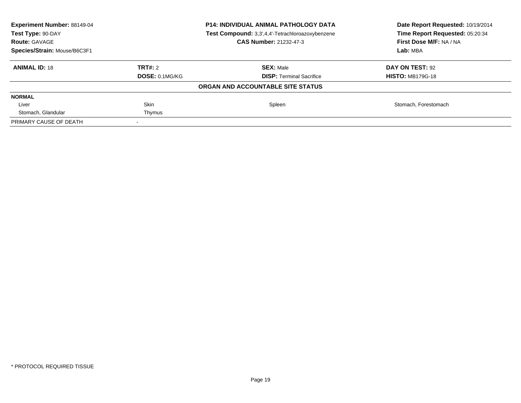| <b>Experiment Number: 88149-04</b><br>Test Type: 90-DAY<br><b>Route: GAVAGE</b> | <b>P14: INDIVIDUAL ANIMAL PATHOLOGY DATA</b><br>Test Compound: 3,3',4,4'-Tetrachloroazoxybenzene<br><b>CAS Number: 21232-47-3</b> |                                   | Date Report Requested: 10/19/2014<br>Time Report Requested: 05:20:34<br>First Dose M/F: NA / NA |
|---------------------------------------------------------------------------------|-----------------------------------------------------------------------------------------------------------------------------------|-----------------------------------|-------------------------------------------------------------------------------------------------|
| Species/Strain: Mouse/B6C3F1                                                    |                                                                                                                                   |                                   | Lab: MBA                                                                                        |
| <b>ANIMAL ID: 18</b>                                                            | <b>TRT#:</b> 2                                                                                                                    | <b>SEX: Male</b>                  | DAY ON TEST: 92                                                                                 |
|                                                                                 | <b>DOSE: 0.1MG/KG</b>                                                                                                             | <b>DISP:</b> Terminal Sacrifice   | <b>HISTO: MB179G-18</b>                                                                         |
|                                                                                 |                                                                                                                                   | ORGAN AND ACCOUNTABLE SITE STATUS |                                                                                                 |
| <b>NORMAL</b>                                                                   |                                                                                                                                   |                                   |                                                                                                 |
| Liver                                                                           | <b>Skin</b>                                                                                                                       | Spleen                            | Stomach, Forestomach                                                                            |
| Stomach, Glandular                                                              | Thymus                                                                                                                            |                                   |                                                                                                 |
| PRIMARY CAUSE OF DEATH                                                          |                                                                                                                                   |                                   |                                                                                                 |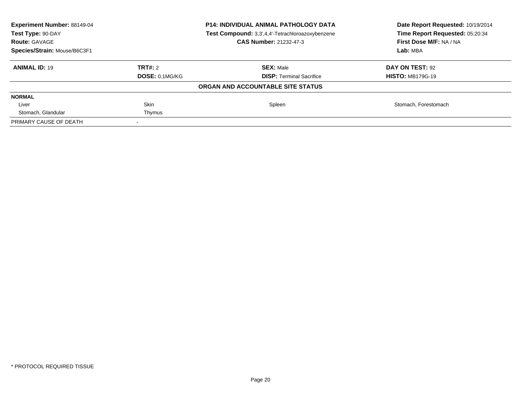| <b>Experiment Number: 88149-04</b><br>Test Type: 90-DAY<br><b>Route: GAVAGE</b> | <b>P14: INDIVIDUAL ANIMAL PATHOLOGY DATA</b><br>Test Compound: 3,3',4,4'-Tetrachloroazoxybenzene<br><b>CAS Number: 21232-47-3</b> |                                   | Date Report Requested: 10/19/2014<br>Time Report Requested: 05:20:34<br>First Dose M/F: NA / NA |
|---------------------------------------------------------------------------------|-----------------------------------------------------------------------------------------------------------------------------------|-----------------------------------|-------------------------------------------------------------------------------------------------|
| Species/Strain: Mouse/B6C3F1                                                    |                                                                                                                                   |                                   | Lab: MBA                                                                                        |
| <b>ANIMAL ID: 19</b>                                                            | <b>TRT#:</b> 2                                                                                                                    | <b>SEX: Male</b>                  | DAY ON TEST: 92                                                                                 |
|                                                                                 | <b>DOSE: 0.1MG/KG</b>                                                                                                             | <b>DISP:</b> Terminal Sacrifice   | <b>HISTO: MB179G-19</b>                                                                         |
|                                                                                 |                                                                                                                                   | ORGAN AND ACCOUNTABLE SITE STATUS |                                                                                                 |
| <b>NORMAL</b>                                                                   |                                                                                                                                   |                                   |                                                                                                 |
| Liver                                                                           | <b>Skin</b>                                                                                                                       | Spleen                            | Stomach, Forestomach                                                                            |
| Stomach, Glandular                                                              | Thymus                                                                                                                            |                                   |                                                                                                 |
| PRIMARY CAUSE OF DEATH                                                          |                                                                                                                                   |                                   |                                                                                                 |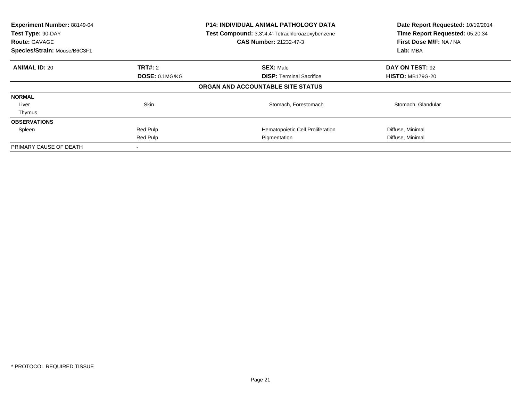| Experiment Number: 88149-04<br>Test Type: 90-DAY<br><b>Route: GAVAGE</b><br>Species/Strain: Mouse/B6C3F1 |                | <b>P14: INDIVIDUAL ANIMAL PATHOLOGY DATA</b><br>Test Compound: 3,3',4,4'-Tetrachloroazoxybenzene<br><b>CAS Number: 21232-47-3</b> | Date Report Requested: 10/19/2014<br>Time Report Requested: 05:20:34<br>First Dose M/F: NA / NA<br>Lab: MBA |
|----------------------------------------------------------------------------------------------------------|----------------|-----------------------------------------------------------------------------------------------------------------------------------|-------------------------------------------------------------------------------------------------------------|
| <b>ANIMAL ID: 20</b>                                                                                     | <b>TRT#:</b> 2 | <b>SEX: Male</b>                                                                                                                  | DAY ON TEST: 92                                                                                             |
|                                                                                                          | DOSE: 0.1MG/KG | <b>DISP:</b> Terminal Sacrifice                                                                                                   | <b>HISTO: MB179G-20</b>                                                                                     |
|                                                                                                          |                | ORGAN AND ACCOUNTABLE SITE STATUS                                                                                                 |                                                                                                             |
| <b>NORMAL</b>                                                                                            |                |                                                                                                                                   |                                                                                                             |
| Liver                                                                                                    | <b>Skin</b>    | Stomach, Forestomach                                                                                                              | Stomach, Glandular                                                                                          |
| Thymus                                                                                                   |                |                                                                                                                                   |                                                                                                             |
| <b>OBSERVATIONS</b>                                                                                      |                |                                                                                                                                   |                                                                                                             |
| Spleen                                                                                                   | Red Pulp       | Hematopoietic Cell Proliferation                                                                                                  | Diffuse, Minimal                                                                                            |
|                                                                                                          | Red Pulp       | Pigmentation                                                                                                                      | Diffuse, Minimal                                                                                            |
| PRIMARY CAUSE OF DEATH                                                                                   |                |                                                                                                                                   |                                                                                                             |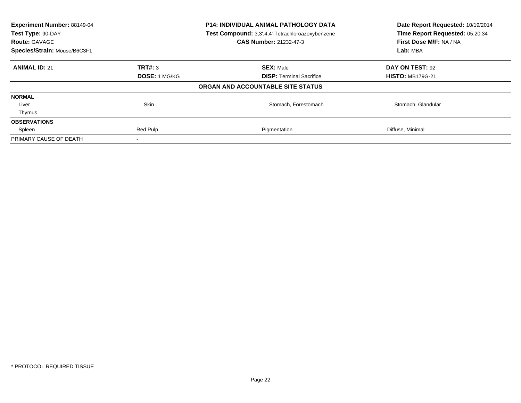| Experiment Number: 88149-04<br>Test Type: 90-DAY<br><b>Route: GAVAGE</b> |                      | P14: INDIVIDUAL ANIMAL PATHOLOGY DATA<br>Test Compound: 3,3',4,4'-Tetrachloroazoxybenzene<br><b>CAS Number: 21232-47-3</b> | Date Report Requested: 10/19/2014<br>Time Report Requested: 05:20:34<br>First Dose M/F: NA / NA |
|--------------------------------------------------------------------------|----------------------|----------------------------------------------------------------------------------------------------------------------------|-------------------------------------------------------------------------------------------------|
| Species/Strain: Mouse/B6C3F1                                             |                      |                                                                                                                            | Lab: MBA                                                                                        |
| <b>ANIMAL ID: 21</b>                                                     | TRT#: 3              | <b>SEX: Male</b>                                                                                                           | DAY ON TEST: 92                                                                                 |
|                                                                          | <b>DOSE: 1 MG/KG</b> | <b>DISP:</b> Terminal Sacrifice                                                                                            | <b>HISTO: MB179G-21</b>                                                                         |
|                                                                          |                      | ORGAN AND ACCOUNTABLE SITE STATUS                                                                                          |                                                                                                 |
| <b>NORMAL</b>                                                            |                      |                                                                                                                            |                                                                                                 |
| Liver                                                                    | Skin                 | Stomach, Forestomach                                                                                                       | Stomach, Glandular                                                                              |
| Thymus                                                                   |                      |                                                                                                                            |                                                                                                 |
| <b>OBSERVATIONS</b>                                                      |                      |                                                                                                                            |                                                                                                 |
| Spleen                                                                   | Red Pulp             | Pigmentation                                                                                                               | Diffuse, Minimal                                                                                |
| PRIMARY CAUSE OF DEATH                                                   |                      |                                                                                                                            |                                                                                                 |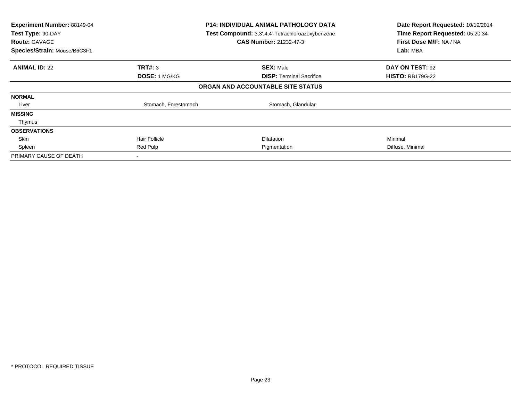| Experiment Number: 88149-04<br>Test Type: 90-DAY<br><b>Route: GAVAGE</b><br>Species/Strain: Mouse/B6C3F1 | <b>P14: INDIVIDUAL ANIMAL PATHOLOGY DATA</b><br>Test Compound: 3,3',4,4'-Tetrachloroazoxybenzene<br><b>CAS Number: 21232-47-3</b> |                                   | Date Report Requested: 10/19/2014<br>Time Report Requested: 05:20:34<br>First Dose M/F: NA / NA<br>Lab: MBA |
|----------------------------------------------------------------------------------------------------------|-----------------------------------------------------------------------------------------------------------------------------------|-----------------------------------|-------------------------------------------------------------------------------------------------------------|
| <b>ANIMAL ID: 22</b>                                                                                     | <b>TRT#: 3</b>                                                                                                                    | <b>SEX: Male</b>                  | DAY ON TEST: 92                                                                                             |
|                                                                                                          | <b>DOSE: 1 MG/KG</b>                                                                                                              | <b>DISP:</b> Terminal Sacrifice   | <b>HISTO: RB179G-22</b>                                                                                     |
|                                                                                                          |                                                                                                                                   | ORGAN AND ACCOUNTABLE SITE STATUS |                                                                                                             |
| <b>NORMAL</b>                                                                                            |                                                                                                                                   |                                   |                                                                                                             |
| Liver                                                                                                    | Stomach, Forestomach                                                                                                              | Stomach, Glandular                |                                                                                                             |
| <b>MISSING</b>                                                                                           |                                                                                                                                   |                                   |                                                                                                             |
| Thymus                                                                                                   |                                                                                                                                   |                                   |                                                                                                             |
| <b>OBSERVATIONS</b>                                                                                      |                                                                                                                                   |                                   |                                                                                                             |
| Skin                                                                                                     | <b>Hair Follicle</b>                                                                                                              | <b>Dilatation</b>                 | Minimal                                                                                                     |
| Spleen                                                                                                   | Red Pulp                                                                                                                          | Pigmentation                      | Diffuse, Minimal                                                                                            |
| PRIMARY CAUSE OF DEATH                                                                                   | $\,$                                                                                                                              |                                   |                                                                                                             |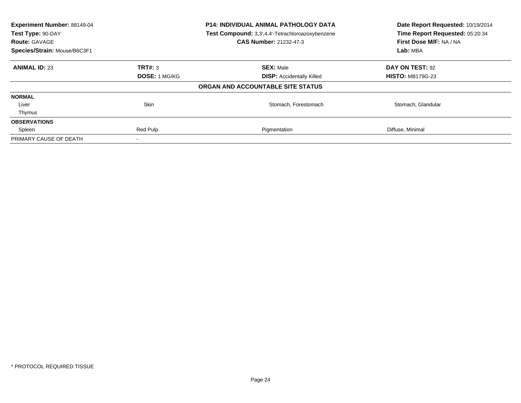| Experiment Number: 88149-04<br><b>P14: INDIVIDUAL ANIMAL PATHOLOGY DATA</b><br>Test Compound: 3,3',4,4'-Tetrachloroazoxybenzene<br>Test Type: 90-DAY<br><b>CAS Number: 21232-47-3</b><br><b>Route: GAVAGE</b><br>Species/Strain: Mouse/B6C3F1 |                      | Date Report Requested: 10/19/2014<br>Time Report Requested: 05:20:34<br>First Dose M/F: NA / NA<br>Lab: MBA |                         |
|-----------------------------------------------------------------------------------------------------------------------------------------------------------------------------------------------------------------------------------------------|----------------------|-------------------------------------------------------------------------------------------------------------|-------------------------|
| <b>ANIMAL ID: 23</b>                                                                                                                                                                                                                          | TRT#: 3              | <b>SEX: Male</b>                                                                                            | DAY ON TEST: 92         |
|                                                                                                                                                                                                                                               | <b>DOSE: 1 MG/KG</b> | <b>DISP:</b> Accidentally Killed                                                                            | <b>HISTO: MB179G-23</b> |
|                                                                                                                                                                                                                                               |                      | ORGAN AND ACCOUNTABLE SITE STATUS                                                                           |                         |
| <b>NORMAL</b>                                                                                                                                                                                                                                 |                      |                                                                                                             |                         |
| Liver                                                                                                                                                                                                                                         | Skin                 | Stomach, Forestomach                                                                                        | Stomach, Glandular      |
| Thymus                                                                                                                                                                                                                                        |                      |                                                                                                             |                         |
| <b>OBSERVATIONS</b>                                                                                                                                                                                                                           |                      |                                                                                                             |                         |
| Spleen                                                                                                                                                                                                                                        | Red Pulp             | Pigmentation                                                                                                | Diffuse, Minimal        |
| PRIMARY CAUSE OF DEATH                                                                                                                                                                                                                        |                      |                                                                                                             |                         |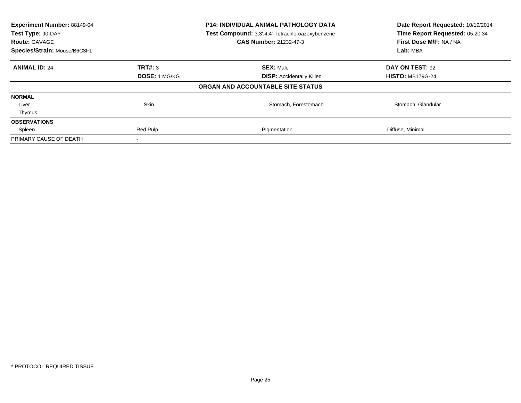| Experiment Number: 88149-04<br>Test Type: 90-DAY<br><b>Route: GAVAGE</b><br>Species/Strain: Mouse/B6C3F1 | <b>P14: INDIVIDUAL ANIMAL PATHOLOGY DATA</b><br>Test Compound: 3,3',4,4'-Tetrachloroazoxybenzene<br><b>CAS Number: 21232-47-3</b> |                                   | Date Report Requested: 10/19/2014<br>Time Report Requested: 05:20:34<br>First Dose M/F: NA / NA<br>Lab: MBA |
|----------------------------------------------------------------------------------------------------------|-----------------------------------------------------------------------------------------------------------------------------------|-----------------------------------|-------------------------------------------------------------------------------------------------------------|
| <b>ANIMAL ID: 24</b>                                                                                     | TRT#: 3                                                                                                                           | <b>SEX: Male</b>                  | DAY ON TEST: 92                                                                                             |
|                                                                                                          | <b>DOSE: 1 MG/KG</b>                                                                                                              | <b>DISP:</b> Accidentally Killed  | <b>HISTO: MB179G-24</b>                                                                                     |
|                                                                                                          |                                                                                                                                   | ORGAN AND ACCOUNTABLE SITE STATUS |                                                                                                             |
| <b>NORMAL</b>                                                                                            |                                                                                                                                   |                                   |                                                                                                             |
| Liver                                                                                                    | Skin                                                                                                                              | Stomach, Forestomach              | Stomach, Glandular                                                                                          |
| Thymus                                                                                                   |                                                                                                                                   |                                   |                                                                                                             |
| <b>OBSERVATIONS</b>                                                                                      |                                                                                                                                   |                                   |                                                                                                             |
| Spleen                                                                                                   | Red Pulp                                                                                                                          | Pigmentation                      | Diffuse, Minimal                                                                                            |
| PRIMARY CAUSE OF DEATH                                                                                   |                                                                                                                                   |                                   |                                                                                                             |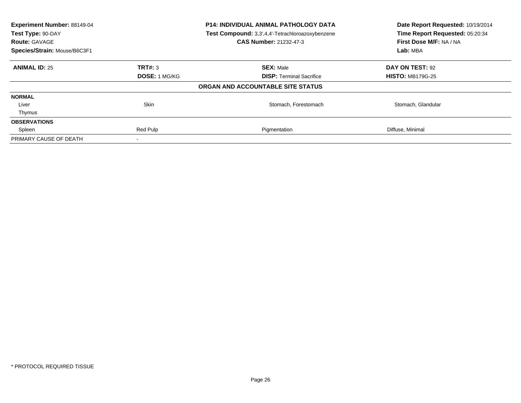| Experiment Number: 88149-04<br>Test Type: 90-DAY<br><b>Route: GAVAGE</b> |                      | P14: INDIVIDUAL ANIMAL PATHOLOGY DATA<br>Test Compound: 3,3',4,4'-Tetrachloroazoxybenzene<br><b>CAS Number: 21232-47-3</b> | Date Report Requested: 10/19/2014<br>Time Report Requested: 05:20:34<br>First Dose M/F: NA / NA |  |
|--------------------------------------------------------------------------|----------------------|----------------------------------------------------------------------------------------------------------------------------|-------------------------------------------------------------------------------------------------|--|
| Species/Strain: Mouse/B6C3F1                                             |                      |                                                                                                                            | Lab: MBA                                                                                        |  |
| <b>ANIMAL ID: 25</b>                                                     | TRT#: 3              | <b>SEX: Male</b>                                                                                                           | DAY ON TEST: 92                                                                                 |  |
|                                                                          | <b>DOSE: 1 MG/KG</b> | <b>DISP:</b> Terminal Sacrifice                                                                                            | <b>HISTO: MB179G-25</b>                                                                         |  |
|                                                                          |                      | ORGAN AND ACCOUNTABLE SITE STATUS                                                                                          |                                                                                                 |  |
| <b>NORMAL</b>                                                            |                      |                                                                                                                            |                                                                                                 |  |
| Liver                                                                    | Skin                 | Stomach, Forestomach                                                                                                       | Stomach, Glandular                                                                              |  |
| Thymus                                                                   |                      |                                                                                                                            |                                                                                                 |  |
| <b>OBSERVATIONS</b>                                                      |                      |                                                                                                                            |                                                                                                 |  |
| Spleen                                                                   | Red Pulp             | Pigmentation                                                                                                               | Diffuse, Minimal                                                                                |  |
| PRIMARY CAUSE OF DEATH                                                   |                      |                                                                                                                            |                                                                                                 |  |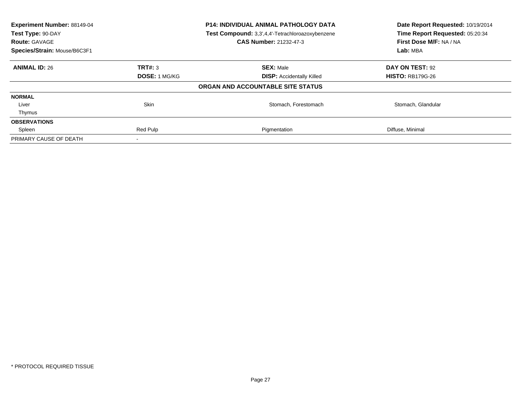| Experiment Number: 88149-04<br>Test Type: 90-DAY<br><b>Route: GAVAGE</b><br>Species/Strain: Mouse/B6C3F1 | <b>P14: INDIVIDUAL ANIMAL PATHOLOGY DATA</b><br>Test Compound: 3,3',4,4'-Tetrachloroazoxybenzene<br><b>CAS Number: 21232-47-3</b> |                                   | Date Report Requested: 10/19/2014<br>Time Report Requested: 05:20:34<br>First Dose M/F: NA / NA<br>Lab: MBA |
|----------------------------------------------------------------------------------------------------------|-----------------------------------------------------------------------------------------------------------------------------------|-----------------------------------|-------------------------------------------------------------------------------------------------------------|
| <b>ANIMAL ID: 26</b>                                                                                     | TRT#: 3                                                                                                                           | <b>SEX: Male</b>                  | DAY ON TEST: 92                                                                                             |
|                                                                                                          | <b>DOSE: 1 MG/KG</b>                                                                                                              | <b>DISP:</b> Accidentally Killed  | <b>HISTO: RB179G-26</b>                                                                                     |
|                                                                                                          |                                                                                                                                   | ORGAN AND ACCOUNTABLE SITE STATUS |                                                                                                             |
| <b>NORMAL</b>                                                                                            |                                                                                                                                   |                                   |                                                                                                             |
| Liver                                                                                                    | Skin                                                                                                                              | Stomach, Forestomach              | Stomach, Glandular                                                                                          |
| Thymus                                                                                                   |                                                                                                                                   |                                   |                                                                                                             |
| <b>OBSERVATIONS</b>                                                                                      |                                                                                                                                   |                                   |                                                                                                             |
| Spleen                                                                                                   | Red Pulp                                                                                                                          | Pigmentation                      | Diffuse, Minimal                                                                                            |
| PRIMARY CAUSE OF DEATH                                                                                   |                                                                                                                                   |                                   |                                                                                                             |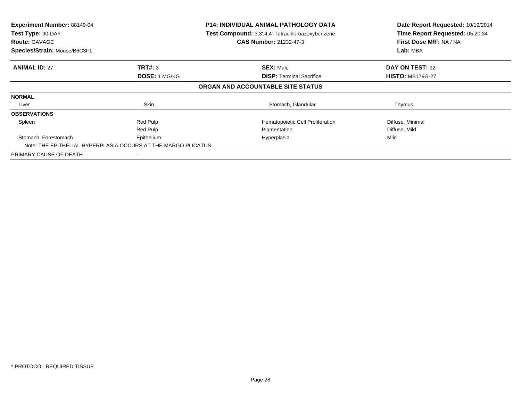| Experiment Number: 88149-04<br>Test Type: 90-DAY<br><b>Route: GAVAGE</b><br>Species/Strain: Mouse/B6C3F1 |                                                                | <b>P14: INDIVIDUAL ANIMAL PATHOLOGY DATA</b><br>Test Compound: 3,3',4,4'-Tetrachloroazoxybenzene<br><b>CAS Number: 21232-47-3</b> | Date Report Requested: 10/19/2014<br>Time Report Requested: 05:20:34<br>First Dose M/F: NA / NA<br>Lab: MBA |
|----------------------------------------------------------------------------------------------------------|----------------------------------------------------------------|-----------------------------------------------------------------------------------------------------------------------------------|-------------------------------------------------------------------------------------------------------------|
|                                                                                                          |                                                                |                                                                                                                                   |                                                                                                             |
| <b>ANIMAL ID: 27</b>                                                                                     | TRT#: 3                                                        | <b>SEX: Male</b>                                                                                                                  | DAY ON TEST: 92                                                                                             |
|                                                                                                          | <b>DOSE: 1 MG/KG</b>                                           | <b>DISP:</b> Terminal Sacrifice                                                                                                   | <b>HISTO: MB179G-27</b>                                                                                     |
|                                                                                                          |                                                                | ORGAN AND ACCOUNTABLE SITE STATUS                                                                                                 |                                                                                                             |
| <b>NORMAL</b>                                                                                            |                                                                |                                                                                                                                   |                                                                                                             |
| Liver                                                                                                    | Skin                                                           | Stomach, Glandular                                                                                                                | Thymus                                                                                                      |
| <b>OBSERVATIONS</b>                                                                                      |                                                                |                                                                                                                                   |                                                                                                             |
| Spleen                                                                                                   | Red Pulp                                                       | Hematopoietic Cell Proliferation                                                                                                  | Diffuse, Minimal                                                                                            |
|                                                                                                          | Red Pulp                                                       | Pigmentation                                                                                                                      | Diffuse, Mild                                                                                               |
| Stomach, Forestomach                                                                                     | Epithelium                                                     | Hyperplasia                                                                                                                       | Mild                                                                                                        |
|                                                                                                          | Note: THE EPITHELIAL HYPERPLASIA OCCURS AT THE MARGO PLICATUS. |                                                                                                                                   |                                                                                                             |
| PRIMARY CAUSE OF DEATH                                                                                   |                                                                |                                                                                                                                   |                                                                                                             |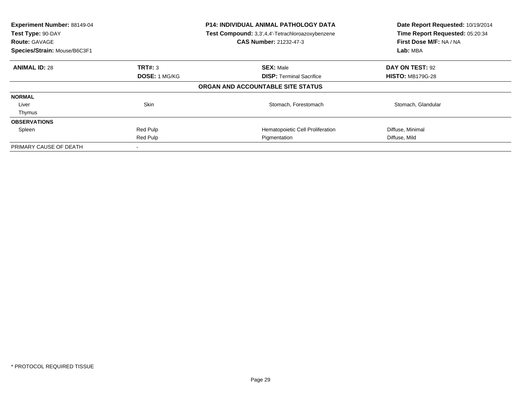| Experiment Number: 88149-04<br>Test Type: 90-DAY<br><b>Route: GAVAGE</b><br>Species/Strain: Mouse/B6C3F1 |                      | <b>P14: INDIVIDUAL ANIMAL PATHOLOGY DATA</b><br>Test Compound: 3,3',4,4'-Tetrachloroazoxybenzene<br><b>CAS Number: 21232-47-3</b> | Date Report Requested: 10/19/2014<br>Time Report Requested: 05:20:34<br>First Dose M/F: NA / NA<br>Lab: MBA |
|----------------------------------------------------------------------------------------------------------|----------------------|-----------------------------------------------------------------------------------------------------------------------------------|-------------------------------------------------------------------------------------------------------------|
| <b>ANIMAL ID: 28</b>                                                                                     | <b>TRT#: 3</b>       | <b>SEX: Male</b>                                                                                                                  | DAY ON TEST: 92                                                                                             |
|                                                                                                          | <b>DOSE: 1 MG/KG</b> | <b>DISP:</b> Terminal Sacrifice                                                                                                   | <b>HISTO: MB179G-28</b>                                                                                     |
|                                                                                                          |                      | ORGAN AND ACCOUNTABLE SITE STATUS                                                                                                 |                                                                                                             |
| <b>NORMAL</b>                                                                                            |                      |                                                                                                                                   |                                                                                                             |
| Liver                                                                                                    | <b>Skin</b>          | Stomach, Forestomach                                                                                                              | Stomach, Glandular                                                                                          |
| Thymus                                                                                                   |                      |                                                                                                                                   |                                                                                                             |
| <b>OBSERVATIONS</b>                                                                                      |                      |                                                                                                                                   |                                                                                                             |
| Spleen                                                                                                   | Red Pulp             | Hematopoietic Cell Proliferation                                                                                                  | Diffuse, Minimal                                                                                            |
|                                                                                                          | Red Pulp             | Pigmentation                                                                                                                      | Diffuse, Mild                                                                                               |
| PRIMARY CAUSE OF DEATH                                                                                   |                      |                                                                                                                                   |                                                                                                             |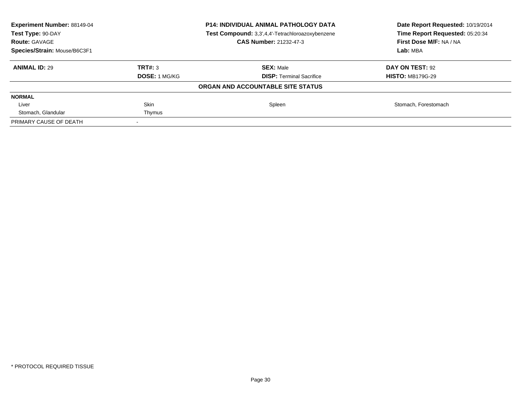| <b>Experiment Number: 88149-04</b><br>Test Type: 90-DAY<br><b>Route: GAVAGE</b> | <b>P14: INDIVIDUAL ANIMAL PATHOLOGY DATA</b><br>Test Compound: 3,3',4,4'-Tetrachloroazoxybenzene<br><b>CAS Number: 21232-47-3</b> |                                   | Date Report Requested: 10/19/2014<br>Time Report Requested: 05:20:34<br>First Dose M/F: NA / NA |
|---------------------------------------------------------------------------------|-----------------------------------------------------------------------------------------------------------------------------------|-----------------------------------|-------------------------------------------------------------------------------------------------|
| Species/Strain: Mouse/B6C3F1                                                    |                                                                                                                                   |                                   | Lab: MBA                                                                                        |
| <b>ANIMAL ID: 29</b>                                                            | TRT#: 3                                                                                                                           | <b>SEX: Male</b>                  | DAY ON TEST: 92                                                                                 |
|                                                                                 | <b>DOSE: 1 MG/KG</b>                                                                                                              | <b>DISP:</b> Terminal Sacrifice   | <b>HISTO: MB179G-29</b>                                                                         |
|                                                                                 |                                                                                                                                   | ORGAN AND ACCOUNTABLE SITE STATUS |                                                                                                 |
| <b>NORMAL</b>                                                                   |                                                                                                                                   |                                   |                                                                                                 |
| Liver                                                                           | <b>Skin</b>                                                                                                                       | Spleen                            | Stomach, Forestomach                                                                            |
| Stomach, Glandular                                                              | Thymus                                                                                                                            |                                   |                                                                                                 |
| PRIMARY CAUSE OF DEATH                                                          |                                                                                                                                   |                                   |                                                                                                 |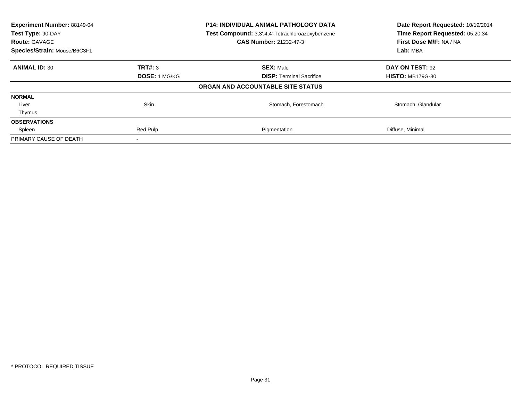| Experiment Number: 88149-04<br>Test Type: 90-DAY<br><b>Route: GAVAGE</b> |                      | P14: INDIVIDUAL ANIMAL PATHOLOGY DATA<br>Test Compound: 3,3',4,4'-Tetrachloroazoxybenzene<br><b>CAS Number: 21232-47-3</b> | Date Report Requested: 10/19/2014<br>Time Report Requested: 05:20:34<br>First Dose M/F: NA / NA |  |
|--------------------------------------------------------------------------|----------------------|----------------------------------------------------------------------------------------------------------------------------|-------------------------------------------------------------------------------------------------|--|
| Species/Strain: Mouse/B6C3F1                                             |                      |                                                                                                                            | Lab: MBA                                                                                        |  |
| <b>ANIMAL ID: 30</b>                                                     | TRT#: 3              | <b>SEX: Male</b>                                                                                                           | DAY ON TEST: 92                                                                                 |  |
|                                                                          | <b>DOSE: 1 MG/KG</b> | <b>DISP:</b> Terminal Sacrifice                                                                                            | <b>HISTO: MB179G-30</b>                                                                         |  |
|                                                                          |                      | ORGAN AND ACCOUNTABLE SITE STATUS                                                                                          |                                                                                                 |  |
| <b>NORMAL</b>                                                            |                      |                                                                                                                            |                                                                                                 |  |
| Liver                                                                    | Skin                 | Stomach, Forestomach                                                                                                       | Stomach, Glandular                                                                              |  |
| Thymus                                                                   |                      |                                                                                                                            |                                                                                                 |  |
| <b>OBSERVATIONS</b>                                                      |                      |                                                                                                                            |                                                                                                 |  |
| Spleen                                                                   | Red Pulp             | Pigmentation                                                                                                               | Diffuse, Minimal                                                                                |  |
| PRIMARY CAUSE OF DEATH                                                   |                      |                                                                                                                            |                                                                                                 |  |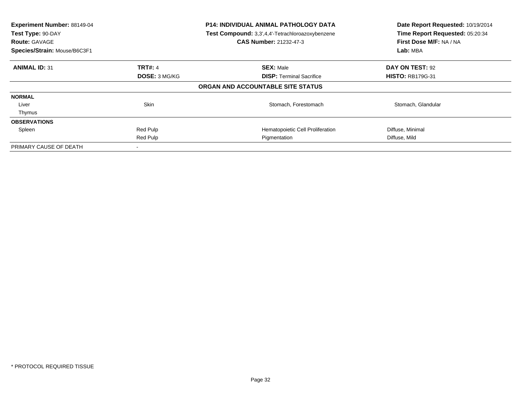| Experiment Number: 88149-04<br>Test Type: 90-DAY<br><b>Route: GAVAGE</b><br>Species/Strain: Mouse/B6C3F1 |                      | <b>P14: INDIVIDUAL ANIMAL PATHOLOGY DATA</b><br>Test Compound: 3,3',4,4'-Tetrachloroazoxybenzene<br><b>CAS Number: 21232-47-3</b> | Date Report Requested: 10/19/2014<br>Time Report Requested: 05:20:34<br>First Dose M/F: NA / NA<br>Lab: MBA |
|----------------------------------------------------------------------------------------------------------|----------------------|-----------------------------------------------------------------------------------------------------------------------------------|-------------------------------------------------------------------------------------------------------------|
| <b>ANIMAL ID: 31</b>                                                                                     | <b>TRT#: 4</b>       | <b>SEX: Male</b>                                                                                                                  | DAY ON TEST: 92                                                                                             |
|                                                                                                          | <b>DOSE: 3 MG/KG</b> | <b>DISP:</b> Terminal Sacrifice                                                                                                   | <b>HISTO: RB179G-31</b>                                                                                     |
|                                                                                                          |                      | ORGAN AND ACCOUNTABLE SITE STATUS                                                                                                 |                                                                                                             |
| <b>NORMAL</b>                                                                                            |                      |                                                                                                                                   |                                                                                                             |
| Liver                                                                                                    | <b>Skin</b>          | Stomach, Forestomach                                                                                                              | Stomach, Glandular                                                                                          |
| Thymus                                                                                                   |                      |                                                                                                                                   |                                                                                                             |
| <b>OBSERVATIONS</b>                                                                                      |                      |                                                                                                                                   |                                                                                                             |
| Spleen                                                                                                   | Red Pulp             | Hematopoietic Cell Proliferation                                                                                                  | Diffuse, Minimal                                                                                            |
|                                                                                                          | Red Pulp             | Pigmentation                                                                                                                      | Diffuse, Mild                                                                                               |
| PRIMARY CAUSE OF DEATH                                                                                   |                      |                                                                                                                                   |                                                                                                             |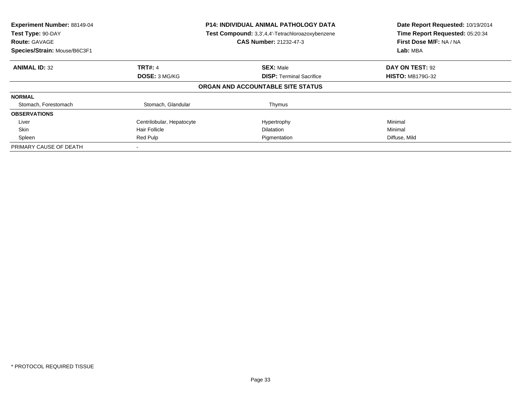| Experiment Number: 88149-04<br>Test Type: 90-DAY<br><b>Route: GAVAGE</b><br>Species/Strain: Mouse/B6C3F1 |                           | <b>P14: INDIVIDUAL ANIMAL PATHOLOGY DATA</b><br>Test Compound: 3,3',4,4'-Tetrachloroazoxybenzene<br><b>CAS Number: 21232-47-3</b> | Date Report Requested: 10/19/2014<br>Time Report Requested: 05:20:34<br>First Dose M/F: NA / NA<br>Lab: MBA |
|----------------------------------------------------------------------------------------------------------|---------------------------|-----------------------------------------------------------------------------------------------------------------------------------|-------------------------------------------------------------------------------------------------------------|
| <b>ANIMAL ID: 32</b>                                                                                     | <b>TRT#: 4</b>            | <b>SEX: Male</b>                                                                                                                  | DAY ON TEST: 92                                                                                             |
|                                                                                                          | DOSE: 3 MG/KG             | <b>DISP:</b> Terminal Sacrifice                                                                                                   | <b>HISTO: MB179G-32</b>                                                                                     |
|                                                                                                          |                           | ORGAN AND ACCOUNTABLE SITE STATUS                                                                                                 |                                                                                                             |
| <b>NORMAL</b>                                                                                            |                           |                                                                                                                                   |                                                                                                             |
| Stomach, Forestomach                                                                                     | Stomach, Glandular        | Thymus                                                                                                                            |                                                                                                             |
| <b>OBSERVATIONS</b>                                                                                      |                           |                                                                                                                                   |                                                                                                             |
| Liver                                                                                                    | Centrilobular, Hepatocyte | Hypertrophy                                                                                                                       | Minimal                                                                                                     |
| Skin                                                                                                     | <b>Hair Follicle</b>      | <b>Dilatation</b>                                                                                                                 | Minimal                                                                                                     |
| Spleen                                                                                                   | Red Pulp                  | Pigmentation                                                                                                                      | Diffuse, Mild                                                                                               |
| PRIMARY CAUSE OF DEATH                                                                                   |                           |                                                                                                                                   |                                                                                                             |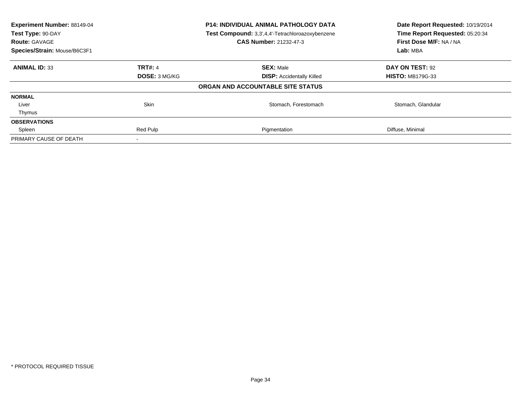| Experiment Number: 88149-04<br>Test Type: 90-DAY<br><b>Route: GAVAGE</b><br>Species/Strain: Mouse/B6C3F1 | <b>P14: INDIVIDUAL ANIMAL PATHOLOGY DATA</b><br>Test Compound: 3,3',4,4'-Tetrachloroazoxybenzene<br><b>CAS Number: 21232-47-3</b> |                                   | Date Report Requested: 10/19/2014<br>Time Report Requested: 05:20:34<br>First Dose M/F: NA / NA<br>Lab: MBA |
|----------------------------------------------------------------------------------------------------------|-----------------------------------------------------------------------------------------------------------------------------------|-----------------------------------|-------------------------------------------------------------------------------------------------------------|
| <b>ANIMAL ID: 33</b>                                                                                     | <b>TRT#: 4</b>                                                                                                                    | <b>SEX: Male</b>                  | DAY ON TEST: 92                                                                                             |
|                                                                                                          | DOSE: 3 MG/KG                                                                                                                     | <b>DISP:</b> Accidentally Killed  | <b>HISTO: MB179G-33</b>                                                                                     |
|                                                                                                          |                                                                                                                                   | ORGAN AND ACCOUNTABLE SITE STATUS |                                                                                                             |
| <b>NORMAL</b>                                                                                            |                                                                                                                                   |                                   |                                                                                                             |
| Liver                                                                                                    | Skin                                                                                                                              | Stomach, Forestomach              | Stomach, Glandular                                                                                          |
| Thymus                                                                                                   |                                                                                                                                   |                                   |                                                                                                             |
| <b>OBSERVATIONS</b>                                                                                      |                                                                                                                                   |                                   |                                                                                                             |
| Spleen                                                                                                   | Red Pulp                                                                                                                          | Pigmentation                      | Diffuse, Minimal                                                                                            |
| PRIMARY CAUSE OF DEATH                                                                                   |                                                                                                                                   |                                   |                                                                                                             |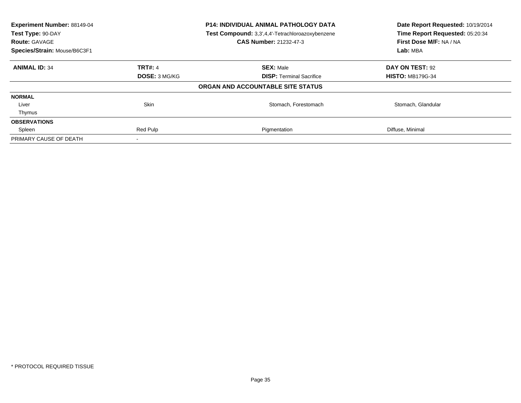| Experiment Number: 88149-04<br>Test Type: 90-DAY<br><b>Route: GAVAGE</b><br>Species/Strain: Mouse/B6C3F1 |                      | <b>P14: INDIVIDUAL ANIMAL PATHOLOGY DATA</b><br>Test Compound: 3,3',4,4'-Tetrachloroazoxybenzene<br><b>CAS Number: 21232-47-3</b> | Date Report Requested: 10/19/2014<br>Time Report Requested: 05:20:34<br>First Dose M/F: NA / NA<br>Lab: MBA |
|----------------------------------------------------------------------------------------------------------|----------------------|-----------------------------------------------------------------------------------------------------------------------------------|-------------------------------------------------------------------------------------------------------------|
|                                                                                                          |                      |                                                                                                                                   |                                                                                                             |
| <b>ANIMAL ID: 34</b>                                                                                     | <b>TRT#: 4</b>       | <b>SEX: Male</b>                                                                                                                  | DAY ON TEST: 92                                                                                             |
|                                                                                                          | <b>DOSE: 3 MG/KG</b> | <b>DISP:</b> Terminal Sacrifice                                                                                                   | <b>HISTO: MB179G-34</b>                                                                                     |
|                                                                                                          |                      | ORGAN AND ACCOUNTABLE SITE STATUS                                                                                                 |                                                                                                             |
| <b>NORMAL</b>                                                                                            |                      |                                                                                                                                   |                                                                                                             |
| Liver                                                                                                    | Skin                 | Stomach, Forestomach                                                                                                              | Stomach, Glandular                                                                                          |
| Thymus                                                                                                   |                      |                                                                                                                                   |                                                                                                             |
| <b>OBSERVATIONS</b>                                                                                      |                      |                                                                                                                                   |                                                                                                             |
| Spleen                                                                                                   | Red Pulp             | Pigmentation                                                                                                                      | Diffuse, Minimal                                                                                            |
| PRIMARY CAUSE OF DEATH                                                                                   |                      |                                                                                                                                   |                                                                                                             |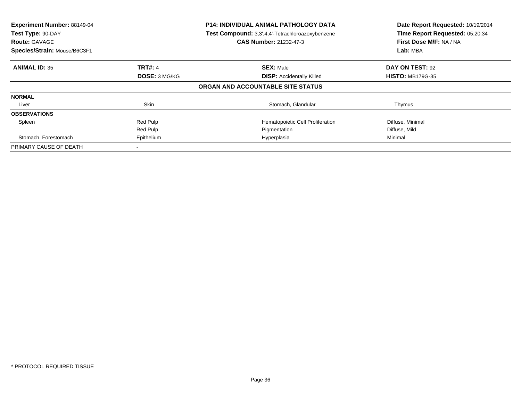| Experiment Number: 88149-04<br>Test Type: 90-DAY<br><b>Route: GAVAGE</b><br>Species/Strain: Mouse/B6C3F1 |                | <b>P14: INDIVIDUAL ANIMAL PATHOLOGY DATA</b><br>Test Compound: 3,3',4,4'-Tetrachloroazoxybenzene<br><b>CAS Number: 21232-47-3</b> | Date Report Requested: 10/19/2014<br>Time Report Requested: 05:20:34<br>First Dose M/F: NA / NA<br>Lab: MBA |
|----------------------------------------------------------------------------------------------------------|----------------|-----------------------------------------------------------------------------------------------------------------------------------|-------------------------------------------------------------------------------------------------------------|
| <b>ANIMAL ID: 35</b>                                                                                     | <b>TRT#: 4</b> | <b>SEX: Male</b>                                                                                                                  | DAY ON TEST: 92                                                                                             |
|                                                                                                          | DOSE: 3 MG/KG  | <b>DISP: Accidentally Killed</b>                                                                                                  | <b>HISTO: MB179G-35</b>                                                                                     |
|                                                                                                          |                | ORGAN AND ACCOUNTABLE SITE STATUS                                                                                                 |                                                                                                             |
| <b>NORMAL</b>                                                                                            |                |                                                                                                                                   |                                                                                                             |
| Liver                                                                                                    | <b>Skin</b>    | Stomach, Glandular                                                                                                                | Thymus                                                                                                      |
| <b>OBSERVATIONS</b>                                                                                      |                |                                                                                                                                   |                                                                                                             |
| Spleen                                                                                                   | Red Pulp       | Hematopoietic Cell Proliferation                                                                                                  | Diffuse, Minimal                                                                                            |
|                                                                                                          | Red Pulp       | Pigmentation                                                                                                                      | Diffuse, Mild                                                                                               |
| Stomach, Forestomach                                                                                     | Epithelium     | Hyperplasia                                                                                                                       | Minimal                                                                                                     |
| PRIMARY CAUSE OF DEATH                                                                                   |                |                                                                                                                                   |                                                                                                             |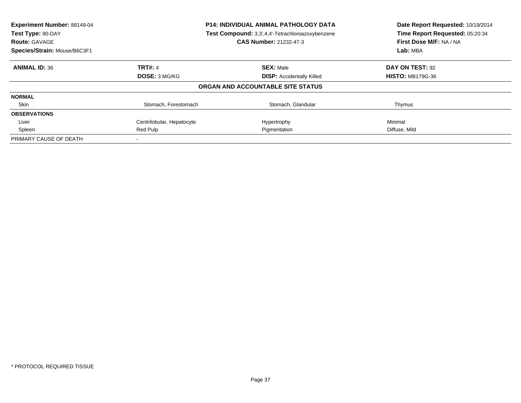| Experiment Number: 88149-04<br>Test Type: 90-DAY<br><b>Route: GAVAGE</b> | <b>P14: INDIVIDUAL ANIMAL PATHOLOGY DATA</b><br>Test Compound: 3,3',4,4'-Tetrachloroazoxybenzene<br><b>CAS Number: 21232-47-3</b> |                                   | Date Report Requested: 10/19/2014<br>Time Report Requested: 05:20:34<br>First Dose M/F: NA / NA |
|--------------------------------------------------------------------------|-----------------------------------------------------------------------------------------------------------------------------------|-----------------------------------|-------------------------------------------------------------------------------------------------|
| Species/Strain: Mouse/B6C3F1                                             |                                                                                                                                   |                                   | Lab: MBA                                                                                        |
| <b>ANIMAL ID: 36</b>                                                     | <b>TRT#: 4</b>                                                                                                                    | <b>SEX: Male</b>                  | DAY ON TEST: 92                                                                                 |
|                                                                          | <b>DOSE: 3 MG/KG</b>                                                                                                              | <b>DISP:</b> Accidentally Killed  | <b>HISTO: MB179G-36</b>                                                                         |
|                                                                          |                                                                                                                                   | ORGAN AND ACCOUNTABLE SITE STATUS |                                                                                                 |
| <b>NORMAL</b>                                                            |                                                                                                                                   |                                   |                                                                                                 |
| Skin                                                                     | Stomach, Forestomach                                                                                                              | Stomach, Glandular                | Thymus                                                                                          |
| <b>OBSERVATIONS</b>                                                      |                                                                                                                                   |                                   |                                                                                                 |
| Liver                                                                    | Centrilobular, Hepatocyte                                                                                                         | Hypertrophy                       | Minimal                                                                                         |
| Spleen                                                                   | Red Pulp                                                                                                                          | Pigmentation                      | Diffuse, Mild                                                                                   |
| PRIMARY CAUSE OF DEATH                                                   |                                                                                                                                   |                                   |                                                                                                 |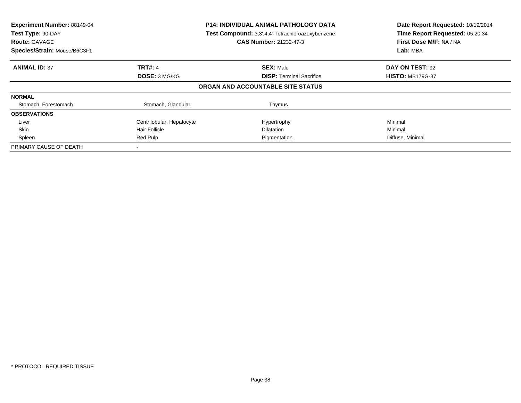| Experiment Number: 88149-04<br>Test Type: 90-DAY<br><b>Route: GAVAGE</b><br>Species/Strain: Mouse/B6C3F1 | <b>P14: INDIVIDUAL ANIMAL PATHOLOGY DATA</b><br>Test Compound: 3,3',4,4'-Tetrachloroazoxybenzene<br><b>CAS Number: 21232-47-3</b> |                                   | Date Report Requested: 10/19/2014<br>Time Report Requested: 05:20:34<br>First Dose M/F: NA / NA<br>Lab: MBA |
|----------------------------------------------------------------------------------------------------------|-----------------------------------------------------------------------------------------------------------------------------------|-----------------------------------|-------------------------------------------------------------------------------------------------------------|
| <b>ANIMAL ID: 37</b>                                                                                     | <b>TRT#: 4</b>                                                                                                                    | <b>SEX: Male</b>                  | DAY ON TEST: 92                                                                                             |
|                                                                                                          | DOSE: 3 MG/KG                                                                                                                     | <b>DISP:</b> Terminal Sacrifice   | <b>HISTO: MB179G-37</b>                                                                                     |
|                                                                                                          |                                                                                                                                   | ORGAN AND ACCOUNTABLE SITE STATUS |                                                                                                             |
| <b>NORMAL</b>                                                                                            |                                                                                                                                   |                                   |                                                                                                             |
| Stomach, Forestomach                                                                                     | Stomach, Glandular                                                                                                                | Thymus                            |                                                                                                             |
| <b>OBSERVATIONS</b>                                                                                      |                                                                                                                                   |                                   |                                                                                                             |
| Liver                                                                                                    | Centrilobular, Hepatocyte                                                                                                         | Hypertrophy                       | Minimal                                                                                                     |
| Skin                                                                                                     | <b>Hair Follicle</b>                                                                                                              | <b>Dilatation</b>                 | Minimal                                                                                                     |
| Spleen                                                                                                   | Red Pulp                                                                                                                          | Pigmentation                      | Diffuse, Minimal                                                                                            |
| PRIMARY CAUSE OF DEATH                                                                                   |                                                                                                                                   |                                   |                                                                                                             |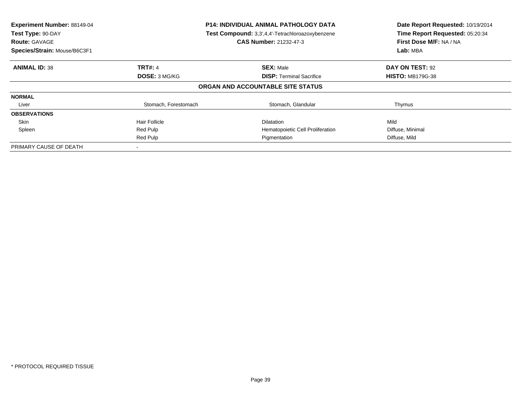| Experiment Number: 88149-04<br>Test Type: 90-DAY<br><b>Route: GAVAGE</b><br>Species/Strain: Mouse/B6C3F1 | <b>P14: INDIVIDUAL ANIMAL PATHOLOGY DATA</b><br>Test Compound: 3,3',4,4'-Tetrachloroazoxybenzene<br><b>CAS Number: 21232-47-3</b> |                                   | Date Report Requested: 10/19/2014<br>Time Report Requested: 05:20:34<br>First Dose M/F: NA / NA<br>Lab: MBA |
|----------------------------------------------------------------------------------------------------------|-----------------------------------------------------------------------------------------------------------------------------------|-----------------------------------|-------------------------------------------------------------------------------------------------------------|
| <b>ANIMAL ID: 38</b>                                                                                     | <b>TRT#: 4</b>                                                                                                                    | <b>SEX: Male</b>                  | DAY ON TEST: 92                                                                                             |
|                                                                                                          | DOSE: 3 MG/KG                                                                                                                     | <b>DISP: Terminal Sacrifice</b>   | <b>HISTO: MB179G-38</b>                                                                                     |
|                                                                                                          |                                                                                                                                   | ORGAN AND ACCOUNTABLE SITE STATUS |                                                                                                             |
| <b>NORMAL</b>                                                                                            |                                                                                                                                   |                                   |                                                                                                             |
| Liver                                                                                                    | Stomach, Forestomach                                                                                                              | Stomach, Glandular                | Thymus                                                                                                      |
| <b>OBSERVATIONS</b>                                                                                      |                                                                                                                                   |                                   |                                                                                                             |
| Skin                                                                                                     | Hair Follicle                                                                                                                     | <b>Dilatation</b>                 | Mild                                                                                                        |
| Spleen                                                                                                   | Red Pulp                                                                                                                          | Hematopoietic Cell Proliferation  | Diffuse, Minimal                                                                                            |
|                                                                                                          | Red Pulp                                                                                                                          | Pigmentation                      | Diffuse, Mild                                                                                               |
| PRIMARY CAUSE OF DEATH                                                                                   | $\,$                                                                                                                              |                                   |                                                                                                             |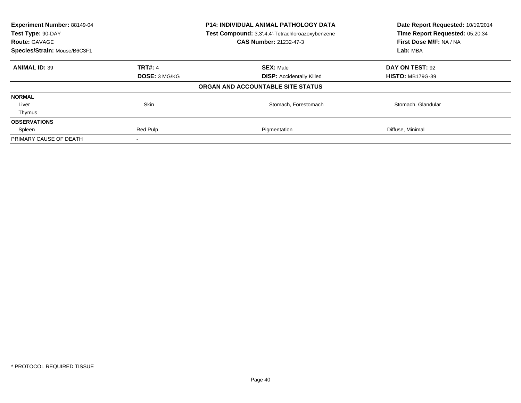| Experiment Number: 88149-04<br><b>P14: INDIVIDUAL ANIMAL PATHOLOGY DATA</b><br>Test Compound: 3,3',4,4'-Tetrachloroazoxybenzene<br>Test Type: 90-DAY<br><b>CAS Number: 21232-47-3</b><br><b>Route: GAVAGE</b><br>Species/Strain: Mouse/B6C3F1 |                | Date Report Requested: 10/19/2014<br>Time Report Requested: 05:20:34<br>First Dose M/F: NA / NA<br>Lab: MBA |                         |
|-----------------------------------------------------------------------------------------------------------------------------------------------------------------------------------------------------------------------------------------------|----------------|-------------------------------------------------------------------------------------------------------------|-------------------------|
| <b>ANIMAL ID: 39</b>                                                                                                                                                                                                                          | <b>TRT#: 4</b> | <b>SEX: Male</b>                                                                                            | DAY ON TEST: 92         |
|                                                                                                                                                                                                                                               | DOSE: 3 MG/KG  | <b>DISP:</b> Accidentally Killed                                                                            | <b>HISTO: MB179G-39</b> |
|                                                                                                                                                                                                                                               |                | ORGAN AND ACCOUNTABLE SITE STATUS                                                                           |                         |
| <b>NORMAL</b>                                                                                                                                                                                                                                 |                |                                                                                                             |                         |
| Liver                                                                                                                                                                                                                                         | Skin           | Stomach, Forestomach                                                                                        | Stomach, Glandular      |
| Thymus                                                                                                                                                                                                                                        |                |                                                                                                             |                         |
| <b>OBSERVATIONS</b>                                                                                                                                                                                                                           |                |                                                                                                             |                         |
| Spleen                                                                                                                                                                                                                                        | Red Pulp       | Pigmentation                                                                                                | Diffuse, Minimal        |
| PRIMARY CAUSE OF DEATH                                                                                                                                                                                                                        |                |                                                                                                             |                         |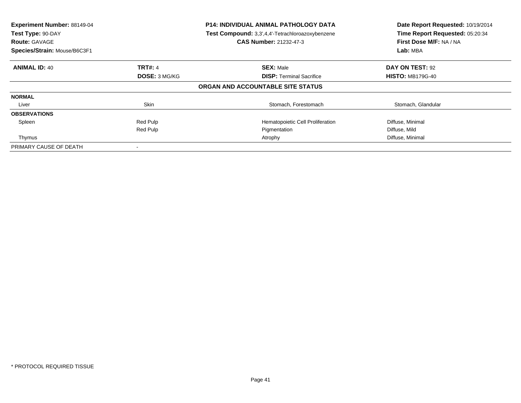| Experiment Number: 88149-04<br>Test Type: 90-DAY<br><b>Route: GAVAGE</b><br>Species/Strain: Mouse/B6C3F1 |                | <b>P14: INDIVIDUAL ANIMAL PATHOLOGY DATA</b><br>Test Compound: 3,3',4,4'-Tetrachloroazoxybenzene<br><b>CAS Number: 21232-47-3</b> | Date Report Requested: 10/19/2014<br>Time Report Requested: 05:20:34<br>First Dose M/F: NA / NA<br>Lab: MBA |
|----------------------------------------------------------------------------------------------------------|----------------|-----------------------------------------------------------------------------------------------------------------------------------|-------------------------------------------------------------------------------------------------------------|
| <b>ANIMAL ID: 40</b>                                                                                     | <b>TRT#: 4</b> | <b>SEX: Male</b>                                                                                                                  | DAY ON TEST: 92                                                                                             |
|                                                                                                          | DOSE: 3 MG/KG  | <b>DISP:</b> Terminal Sacrifice                                                                                                   | <b>HISTO: MB179G-40</b>                                                                                     |
|                                                                                                          |                | ORGAN AND ACCOUNTABLE SITE STATUS                                                                                                 |                                                                                                             |
| <b>NORMAL</b>                                                                                            |                |                                                                                                                                   |                                                                                                             |
| Liver                                                                                                    | Skin           | Stomach, Forestomach                                                                                                              | Stomach, Glandular                                                                                          |
| <b>OBSERVATIONS</b>                                                                                      |                |                                                                                                                                   |                                                                                                             |
| Spleen                                                                                                   | Red Pulp       | Hematopoietic Cell Proliferation                                                                                                  | Diffuse, Minimal                                                                                            |
|                                                                                                          | Red Pulp       | Pigmentation                                                                                                                      | Diffuse, Mild                                                                                               |
| Thymus                                                                                                   |                | Atrophy                                                                                                                           | Diffuse, Minimal                                                                                            |
| PRIMARY CAUSE OF DEATH                                                                                   |                |                                                                                                                                   |                                                                                                             |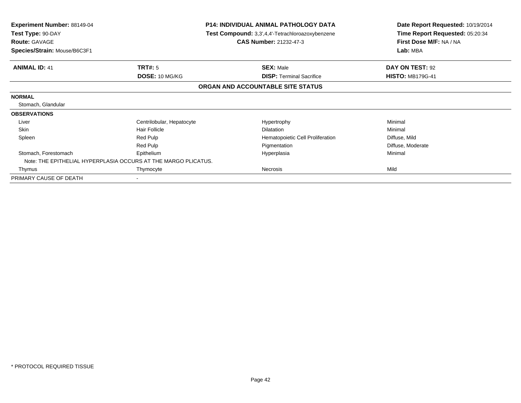| <b>Experiment Number: 88149-04</b><br>Test Type: 90-DAY<br><b>Route: GAVAGE</b><br>Species/Strain: Mouse/B6C3F1 |                           | P14: INDIVIDUAL ANIMAL PATHOLOGY DATA<br>Test Compound: 3,3',4,4'-Tetrachloroazoxybenzene<br><b>CAS Number: 21232-47-3</b> | Date Report Requested: 10/19/2014<br>Time Report Requested: 05:20:34<br>First Dose M/F: NA / NA<br>Lab: MBA |  |
|-----------------------------------------------------------------------------------------------------------------|---------------------------|----------------------------------------------------------------------------------------------------------------------------|-------------------------------------------------------------------------------------------------------------|--|
|                                                                                                                 |                           |                                                                                                                            |                                                                                                             |  |
| <b>ANIMAL ID: 41</b>                                                                                            | TRT#: 5                   | <b>SEX: Male</b>                                                                                                           | DAY ON TEST: 92                                                                                             |  |
|                                                                                                                 | DOSE: 10 MG/KG            | <b>DISP: Terminal Sacrifice</b>                                                                                            | <b>HISTO: MB179G-41</b>                                                                                     |  |
|                                                                                                                 |                           | ORGAN AND ACCOUNTABLE SITE STATUS                                                                                          |                                                                                                             |  |
| <b>NORMAL</b>                                                                                                   |                           |                                                                                                                            |                                                                                                             |  |
| Stomach, Glandular                                                                                              |                           |                                                                                                                            |                                                                                                             |  |
| <b>OBSERVATIONS</b>                                                                                             |                           |                                                                                                                            |                                                                                                             |  |
| Liver                                                                                                           | Centrilobular, Hepatocyte | Hypertrophy                                                                                                                | Minimal                                                                                                     |  |
| Skin                                                                                                            | <b>Hair Follicle</b>      | Dilatation                                                                                                                 | Minimal                                                                                                     |  |
| Spleen                                                                                                          | Red Pulp                  | Hematopoietic Cell Proliferation                                                                                           | Diffuse, Mild                                                                                               |  |
|                                                                                                                 | Red Pulp                  | Pigmentation                                                                                                               | Diffuse, Moderate                                                                                           |  |
| Stomach, Forestomach                                                                                            | Epithelium                | Hyperplasia                                                                                                                | Minimal                                                                                                     |  |
| Note: THE EPITHELIAL HYPERPLASIA OCCURS AT THE MARGO PLICATUS.                                                  |                           |                                                                                                                            |                                                                                                             |  |
| Thymus                                                                                                          | Thymocyte                 | Necrosis                                                                                                                   | Mild                                                                                                        |  |
| PRIMARY CAUSE OF DEATH                                                                                          |                           |                                                                                                                            |                                                                                                             |  |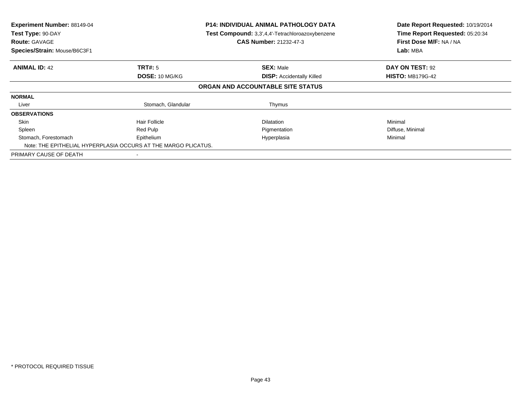| Experiment Number: 88149-04<br>Test Type: 90-DAY<br><b>Route: GAVAGE</b><br>Species/Strain: Mouse/B6C3F1 | <b>P14: INDIVIDUAL ANIMAL PATHOLOGY DATA</b><br>Test Compound: 3,3',4,4'-Tetrachloroazoxybenzene<br><b>CAS Number: 21232-47-3</b> |                                   | Date Report Requested: 10/19/2014<br>Time Report Requested: 05:20:34<br>First Dose M/F: NA / NA<br>Lab: MBA |
|----------------------------------------------------------------------------------------------------------|-----------------------------------------------------------------------------------------------------------------------------------|-----------------------------------|-------------------------------------------------------------------------------------------------------------|
| <b>ANIMAL ID: 42</b>                                                                                     | TRT#: 5                                                                                                                           | <b>SEX: Male</b>                  | DAY ON TEST: 92                                                                                             |
|                                                                                                          | DOSE: 10 MG/KG                                                                                                                    | <b>DISP:</b> Accidentally Killed  | <b>HISTO: MB179G-42</b>                                                                                     |
|                                                                                                          |                                                                                                                                   | ORGAN AND ACCOUNTABLE SITE STATUS |                                                                                                             |
| <b>NORMAL</b>                                                                                            |                                                                                                                                   |                                   |                                                                                                             |
| Liver                                                                                                    | Stomach, Glandular                                                                                                                | Thymus                            |                                                                                                             |
| <b>OBSERVATIONS</b>                                                                                      |                                                                                                                                   |                                   |                                                                                                             |
| Skin                                                                                                     | <b>Hair Follicle</b>                                                                                                              | <b>Dilatation</b>                 | Minimal                                                                                                     |
| Spleen                                                                                                   | Red Pulp                                                                                                                          | Pigmentation                      | Diffuse, Minimal                                                                                            |
| Stomach, Forestomach                                                                                     | Epithelium<br>Note: THE EPITHELIAL HYPERPLASIA OCCURS AT THE MARGO PLICATUS.                                                      | Hyperplasia                       | Minimal                                                                                                     |
| PRIMARY CAUSE OF DEATH                                                                                   |                                                                                                                                   |                                   |                                                                                                             |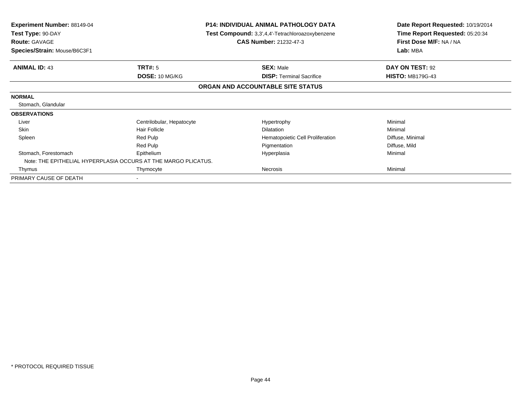| <b>Experiment Number: 88149-04</b><br>Test Type: 90-DAY<br><b>Route: GAVAGE</b> |                           | <b>P14: INDIVIDUAL ANIMAL PATHOLOGY DATA</b><br>Test Compound: 3,3',4,4'-Tetrachloroazoxybenzene<br><b>CAS Number: 21232-47-3</b> | Date Report Requested: 10/19/2014<br>Time Report Requested: 05:20:34<br>First Dose M/F: NA / NA<br>Lab: MBA |  |
|---------------------------------------------------------------------------------|---------------------------|-----------------------------------------------------------------------------------------------------------------------------------|-------------------------------------------------------------------------------------------------------------|--|
| Species/Strain: Mouse/B6C3F1                                                    |                           |                                                                                                                                   |                                                                                                             |  |
| <b>ANIMAL ID: 43</b>                                                            | TRT#: 5                   | <b>SEX: Male</b>                                                                                                                  | DAY ON TEST: 92                                                                                             |  |
|                                                                                 | DOSE: 10 MG/KG            | <b>DISP:</b> Terminal Sacrifice                                                                                                   | <b>HISTO: MB179G-43</b>                                                                                     |  |
|                                                                                 |                           | ORGAN AND ACCOUNTABLE SITE STATUS                                                                                                 |                                                                                                             |  |
| <b>NORMAL</b>                                                                   |                           |                                                                                                                                   |                                                                                                             |  |
| Stomach, Glandular                                                              |                           |                                                                                                                                   |                                                                                                             |  |
| <b>OBSERVATIONS</b>                                                             |                           |                                                                                                                                   |                                                                                                             |  |
| Liver                                                                           | Centrilobular, Hepatocyte | Hypertrophy                                                                                                                       | Minimal                                                                                                     |  |
| <b>Skin</b>                                                                     | <b>Hair Follicle</b>      | <b>Dilatation</b>                                                                                                                 | Minimal                                                                                                     |  |
| Spleen                                                                          | Red Pulp                  | Hematopoietic Cell Proliferation                                                                                                  | Diffuse, Minimal                                                                                            |  |
|                                                                                 | Red Pulp                  | Pigmentation                                                                                                                      | Diffuse, Mild                                                                                               |  |
| Stomach, Forestomach                                                            | Epithelium                | Hyperplasia                                                                                                                       | Minimal                                                                                                     |  |
| Note: THE EPITHELIAL HYPERPLASIA OCCURS AT THE MARGO PLICATUS.                  |                           |                                                                                                                                   |                                                                                                             |  |
| Thymus                                                                          | Thymocyte                 | Necrosis                                                                                                                          | Minimal                                                                                                     |  |
| PRIMARY CAUSE OF DEATH                                                          |                           |                                                                                                                                   |                                                                                                             |  |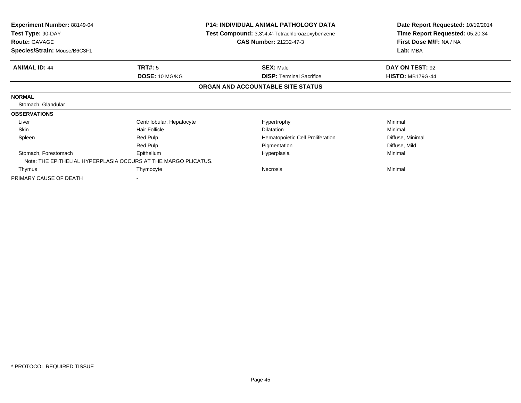| <b>Experiment Number: 88149-04</b><br>Test Type: 90-DAY<br><b>Route: GAVAGE</b> |                           | <b>P14: INDIVIDUAL ANIMAL PATHOLOGY DATA</b><br>Test Compound: 3,3',4,4'-Tetrachloroazoxybenzene<br><b>CAS Number: 21232-47-3</b> | Date Report Requested: 10/19/2014<br>Time Report Requested: 05:20:34<br>First Dose M/F: NA / NA |  |
|---------------------------------------------------------------------------------|---------------------------|-----------------------------------------------------------------------------------------------------------------------------------|-------------------------------------------------------------------------------------------------|--|
| Species/Strain: Mouse/B6C3F1                                                    |                           |                                                                                                                                   | Lab: MBA                                                                                        |  |
| <b>ANIMAL ID: 44</b>                                                            | TRT#: 5                   | <b>SEX: Male</b>                                                                                                                  | DAY ON TEST: 92                                                                                 |  |
|                                                                                 | DOSE: 10 MG/KG            | <b>DISP: Terminal Sacrifice</b>                                                                                                   | <b>HISTO: MB179G-44</b>                                                                         |  |
|                                                                                 |                           | ORGAN AND ACCOUNTABLE SITE STATUS                                                                                                 |                                                                                                 |  |
| <b>NORMAL</b>                                                                   |                           |                                                                                                                                   |                                                                                                 |  |
| Stomach, Glandular                                                              |                           |                                                                                                                                   |                                                                                                 |  |
| <b>OBSERVATIONS</b>                                                             |                           |                                                                                                                                   |                                                                                                 |  |
| Liver                                                                           | Centrilobular, Hepatocyte | Hypertrophy                                                                                                                       | Minimal                                                                                         |  |
| <b>Skin</b>                                                                     | <b>Hair Follicle</b>      | <b>Dilatation</b>                                                                                                                 | Minimal                                                                                         |  |
| Spleen                                                                          | Red Pulp                  | Hematopoietic Cell Proliferation                                                                                                  | Diffuse, Minimal                                                                                |  |
|                                                                                 | Red Pulp                  | Pigmentation                                                                                                                      | Diffuse, Mild                                                                                   |  |
| Stomach, Forestomach                                                            | Epithelium                | Hyperplasia                                                                                                                       | Minimal                                                                                         |  |
| Note: THE EPITHELIAL HYPERPLASIA OCCURS AT THE MARGO PLICATUS.                  |                           |                                                                                                                                   |                                                                                                 |  |
| Thymus                                                                          | Thymocyte                 | Necrosis                                                                                                                          | Minimal                                                                                         |  |
| PRIMARY CAUSE OF DEATH                                                          | $\,$                      |                                                                                                                                   |                                                                                                 |  |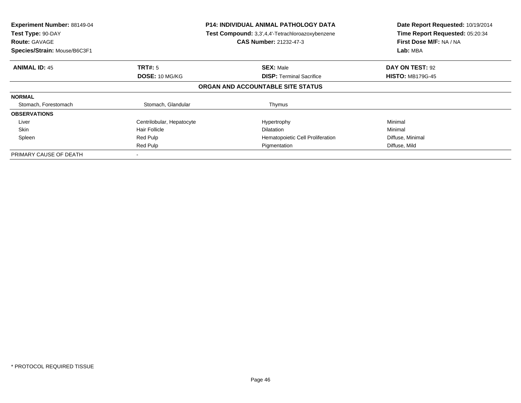| <b>Experiment Number: 88149-04</b><br>Test Type: 90-DAY<br><b>Route: GAVAGE</b><br>Species/Strain: Mouse/B6C3F1 | <b>P14: INDIVIDUAL ANIMAL PATHOLOGY DATA</b><br>Test Compound: 3,3',4,4'-Tetrachloroazoxybenzene<br><b>CAS Number: 21232-47-3</b> |                                   | Date Report Requested: 10/19/2014<br>Time Report Requested: 05:20:34<br>First Dose M/F: NA / NA<br>Lab: MBA |
|-----------------------------------------------------------------------------------------------------------------|-----------------------------------------------------------------------------------------------------------------------------------|-----------------------------------|-------------------------------------------------------------------------------------------------------------|
| <b>ANIMAL ID: 45</b>                                                                                            | TRT#: 5                                                                                                                           | <b>SEX: Male</b>                  | DAY ON TEST: 92                                                                                             |
|                                                                                                                 | DOSE: 10 MG/KG                                                                                                                    | <b>DISP:</b> Terminal Sacrifice   | <b>HISTO: MB179G-45</b>                                                                                     |
|                                                                                                                 |                                                                                                                                   | ORGAN AND ACCOUNTABLE SITE STATUS |                                                                                                             |
| <b>NORMAL</b>                                                                                                   |                                                                                                                                   |                                   |                                                                                                             |
| Stomach, Forestomach                                                                                            | Stomach, Glandular                                                                                                                | Thymus                            |                                                                                                             |
| <b>OBSERVATIONS</b>                                                                                             |                                                                                                                                   |                                   |                                                                                                             |
| Liver                                                                                                           | Centrilobular, Hepatocyte                                                                                                         | Hypertrophy                       | Minimal                                                                                                     |
| <b>Skin</b>                                                                                                     | Hair Follicle                                                                                                                     | <b>Dilatation</b>                 | Minimal                                                                                                     |
| Spleen                                                                                                          | Red Pulp                                                                                                                          | Hematopoietic Cell Proliferation  | Diffuse, Minimal                                                                                            |
|                                                                                                                 | Red Pulp                                                                                                                          | Pigmentation                      | Diffuse, Mild                                                                                               |
| PRIMARY CAUSE OF DEATH                                                                                          |                                                                                                                                   |                                   |                                                                                                             |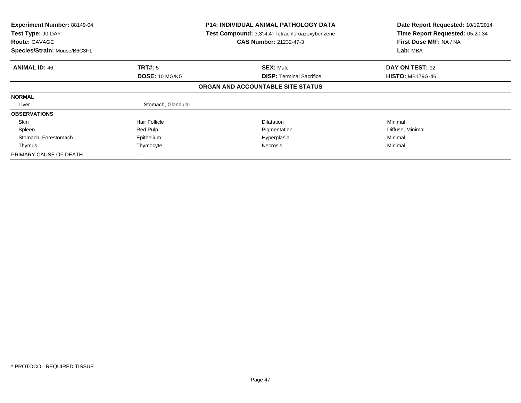| Experiment Number: 88149-04<br>Test Type: 90-DAY<br><b>Route: GAVAGE</b><br>Species/Strain: Mouse/B6C3F1 | <b>P14: INDIVIDUAL ANIMAL PATHOLOGY DATA</b><br>Test Compound: 3,3',4,4'-Tetrachloroazoxybenzene<br>CAS Number: 21232-47-3 |                                   | Date Report Requested: 10/19/2014<br>Time Report Requested: 05:20:34<br>First Dose M/F: NA / NA<br>Lab: MBA |
|----------------------------------------------------------------------------------------------------------|----------------------------------------------------------------------------------------------------------------------------|-----------------------------------|-------------------------------------------------------------------------------------------------------------|
| <b>ANIMAL ID: 46</b>                                                                                     | TRT#: 5                                                                                                                    | <b>SEX: Male</b>                  | DAY ON TEST: 92                                                                                             |
|                                                                                                          | DOSE: 10 MG/KG                                                                                                             | <b>DISP:</b> Terminal Sacrifice   | <b>HISTO: MB179G-46</b>                                                                                     |
|                                                                                                          |                                                                                                                            | ORGAN AND ACCOUNTABLE SITE STATUS |                                                                                                             |
| <b>NORMAL</b>                                                                                            |                                                                                                                            |                                   |                                                                                                             |
| Liver                                                                                                    | Stomach, Glandular                                                                                                         |                                   |                                                                                                             |
| <b>OBSERVATIONS</b>                                                                                      |                                                                                                                            |                                   |                                                                                                             |
| Skin                                                                                                     | <b>Hair Follicle</b>                                                                                                       | <b>Dilatation</b>                 | Minimal                                                                                                     |
| Spleen                                                                                                   | Red Pulp                                                                                                                   | Pigmentation                      | Diffuse, Minimal                                                                                            |
| Stomach, Forestomach                                                                                     | Epithelium                                                                                                                 | Hyperplasia                       | Minimal                                                                                                     |
| Thymus                                                                                                   | Thymocyte                                                                                                                  | Necrosis                          | Minimal                                                                                                     |
| PRIMARY CAUSE OF DEATH                                                                                   |                                                                                                                            |                                   |                                                                                                             |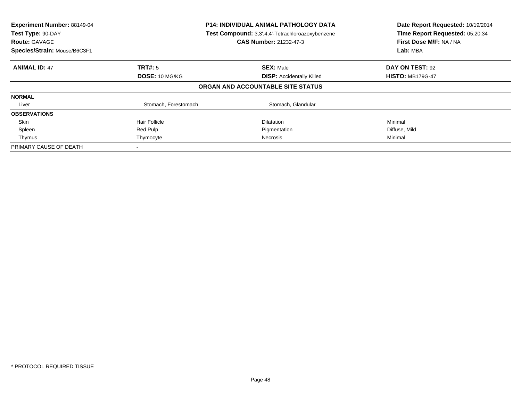| Experiment Number: 88149-04<br>Test Type: 90-DAY<br><b>Route: GAVAGE</b><br>Species/Strain: Mouse/B6C3F1 | <b>P14: INDIVIDUAL ANIMAL PATHOLOGY DATA</b><br>Test Compound: 3,3',4,4'-Tetrachloroazoxybenzene<br><b>CAS Number: 21232-47-3</b> |                                   | Date Report Requested: 10/19/2014<br>Time Report Requested: 05:20:34<br>First Dose M/F: NA / NA<br>Lab: MBA |
|----------------------------------------------------------------------------------------------------------|-----------------------------------------------------------------------------------------------------------------------------------|-----------------------------------|-------------------------------------------------------------------------------------------------------------|
| <b>ANIMAL ID: 47</b>                                                                                     | <b>TRT#:</b> 5                                                                                                                    | <b>SEX: Male</b>                  | DAY ON TEST: 92                                                                                             |
|                                                                                                          | <b>DOSE: 10 MG/KG</b>                                                                                                             | <b>DISP:</b> Accidentally Killed  | <b>HISTO: MB179G-47</b>                                                                                     |
|                                                                                                          |                                                                                                                                   | ORGAN AND ACCOUNTABLE SITE STATUS |                                                                                                             |
| <b>NORMAL</b>                                                                                            |                                                                                                                                   |                                   |                                                                                                             |
| Liver                                                                                                    | Stomach, Forestomach                                                                                                              | Stomach, Glandular                |                                                                                                             |
| <b>OBSERVATIONS</b>                                                                                      |                                                                                                                                   |                                   |                                                                                                             |
| Skin                                                                                                     | <b>Hair Follicle</b>                                                                                                              | <b>Dilatation</b>                 | Minimal                                                                                                     |
| Spleen                                                                                                   | Red Pulp                                                                                                                          | Pigmentation                      | Diffuse, Mild                                                                                               |
| Thymus                                                                                                   | Thymocyte                                                                                                                         | Necrosis                          | Minimal                                                                                                     |
| PRIMARY CAUSE OF DEATH                                                                                   |                                                                                                                                   |                                   |                                                                                                             |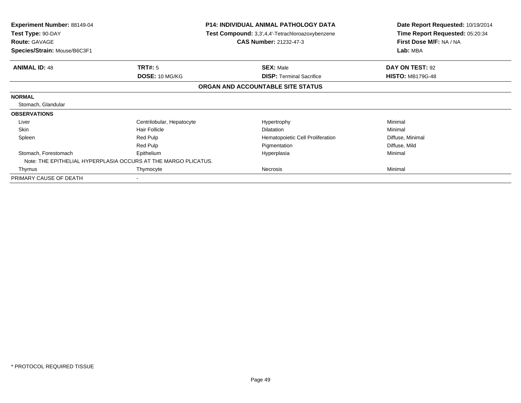| <b>Experiment Number: 88149-04</b><br>Test Type: 90-DAY<br><b>Route: GAVAGE</b> |                           | <b>P14: INDIVIDUAL ANIMAL PATHOLOGY DATA</b><br>Test Compound: 3,3',4,4'-Tetrachloroazoxybenzene<br><b>CAS Number: 21232-47-3</b> | Date Report Requested: 10/19/2014<br>Time Report Requested: 05:20:34<br>First Dose M/F: NA / NA |  |
|---------------------------------------------------------------------------------|---------------------------|-----------------------------------------------------------------------------------------------------------------------------------|-------------------------------------------------------------------------------------------------|--|
| Species/Strain: Mouse/B6C3F1                                                    |                           |                                                                                                                                   | Lab: MBA                                                                                        |  |
| <b>ANIMAL ID: 48</b>                                                            | TRT#: 5                   | <b>SEX: Male</b>                                                                                                                  | DAY ON TEST: 92                                                                                 |  |
|                                                                                 | DOSE: 10 MG/KG            | <b>DISP:</b> Terminal Sacrifice                                                                                                   | <b>HISTO: MB179G-48</b>                                                                         |  |
|                                                                                 |                           | ORGAN AND ACCOUNTABLE SITE STATUS                                                                                                 |                                                                                                 |  |
| <b>NORMAL</b>                                                                   |                           |                                                                                                                                   |                                                                                                 |  |
| Stomach, Glandular                                                              |                           |                                                                                                                                   |                                                                                                 |  |
| <b>OBSERVATIONS</b>                                                             |                           |                                                                                                                                   |                                                                                                 |  |
| Liver                                                                           | Centrilobular, Hepatocyte | Hypertrophy                                                                                                                       | Minimal                                                                                         |  |
| <b>Skin</b>                                                                     | <b>Hair Follicle</b>      | <b>Dilatation</b>                                                                                                                 | Minimal                                                                                         |  |
| Spleen                                                                          | Red Pulp                  | Hematopoietic Cell Proliferation                                                                                                  | Diffuse, Minimal                                                                                |  |
|                                                                                 | Red Pulp                  | Pigmentation                                                                                                                      | Diffuse, Mild                                                                                   |  |
| Stomach, Forestomach                                                            | Epithelium                | Hyperplasia                                                                                                                       | Minimal                                                                                         |  |
| Note: THE EPITHELIAL HYPERPLASIA OCCURS AT THE MARGO PLICATUS.                  |                           |                                                                                                                                   |                                                                                                 |  |
| Thymus                                                                          | Thymocyte                 | Necrosis                                                                                                                          | Minimal                                                                                         |  |
| PRIMARY CAUSE OF DEATH                                                          |                           |                                                                                                                                   |                                                                                                 |  |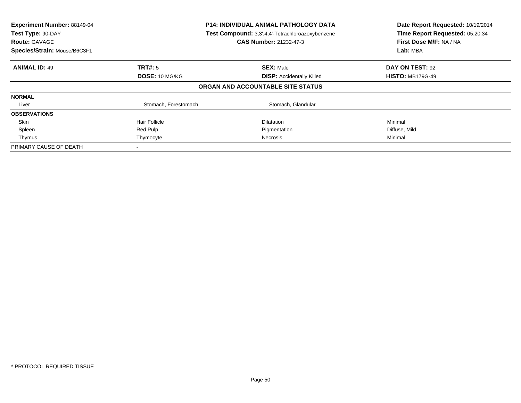| Experiment Number: 88149-04<br>Test Type: 90-DAY<br><b>Route: GAVAGE</b><br>Species/Strain: Mouse/B6C3F1 | <b>P14: INDIVIDUAL ANIMAL PATHOLOGY DATA</b><br>Test Compound: 3,3',4,4'-Tetrachloroazoxybenzene<br>CAS Number: 21232-47-3 |                                   | Date Report Requested: 10/19/2014<br>Time Report Requested: 05:20:34<br>First Dose M/F: NA / NA<br>Lab: MBA |
|----------------------------------------------------------------------------------------------------------|----------------------------------------------------------------------------------------------------------------------------|-----------------------------------|-------------------------------------------------------------------------------------------------------------|
| <b>ANIMAL ID: 49</b>                                                                                     | TRT#: 5                                                                                                                    | <b>SEX: Male</b>                  | DAY ON TEST: 92                                                                                             |
|                                                                                                          | DOSE: 10 MG/KG                                                                                                             | <b>DISP: Accidentally Killed</b>  | <b>HISTO: MB179G-49</b>                                                                                     |
|                                                                                                          |                                                                                                                            | ORGAN AND ACCOUNTABLE SITE STATUS |                                                                                                             |
| <b>NORMAL</b>                                                                                            |                                                                                                                            |                                   |                                                                                                             |
| Liver                                                                                                    | Stomach, Forestomach                                                                                                       | Stomach, Glandular                |                                                                                                             |
| <b>OBSERVATIONS</b>                                                                                      |                                                                                                                            |                                   |                                                                                                             |
| Skin                                                                                                     | <b>Hair Follicle</b>                                                                                                       | <b>Dilatation</b>                 | Minimal                                                                                                     |
| Spleen                                                                                                   | Red Pulp                                                                                                                   | Pigmentation                      | Diffuse, Mild                                                                                               |
| Thymus                                                                                                   | Thymocyte                                                                                                                  | Necrosis                          | Minimal                                                                                                     |
| PRIMARY CAUSE OF DEATH                                                                                   |                                                                                                                            |                                   |                                                                                                             |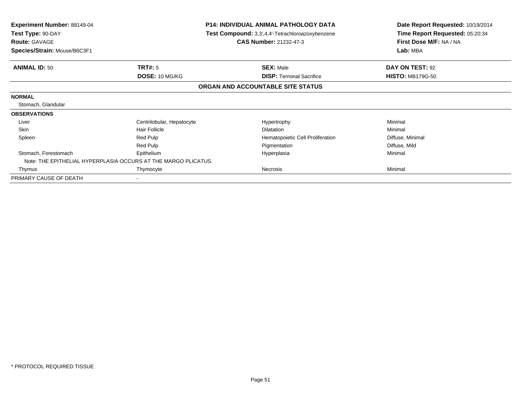| <b>Experiment Number: 88149-04</b><br>Test Type: 90-DAY<br><b>Route: GAVAGE</b> | <b>P14: INDIVIDUAL ANIMAL PATHOLOGY DATA</b><br>Test Compound: 3,3',4,4'-Tetrachloroazoxybenzene<br><b>CAS Number: 21232-47-3</b> |                                   | Date Report Requested: 10/19/2014<br>Time Report Requested: 05:20:34<br>First Dose M/F: NA / NA |  |
|---------------------------------------------------------------------------------|-----------------------------------------------------------------------------------------------------------------------------------|-----------------------------------|-------------------------------------------------------------------------------------------------|--|
| Species/Strain: Mouse/B6C3F1                                                    |                                                                                                                                   |                                   | Lab: MBA                                                                                        |  |
| <b>ANIMAL ID: 50</b>                                                            | TRT#: 5                                                                                                                           | <b>SEX: Male</b>                  | DAY ON TEST: 92                                                                                 |  |
|                                                                                 | DOSE: 10 MG/KG                                                                                                                    | <b>DISP:</b> Terminal Sacrifice   | <b>HISTO: MB179G-50</b>                                                                         |  |
|                                                                                 |                                                                                                                                   | ORGAN AND ACCOUNTABLE SITE STATUS |                                                                                                 |  |
| <b>NORMAL</b>                                                                   |                                                                                                                                   |                                   |                                                                                                 |  |
| Stomach, Glandular                                                              |                                                                                                                                   |                                   |                                                                                                 |  |
| <b>OBSERVATIONS</b>                                                             |                                                                                                                                   |                                   |                                                                                                 |  |
| Liver                                                                           | Centrilobular, Hepatocyte                                                                                                         | Hypertrophy                       | Minimal                                                                                         |  |
| <b>Skin</b>                                                                     | <b>Hair Follicle</b>                                                                                                              | <b>Dilatation</b>                 | Minimal                                                                                         |  |
| Spleen                                                                          | Red Pulp                                                                                                                          | Hematopoietic Cell Proliferation  | Diffuse, Minimal                                                                                |  |
|                                                                                 | Red Pulp                                                                                                                          | Pigmentation                      | Diffuse, Mild                                                                                   |  |
| Stomach, Forestomach                                                            | Epithelium                                                                                                                        | Hyperplasia                       | Minimal                                                                                         |  |
| Note: THE EPITHELIAL HYPERPLASIA OCCURS AT THE MARGO PLICATUS.                  |                                                                                                                                   |                                   |                                                                                                 |  |
| Thymus                                                                          | Thymocyte                                                                                                                         | Necrosis                          | Minimal                                                                                         |  |
| PRIMARY CAUSE OF DEATH                                                          |                                                                                                                                   |                                   |                                                                                                 |  |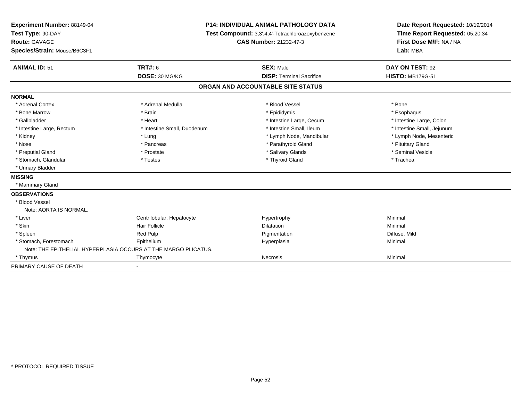| Experiment Number: 88149-04  |                                                                | <b>P14: INDIVIDUAL ANIMAL PATHOLOGY DATA</b>     | Date Report Requested: 10/19/2014 |
|------------------------------|----------------------------------------------------------------|--------------------------------------------------|-----------------------------------|
| Test Type: 90-DAY            |                                                                | Test Compound: 3,3',4,4'-Tetrachloroazoxybenzene |                                   |
| Route: GAVAGE                |                                                                | <b>CAS Number: 21232-47-3</b>                    | First Dose M/F: NA / NA           |
| Species/Strain: Mouse/B6C3F1 |                                                                |                                                  | Lab: MBA                          |
| <b>ANIMAL ID: 51</b>         | <b>TRT#: 6</b>                                                 | <b>SEX: Male</b>                                 | DAY ON TEST: 92                   |
|                              | DOSE: 30 MG/KG                                                 | <b>DISP: Terminal Sacrifice</b>                  | <b>HISTO: MB179G-51</b>           |
|                              |                                                                | ORGAN AND ACCOUNTABLE SITE STATUS                |                                   |
| <b>NORMAL</b>                |                                                                |                                                  |                                   |
| * Adrenal Cortex             | * Adrenal Medulla                                              | * Blood Vessel                                   | * Bone                            |
| * Bone Marrow                | * Brain                                                        | * Epididymis                                     | * Esophagus                       |
| * Gallbladder                | * Heart                                                        | * Intestine Large, Cecum                         | * Intestine Large, Colon          |
| * Intestine Large, Rectum    | * Intestine Small, Duodenum                                    | * Intestine Small, Ileum                         | * Intestine Small, Jejunum        |
| * Kidney                     | * Lung                                                         | * Lymph Node, Mandibular                         | * Lymph Node, Mesenteric          |
| * Nose                       | * Pancreas                                                     | * Parathyroid Gland                              | * Pituitary Gland                 |
| * Preputial Gland            | * Prostate                                                     | * Salivary Glands                                | * Seminal Vesicle                 |
| * Stomach, Glandular         | * Testes                                                       | * Thyroid Gland                                  | * Trachea                         |
| * Urinary Bladder            |                                                                |                                                  |                                   |
| <b>MISSING</b>               |                                                                |                                                  |                                   |
| * Mammary Gland              |                                                                |                                                  |                                   |
| <b>OBSERVATIONS</b>          |                                                                |                                                  |                                   |
| * Blood Vessel               |                                                                |                                                  |                                   |
| Note: AORTA IS NORMAL.       |                                                                |                                                  |                                   |
| * Liver                      | Centrilobular, Hepatocyte                                      | Hypertrophy                                      | Minimal                           |
| * Skin                       | <b>Hair Follicle</b>                                           | <b>Dilatation</b>                                | Minimal                           |
| * Spleen                     | Red Pulp                                                       | Pigmentation                                     | Diffuse, Mild                     |
| * Stomach, Forestomach       | Epithelium                                                     | Hyperplasia                                      | Minimal                           |
|                              | Note: THE EPITHELIAL HYPERPLASIA OCCURS AT THE MARGO PLICATUS. |                                                  |                                   |
| * Thymus                     | Thymocyte                                                      | Necrosis                                         | Minimal                           |
| PRIMARY CAUSE OF DEATH       |                                                                |                                                  |                                   |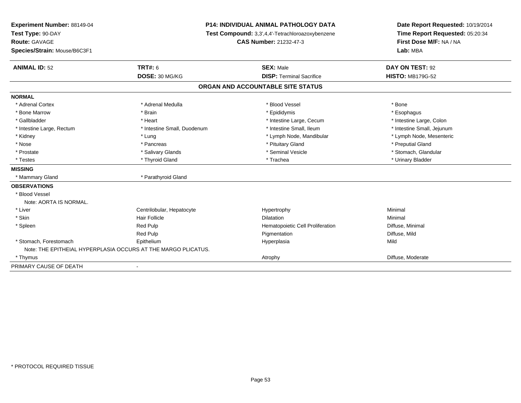| Experiment Number: 88149-04  |                                                               | P14: INDIVIDUAL ANIMAL PATHOLOGY DATA            | Date Report Requested: 10/19/2014 |  |
|------------------------------|---------------------------------------------------------------|--------------------------------------------------|-----------------------------------|--|
| Test Type: 90-DAY            |                                                               | Test Compound: 3,3',4,4'-Tetrachloroazoxybenzene | Time Report Requested: 05:20:34   |  |
| Route: GAVAGE                |                                                               | <b>CAS Number: 21232-47-3</b>                    | First Dose M/F: NA / NA           |  |
| Species/Strain: Mouse/B6C3F1 |                                                               |                                                  | Lab: MBA                          |  |
| <b>ANIMAL ID: 52</b>         | <b>TRT#: 6</b>                                                | <b>SEX: Male</b>                                 | DAY ON TEST: 92                   |  |
|                              | DOSE: 30 MG/KG                                                | <b>DISP: Terminal Sacrifice</b>                  | <b>HISTO: MB179G-52</b>           |  |
|                              |                                                               | ORGAN AND ACCOUNTABLE SITE STATUS                |                                   |  |
| <b>NORMAL</b>                |                                                               |                                                  |                                   |  |
| * Adrenal Cortex             | * Adrenal Medulla                                             | * Blood Vessel                                   | * Bone                            |  |
| * Bone Marrow                | * Brain                                                       | * Epididymis                                     | * Esophagus                       |  |
| * Gallbladder                | * Heart                                                       | * Intestine Large, Cecum                         | * Intestine Large, Colon          |  |
| * Intestine Large, Rectum    | * Intestine Small, Duodenum                                   | * Intestine Small, Ileum                         | * Intestine Small, Jejunum        |  |
| * Kidney                     | * Lung                                                        | * Lymph Node, Mandibular                         | * Lymph Node, Mesenteric          |  |
| * Nose                       | * Pancreas                                                    | * Pituitary Gland                                | * Preputial Gland                 |  |
| * Prostate                   | * Salivary Glands                                             | * Seminal Vesicle                                | * Stomach, Glandular              |  |
| * Testes                     | * Thyroid Gland                                               | * Trachea                                        | * Urinary Bladder                 |  |
| <b>MISSING</b>               |                                                               |                                                  |                                   |  |
| * Mammary Gland              | * Parathyroid Gland                                           |                                                  |                                   |  |
| <b>OBSERVATIONS</b>          |                                                               |                                                  |                                   |  |
| * Blood Vessel               |                                                               |                                                  |                                   |  |
| Note: AORTA IS NORMAL.       |                                                               |                                                  |                                   |  |
| * Liver                      | Centrilobular, Hepatocyte                                     | Hypertrophy                                      | Minimal                           |  |
| * Skin                       | <b>Hair Follicle</b>                                          | Dilatation                                       | Minimal                           |  |
| * Spleen                     | Red Pulp                                                      | Hematopoietic Cell Proliferation                 | Diffuse, Minimal                  |  |
|                              | Red Pulp                                                      | Pigmentation                                     | Diffuse, Mild                     |  |
| * Stomach, Forestomach       | Epithelium                                                    | Hyperplasia                                      | Mild                              |  |
|                              | Note: THE EPITHEIAL HYPERPLASIA OCCURS AT THE MARGO PLICATUS. |                                                  |                                   |  |
| * Thymus                     |                                                               | Atrophy                                          | Diffuse, Moderate                 |  |
| PRIMARY CAUSE OF DEATH       |                                                               |                                                  |                                   |  |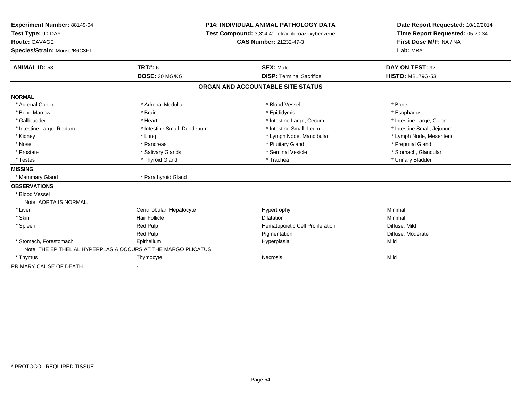| Experiment Number: 88149-04  |                                                                | <b>P14: INDIVIDUAL ANIMAL PATHOLOGY DATA</b>     | Date Report Requested: 10/19/2014 |  |
|------------------------------|----------------------------------------------------------------|--------------------------------------------------|-----------------------------------|--|
| Test Type: 90-DAY            |                                                                | Test Compound: 3,3',4,4'-Tetrachloroazoxybenzene |                                   |  |
| <b>Route: GAVAGE</b>         |                                                                | <b>CAS Number: 21232-47-3</b>                    | First Dose M/F: NA / NA           |  |
| Species/Strain: Mouse/B6C3F1 |                                                                |                                                  | Lab: MBA                          |  |
| <b>ANIMAL ID: 53</b>         | <b>TRT#: 6</b>                                                 | <b>SEX: Male</b>                                 | DAY ON TEST: 92                   |  |
|                              | DOSE: 30 MG/KG                                                 | <b>DISP: Terminal Sacrifice</b>                  | <b>HISTO: MB179G-53</b>           |  |
|                              |                                                                | ORGAN AND ACCOUNTABLE SITE STATUS                |                                   |  |
| <b>NORMAL</b>                |                                                                |                                                  |                                   |  |
| * Adrenal Cortex             | * Adrenal Medulla                                              | * Blood Vessel                                   | * Bone                            |  |
| * Bone Marrow                | * Brain                                                        | * Epididymis                                     | * Esophagus                       |  |
| * Gallbladder                | * Heart                                                        | * Intestine Large, Cecum                         | * Intestine Large, Colon          |  |
| * Intestine Large, Rectum    | * Intestine Small, Duodenum                                    | * Intestine Small, Ileum                         | * Intestine Small, Jejunum        |  |
| * Kidney                     | * Lung                                                         | * Lymph Node, Mandibular                         | * Lymph Node, Mesenteric          |  |
| * Nose                       | * Pancreas                                                     | * Pituitary Gland                                | * Preputial Gland                 |  |
| * Prostate                   | * Salivary Glands                                              | * Seminal Vesicle                                | * Stomach, Glandular              |  |
| * Testes                     | * Thyroid Gland                                                | * Trachea                                        | * Urinary Bladder                 |  |
| <b>MISSING</b>               |                                                                |                                                  |                                   |  |
| * Mammary Gland              | * Parathyroid Gland                                            |                                                  |                                   |  |
| <b>OBSERVATIONS</b>          |                                                                |                                                  |                                   |  |
| * Blood Vessel               |                                                                |                                                  |                                   |  |
| Note: AORTA IS NORMAL.       |                                                                |                                                  |                                   |  |
| * Liver                      | Centrilobular, Hepatocyte                                      | Hypertrophy                                      | Minimal                           |  |
| * Skin                       | Hair Follicle                                                  | <b>Dilatation</b>                                | Minimal                           |  |
| * Spleen                     | Red Pulp                                                       | Hematopoietic Cell Proliferation                 | Diffuse, Mild                     |  |
|                              | Red Pulp                                                       | Pigmentation                                     | Diffuse, Moderate                 |  |
| * Stomach, Forestomach       | Epithelium                                                     | Hyperplasia                                      | Mild                              |  |
|                              | Note: THE EPITHELIAL HYPERPLASIA OCCURS AT THE MARGO PLICATUS. |                                                  |                                   |  |
| * Thymus                     | Thymocyte                                                      | <b>Necrosis</b>                                  | Mild                              |  |
| PRIMARY CAUSE OF DEATH       |                                                                |                                                  |                                   |  |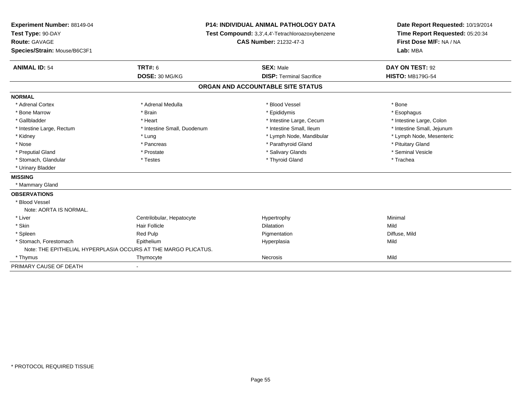| Experiment Number: 88149-04  |                                                                | <b>P14: INDIVIDUAL ANIMAL PATHOLOGY DATA</b>     | Date Report Requested: 10/19/2014 |
|------------------------------|----------------------------------------------------------------|--------------------------------------------------|-----------------------------------|
| Test Type: 90-DAY            |                                                                | Test Compound: 3,3',4,4'-Tetrachloroazoxybenzene |                                   |
| Route: GAVAGE                |                                                                | CAS Number: 21232-47-3                           | First Dose M/F: NA / NA           |
| Species/Strain: Mouse/B6C3F1 |                                                                |                                                  | Lab: MBA                          |
| <b>ANIMAL ID: 54</b>         | TRT#: 6                                                        | <b>SEX: Male</b>                                 | DAY ON TEST: 92                   |
|                              | DOSE: 30 MG/KG                                                 | <b>DISP: Terminal Sacrifice</b>                  | <b>HISTO: MB179G-54</b>           |
|                              |                                                                | ORGAN AND ACCOUNTABLE SITE STATUS                |                                   |
| <b>NORMAL</b>                |                                                                |                                                  |                                   |
| * Adrenal Cortex             | * Adrenal Medulla                                              | * Blood Vessel                                   | * Bone                            |
| * Bone Marrow                | * Brain                                                        | * Epididymis                                     | * Esophagus                       |
| * Gallbladder                | * Heart                                                        | * Intestine Large, Cecum                         | * Intestine Large, Colon          |
| * Intestine Large, Rectum    | * Intestine Small, Duodenum                                    | * Intestine Small, Ileum                         | * Intestine Small, Jejunum        |
| * Kidney                     | * Lung                                                         | * Lymph Node, Mandibular                         | * Lymph Node, Mesenteric          |
| * Nose                       | * Pancreas                                                     | * Parathyroid Gland                              | * Pituitary Gland                 |
| * Preputial Gland            | * Prostate                                                     | * Salivary Glands                                | * Seminal Vesicle                 |
| * Stomach, Glandular         | * Testes                                                       | * Thyroid Gland                                  | * Trachea                         |
| * Urinary Bladder            |                                                                |                                                  |                                   |
| <b>MISSING</b>               |                                                                |                                                  |                                   |
| * Mammary Gland              |                                                                |                                                  |                                   |
| <b>OBSERVATIONS</b>          |                                                                |                                                  |                                   |
| * Blood Vessel               |                                                                |                                                  |                                   |
| Note: AORTA IS NORMAL.       |                                                                |                                                  |                                   |
| * Liver                      | Centrilobular, Hepatocyte                                      | Hypertrophy                                      | Minimal                           |
| * Skin                       | <b>Hair Follicle</b>                                           | <b>Dilatation</b>                                | Mild                              |
| * Spleen                     | <b>Red Pulp</b>                                                | Pigmentation                                     | Diffuse, Mild                     |
| * Stomach, Forestomach       | Epithelium                                                     | Hyperplasia                                      | Mild                              |
|                              | Note: THE EPITHELIAL HYPERPLASIA OCCURS AT THE MARGO PLICATUS. |                                                  |                                   |
| * Thymus                     | Thymocyte                                                      | <b>Necrosis</b>                                  | Mild                              |
| PRIMARY CAUSE OF DEATH       |                                                                |                                                  |                                   |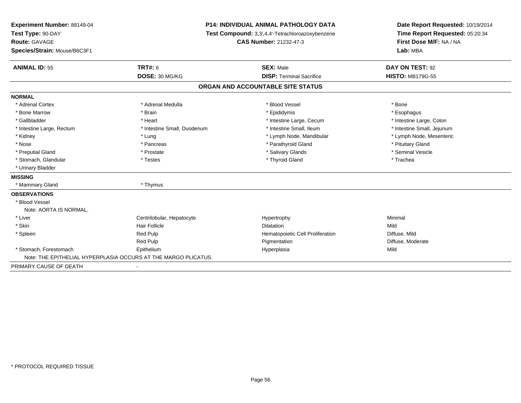| Experiment Number: 88149-04  | <b>P14: INDIVIDUAL ANIMAL PATHOLOGY DATA</b><br>Test Compound: 3,3',4,4'-Tetrachloroazoxybenzene |                                   | Date Report Requested: 10/19/2014 |  |
|------------------------------|--------------------------------------------------------------------------------------------------|-----------------------------------|-----------------------------------|--|
| Test Type: 90-DAY            |                                                                                                  |                                   | Time Report Requested: 05:20:34   |  |
| <b>Route: GAVAGE</b>         |                                                                                                  | <b>CAS Number: 21232-47-3</b>     | First Dose M/F: NA / NA           |  |
| Species/Strain: Mouse/B6C3F1 |                                                                                                  |                                   | Lab: MBA                          |  |
| <b>ANIMAL ID: 55</b>         | <b>TRT#: 6</b>                                                                                   | <b>SEX: Male</b>                  | DAY ON TEST: 92                   |  |
|                              | DOSE: 30 MG/KG                                                                                   | <b>DISP: Terminal Sacrifice</b>   | <b>HISTO: MB179G-55</b>           |  |
|                              |                                                                                                  | ORGAN AND ACCOUNTABLE SITE STATUS |                                   |  |
| <b>NORMAL</b>                |                                                                                                  |                                   |                                   |  |
| * Adrenal Cortex             | * Adrenal Medulla                                                                                | * Blood Vessel                    | * Bone                            |  |
| * Bone Marrow                | * Brain                                                                                          | * Epididymis                      | * Esophagus                       |  |
| * Gallbladder                | * Heart                                                                                          | * Intestine Large, Cecum          | * Intestine Large, Colon          |  |
| * Intestine Large, Rectum    | * Intestine Small, Duodenum                                                                      | * Intestine Small, Ileum          | * Intestine Small, Jejunum        |  |
| * Kidney                     | * Lung                                                                                           | * Lymph Node, Mandibular          | * Lymph Node, Mesenteric          |  |
| * Nose                       | * Pancreas                                                                                       | * Parathyroid Gland               | * Pituitary Gland                 |  |
| * Preputial Gland            | * Prostate                                                                                       | * Salivary Glands                 | * Seminal Vesicle                 |  |
| * Stomach, Glandular         | * Testes                                                                                         | * Thyroid Gland                   | * Trachea                         |  |
| * Urinary Bladder            |                                                                                                  |                                   |                                   |  |
| <b>MISSING</b>               |                                                                                                  |                                   |                                   |  |
| * Mammary Gland              | * Thymus                                                                                         |                                   |                                   |  |
| <b>OBSERVATIONS</b>          |                                                                                                  |                                   |                                   |  |
| * Blood Vessel               |                                                                                                  |                                   |                                   |  |
| Note: AORTA IS NORMAL.       |                                                                                                  |                                   |                                   |  |
| * Liver                      | Centrilobular, Hepatocyte                                                                        | Hypertrophy                       | Minimal                           |  |
| * Skin                       | <b>Hair Follicle</b>                                                                             | <b>Dilatation</b>                 | Mild                              |  |
| * Spleen                     | <b>Red Pulp</b>                                                                                  | Hematopoietic Cell Proliferation  | Diffuse, Mild                     |  |
|                              | Red Pulp                                                                                         | Pigmentation                      | Diffuse, Moderate                 |  |
| * Stomach, Forestomach       | Epithelium                                                                                       | Hyperplasia                       | Mild                              |  |
|                              | Note: THE EPITHELIAL HYPERPLASIA OCCURS AT THE MARGO PLICATUS.                                   |                                   |                                   |  |
| PRIMARY CAUSE OF DEATH       |                                                                                                  |                                   |                                   |  |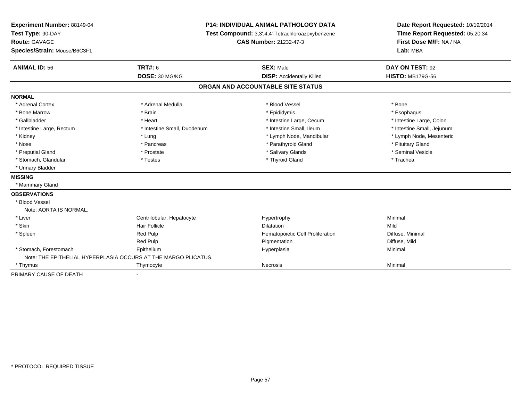| Experiment Number: 88149-04  | <b>P14: INDIVIDUAL ANIMAL PATHOLOGY DATA</b>                   |                                                  | Date Report Requested: 10/19/2014 |  |
|------------------------------|----------------------------------------------------------------|--------------------------------------------------|-----------------------------------|--|
| Test Type: 90-DAY            |                                                                | Test Compound: 3,3',4,4'-Tetrachloroazoxybenzene |                                   |  |
| Route: GAVAGE                |                                                                | <b>CAS Number: 21232-47-3</b>                    | First Dose M/F: NA / NA           |  |
| Species/Strain: Mouse/B6C3F1 |                                                                |                                                  | Lab: MBA                          |  |
| <b>ANIMAL ID: 56</b>         | <b>TRT#: 6</b>                                                 | <b>SEX: Male</b>                                 | DAY ON TEST: 92                   |  |
|                              | DOSE: 30 MG/KG                                                 | <b>DISP:</b> Accidentally Killed                 | <b>HISTO: MB179G-56</b>           |  |
|                              |                                                                | ORGAN AND ACCOUNTABLE SITE STATUS                |                                   |  |
| <b>NORMAL</b>                |                                                                |                                                  |                                   |  |
| * Adrenal Cortex             | * Adrenal Medulla                                              | * Blood Vessel                                   | * Bone                            |  |
| * Bone Marrow                | * Brain                                                        | * Epididymis                                     | * Esophagus                       |  |
| * Gallbladder                | * Heart                                                        | * Intestine Large, Cecum                         | * Intestine Large, Colon          |  |
| * Intestine Large, Rectum    | * Intestine Small, Duodenum                                    | * Intestine Small, Ileum                         | * Intestine Small, Jejunum        |  |
| * Kidney                     | * Lung                                                         | * Lymph Node, Mandibular                         | * Lymph Node, Mesenteric          |  |
| * Nose                       | * Pancreas                                                     | * Parathyroid Gland                              | * Pituitary Gland                 |  |
| * Preputial Gland            | * Prostate                                                     | * Salivary Glands                                | * Seminal Vesicle                 |  |
| * Stomach, Glandular         | * Testes                                                       | * Thyroid Gland                                  | * Trachea                         |  |
| * Urinary Bladder            |                                                                |                                                  |                                   |  |
| <b>MISSING</b>               |                                                                |                                                  |                                   |  |
| * Mammary Gland              |                                                                |                                                  |                                   |  |
| <b>OBSERVATIONS</b>          |                                                                |                                                  |                                   |  |
| * Blood Vessel               |                                                                |                                                  |                                   |  |
| Note: AORTA IS NORMAL.       |                                                                |                                                  |                                   |  |
| * Liver                      | Centrilobular, Hepatocyte                                      | Hypertrophy                                      | Minimal                           |  |
| * Skin                       | Hair Follicle                                                  | Dilatation                                       | Mild                              |  |
| * Spleen                     | <b>Red Pulp</b>                                                | Hematopoietic Cell Proliferation                 | Diffuse, Minimal                  |  |
|                              | <b>Red Pulp</b>                                                | Pigmentation                                     | Diffuse, Mild                     |  |
| * Stomach, Forestomach       | Epithelium                                                     | Hyperplasia                                      | Minimal                           |  |
|                              | Note: THE EPITHELIAL HYPERPLASIA OCCURS AT THE MARGO PLICATUS. |                                                  |                                   |  |
| * Thymus                     | Thymocyte                                                      | <b>Necrosis</b>                                  | Minimal                           |  |
| PRIMARY CAUSE OF DEATH       |                                                                |                                                  |                                   |  |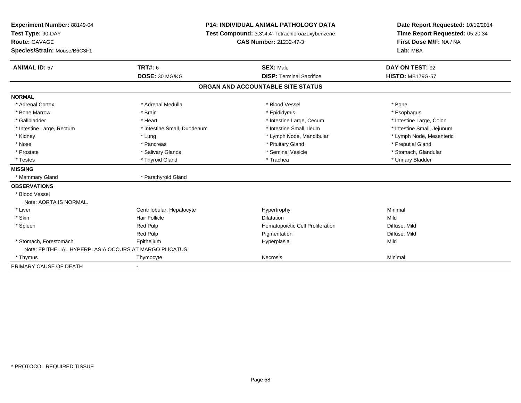| Experiment Number: 88149-04                            |                             | P14: INDIVIDUAL ANIMAL PATHOLOGY DATA            | Date Report Requested: 10/19/2014<br>Time Report Requested: 05:20:34 |  |
|--------------------------------------------------------|-----------------------------|--------------------------------------------------|----------------------------------------------------------------------|--|
| Test Type: 90-DAY                                      |                             | Test Compound: 3,3',4,4'-Tetrachloroazoxybenzene |                                                                      |  |
| Route: GAVAGE                                          |                             | <b>CAS Number: 21232-47-3</b>                    | First Dose M/F: NA / NA                                              |  |
| Species/Strain: Mouse/B6C3F1                           |                             |                                                  | Lab: MBA                                                             |  |
| <b>ANIMAL ID: 57</b>                                   | <b>TRT#: 6</b>              | <b>SEX: Male</b>                                 | DAY ON TEST: 92                                                      |  |
|                                                        | DOSE: 30 MG/KG              | <b>DISP: Terminal Sacrifice</b>                  | <b>HISTO: MB179G-57</b>                                              |  |
|                                                        |                             | ORGAN AND ACCOUNTABLE SITE STATUS                |                                                                      |  |
| <b>NORMAL</b>                                          |                             |                                                  |                                                                      |  |
| * Adrenal Cortex                                       | * Adrenal Medulla           | * Blood Vessel                                   | * Bone                                                               |  |
| * Bone Marrow                                          | * Brain                     | * Epididymis                                     | * Esophagus                                                          |  |
| * Gallbladder                                          | * Heart                     | * Intestine Large, Cecum                         | * Intestine Large, Colon                                             |  |
| * Intestine Large, Rectum                              | * Intestine Small, Duodenum | * Intestine Small, Ileum                         | * Intestine Small, Jejunum                                           |  |
| * Kidney                                               | * Lung                      | * Lymph Node, Mandibular                         | * Lymph Node, Mesenteric                                             |  |
| * Nose                                                 | * Pancreas                  | * Pituitary Gland                                | * Preputial Gland                                                    |  |
| * Prostate                                             | * Salivary Glands           | * Seminal Vesicle                                | * Stomach, Glandular                                                 |  |
| * Testes                                               | * Thyroid Gland             | * Trachea                                        | * Urinary Bladder                                                    |  |
| <b>MISSING</b>                                         |                             |                                                  |                                                                      |  |
| * Mammary Gland                                        | * Parathyroid Gland         |                                                  |                                                                      |  |
| <b>OBSERVATIONS</b>                                    |                             |                                                  |                                                                      |  |
| * Blood Vessel                                         |                             |                                                  |                                                                      |  |
| Note: AORTA IS NORMAL.                                 |                             |                                                  |                                                                      |  |
| * Liver                                                | Centrilobular, Hepatocyte   | Hypertrophy                                      | Minimal                                                              |  |
| * Skin                                                 | <b>Hair Follicle</b>        | <b>Dilatation</b>                                | Mild                                                                 |  |
| * Spleen                                               | Red Pulp                    | Hematopoietic Cell Proliferation                 | Diffuse, Mild                                                        |  |
|                                                        | Red Pulp                    | Pigmentation                                     | Diffuse, Mild                                                        |  |
| * Stomach, Forestomach                                 | Epithelium                  | Hyperplasia                                      | Mild                                                                 |  |
| Note: EPITHELIAL HYPERPLASIA OCCURS AT MARGO PLICATUS. |                             |                                                  |                                                                      |  |
| * Thymus                                               | Thymocyte                   | <b>Necrosis</b>                                  | Minimal                                                              |  |
| PRIMARY CAUSE OF DEATH                                 |                             |                                                  |                                                                      |  |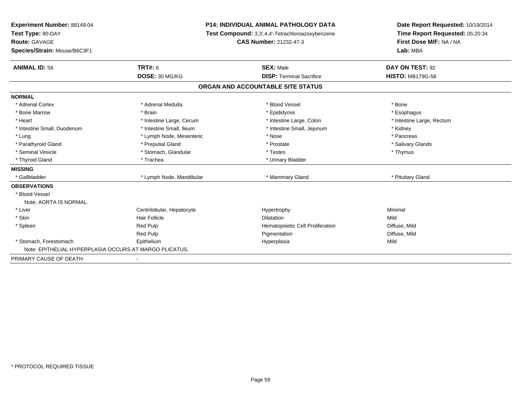| Experiment Number: 88149-04                            | <b>P14: INDIVIDUAL ANIMAL PATHOLOGY DATA</b><br>Test Compound: 3,3',4,4'-Tetrachloroazoxybenzene |                                   | Date Report Requested: 10/19/2014<br>Time Report Requested: 05:20:34 |  |
|--------------------------------------------------------|--------------------------------------------------------------------------------------------------|-----------------------------------|----------------------------------------------------------------------|--|
| Test Type: 90-DAY                                      |                                                                                                  |                                   |                                                                      |  |
| <b>Route: GAVAGE</b>                                   |                                                                                                  | <b>CAS Number: 21232-47-3</b>     |                                                                      |  |
| Species/Strain: Mouse/B6C3F1                           |                                                                                                  |                                   | Lab: MBA                                                             |  |
| <b>ANIMAL ID: 58</b>                                   | <b>TRT#: 6</b>                                                                                   | <b>SEX: Male</b>                  | DAY ON TEST: 92                                                      |  |
|                                                        | DOSE: 30 MG/KG                                                                                   | <b>DISP: Terminal Sacrifice</b>   | <b>HISTO: MB179G-58</b>                                              |  |
|                                                        |                                                                                                  | ORGAN AND ACCOUNTABLE SITE STATUS |                                                                      |  |
| <b>NORMAL</b>                                          |                                                                                                  |                                   |                                                                      |  |
| * Adrenal Cortex                                       | * Adrenal Medulla                                                                                | * Blood Vessel                    | * Bone                                                               |  |
| * Bone Marrow                                          | * Brain                                                                                          | * Epididymis                      | * Esophagus                                                          |  |
| * Heart                                                | * Intestine Large, Cecum                                                                         | * Intestine Large, Colon          | * Intestine Large, Rectum                                            |  |
| * Intestine Small, Duodenum                            | * Intestine Small, Ileum                                                                         | * Intestine Small, Jejunum        | * Kidney                                                             |  |
| * Lung                                                 | * Lymph Node, Mesenteric                                                                         | * Nose                            | * Pancreas                                                           |  |
| * Parathyroid Gland                                    | * Preputial Gland                                                                                | * Prostate                        | * Salivary Glands                                                    |  |
| * Seminal Vesicle                                      | * Stomach, Glandular                                                                             | * Testes                          | * Thymus                                                             |  |
| * Thyroid Gland                                        | * Trachea                                                                                        | * Urinary Bladder                 |                                                                      |  |
| <b>MISSING</b>                                         |                                                                                                  |                                   |                                                                      |  |
| * Gallbladder                                          | * Lymph Node, Mandibular                                                                         | * Mammary Gland                   | * Pituitary Gland                                                    |  |
| <b>OBSERVATIONS</b>                                    |                                                                                                  |                                   |                                                                      |  |
| * Blood Vessel                                         |                                                                                                  |                                   |                                                                      |  |
| Note: AORTA IS NORMAL.                                 |                                                                                                  |                                   |                                                                      |  |
| * Liver                                                | Centrilobular, Hepatocyte                                                                        | Hypertrophy                       | Minimal                                                              |  |
| * Skin                                                 | <b>Hair Follicle</b>                                                                             | <b>Dilatation</b>                 | Mild                                                                 |  |
| * Spleen                                               | <b>Red Pulp</b>                                                                                  | Hematopoietic Cell Proliferation  | Diffuse, Mild                                                        |  |
|                                                        | Red Pulp                                                                                         | Pigmentation                      | Diffuse, Mild                                                        |  |
| * Stomach, Forestomach                                 | Epithelium                                                                                       | Hyperplasia                       | Mild                                                                 |  |
| Note: EPITHELIAL HYPERPLASIA OCCURS AT MARGO PLICATUS. |                                                                                                  |                                   |                                                                      |  |
| PRIMARY CAUSE OF DEATH                                 |                                                                                                  |                                   |                                                                      |  |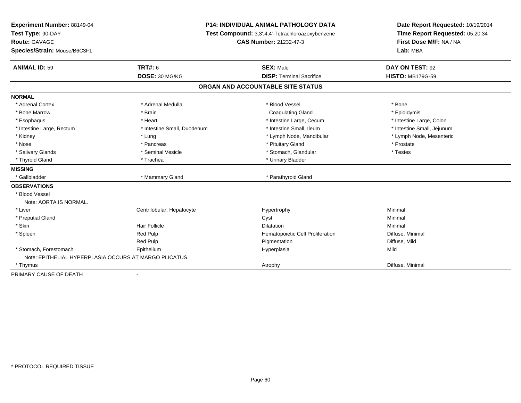| Experiment Number: 88149-04                            |                             | <b>P14: INDIVIDUAL ANIMAL PATHOLOGY DATA</b>     | Date Report Requested: 10/19/2014                          |
|--------------------------------------------------------|-----------------------------|--------------------------------------------------|------------------------------------------------------------|
| Test Type: 90-DAY                                      |                             | Test Compound: 3,3',4,4'-Tetrachloroazoxybenzene | Time Report Requested: 05:20:34<br>First Dose M/F: NA / NA |
| <b>Route: GAVAGE</b>                                   |                             | <b>CAS Number: 21232-47-3</b>                    |                                                            |
| Species/Strain: Mouse/B6C3F1                           |                             |                                                  | Lab: MBA                                                   |
| <b>ANIMAL ID: 59</b>                                   | <b>TRT#: 6</b>              | <b>SEX: Male</b>                                 | DAY ON TEST: 92                                            |
|                                                        | DOSE: 30 MG/KG              | <b>DISP: Terminal Sacrifice</b>                  | <b>HISTO: MB179G-59</b>                                    |
|                                                        |                             | ORGAN AND ACCOUNTABLE SITE STATUS                |                                                            |
| <b>NORMAL</b>                                          |                             |                                                  |                                                            |
| * Adrenal Cortex                                       | * Adrenal Medulla           | * Blood Vessel                                   | * Bone                                                     |
| * Bone Marrow                                          | * Brain                     | <b>Coagulating Gland</b>                         | * Epididymis                                               |
| * Esophagus                                            | * Heart                     | * Intestine Large, Cecum                         | * Intestine Large, Colon                                   |
| * Intestine Large, Rectum                              | * Intestine Small, Duodenum | * Intestine Small, Ileum                         | * Intestine Small, Jejunum                                 |
| * Kidney                                               | * Lung                      | * Lymph Node, Mandibular                         | * Lymph Node, Mesenteric                                   |
| * Nose                                                 | * Pancreas                  | * Pituitary Gland                                | * Prostate                                                 |
| * Salivary Glands                                      | * Seminal Vesicle           | * Stomach, Glandular                             | * Testes                                                   |
| * Thyroid Gland                                        | * Trachea                   | * Urinary Bladder                                |                                                            |
| <b>MISSING</b>                                         |                             |                                                  |                                                            |
| * Gallbladder                                          | * Mammary Gland             | * Parathyroid Gland                              |                                                            |
| <b>OBSERVATIONS</b>                                    |                             |                                                  |                                                            |
| * Blood Vessel                                         |                             |                                                  |                                                            |
| Note: AORTA IS NORMAL.                                 |                             |                                                  |                                                            |
| * Liver                                                | Centrilobular, Hepatocyte   | Hypertrophy                                      | Minimal                                                    |
| * Preputial Gland                                      |                             | Cyst                                             | Minimal                                                    |
| * Skin                                                 | <b>Hair Follicle</b>        | <b>Dilatation</b>                                | Minimal                                                    |
| * Spleen                                               | <b>Red Pulp</b>             | Hematopoietic Cell Proliferation                 | Diffuse, Minimal                                           |
|                                                        | Red Pulp                    | Pigmentation                                     | Diffuse, Mild                                              |
| * Stomach, Forestomach                                 | Epithelium                  | Hyperplasia                                      | Mild                                                       |
| Note: EPITHELIAL HYPERPLASIA OCCURS AT MARGO PLICATUS. |                             |                                                  |                                                            |
| * Thymus                                               |                             | Atrophy                                          | Diffuse, Minimal                                           |
| PRIMARY CAUSE OF DEATH                                 |                             |                                                  |                                                            |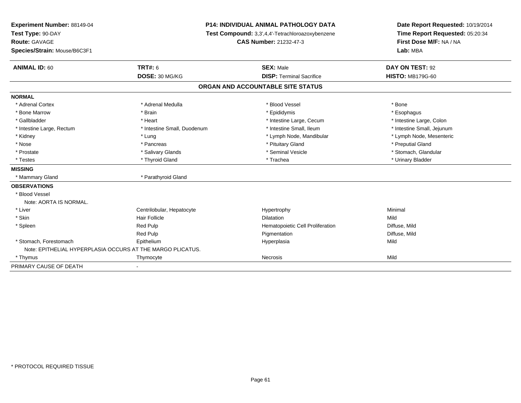| Experiment Number: 88149-04  |                                                            | <b>P14: INDIVIDUAL ANIMAL PATHOLOGY DATA</b>     | Date Report Requested: 10/19/2014 |  |
|------------------------------|------------------------------------------------------------|--------------------------------------------------|-----------------------------------|--|
| Test Type: 90-DAY            |                                                            | Test Compound: 3,3',4,4'-Tetrachloroazoxybenzene |                                   |  |
| Route: GAVAGE                |                                                            | <b>CAS Number: 21232-47-3</b>                    | First Dose M/F: NA / NA           |  |
| Species/Strain: Mouse/B6C3F1 |                                                            |                                                  | Lab: MBA                          |  |
| <b>ANIMAL ID: 60</b>         | <b>TRT#: 6</b>                                             | <b>SEX: Male</b>                                 | DAY ON TEST: 92                   |  |
|                              | DOSE: 30 MG/KG                                             | <b>DISP: Terminal Sacrifice</b>                  | <b>HISTO: MB179G-60</b>           |  |
|                              |                                                            | ORGAN AND ACCOUNTABLE SITE STATUS                |                                   |  |
| <b>NORMAL</b>                |                                                            |                                                  |                                   |  |
| * Adrenal Cortex             | * Adrenal Medulla                                          | * Blood Vessel                                   | * Bone                            |  |
| * Bone Marrow                | * Brain                                                    | * Epididymis                                     | * Esophagus                       |  |
| * Gallbladder                | * Heart                                                    | * Intestine Large, Cecum                         | * Intestine Large, Colon          |  |
| * Intestine Large, Rectum    | * Intestine Small, Duodenum                                | * Intestine Small, Ileum                         | * Intestine Small, Jejunum        |  |
| * Kidney                     | * Lung                                                     | * Lymph Node, Mandibular                         | * Lymph Node, Mesenteric          |  |
| * Nose                       | * Pancreas                                                 | * Pituitary Gland                                | * Preputial Gland                 |  |
| * Prostate                   | * Salivary Glands                                          | * Seminal Vesicle                                | * Stomach, Glandular              |  |
| * Testes                     | * Thyroid Gland                                            | * Trachea                                        | * Urinary Bladder                 |  |
| <b>MISSING</b>               |                                                            |                                                  |                                   |  |
| * Mammary Gland              | * Parathyroid Gland                                        |                                                  |                                   |  |
| <b>OBSERVATIONS</b>          |                                                            |                                                  |                                   |  |
| * Blood Vessel               |                                                            |                                                  |                                   |  |
| Note: AORTA IS NORMAL.       |                                                            |                                                  |                                   |  |
| * Liver                      | Centrilobular, Hepatocyte                                  | Hypertrophy                                      | Minimal                           |  |
| * Skin                       | Hair Follicle                                              | <b>Dilatation</b>                                | Mild                              |  |
| * Spleen                     | Red Pulp                                                   | Hematopoietic Cell Proliferation                 | Diffuse, Mild                     |  |
|                              | Red Pulp                                                   | Pigmentation                                     | Diffuse, Mild                     |  |
| * Stomach, Forestomach       | Epithelium                                                 | Hyperplasia                                      | Mild                              |  |
|                              | Note: EPITHELIAL HYPERPLASIA OCCURS AT THE MARGO PLICATUS. |                                                  |                                   |  |
| * Thymus                     | Thymocyte                                                  | <b>Necrosis</b>                                  | Mild                              |  |
| PRIMARY CAUSE OF DEATH       |                                                            |                                                  |                                   |  |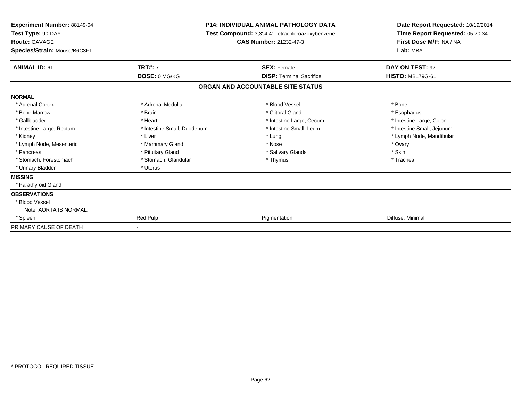| Experiment Number: 88149-04<br>Test Type: 90-DAY<br><b>Route: GAVAGE</b><br>Species/Strain: Mouse/B6C3F1 | <b>P14: INDIVIDUAL ANIMAL PATHOLOGY DATA</b><br>Test Compound: 3,3',4,4'-Tetrachloroazoxybenzene<br>CAS Number: 21232-47-3 |                                   | Date Report Requested: 10/19/2014<br>Time Report Requested: 05:20:34<br>First Dose M/F: NA / NA<br>Lab: MBA |
|----------------------------------------------------------------------------------------------------------|----------------------------------------------------------------------------------------------------------------------------|-----------------------------------|-------------------------------------------------------------------------------------------------------------|
| <b>ANIMAL ID: 61</b>                                                                                     | <b>TRT#: 7</b>                                                                                                             | <b>SEX: Female</b>                | DAY ON TEST: 92                                                                                             |
|                                                                                                          | DOSE: 0 MG/KG                                                                                                              | <b>DISP: Terminal Sacrifice</b>   | <b>HISTO: MB179G-61</b>                                                                                     |
|                                                                                                          |                                                                                                                            | ORGAN AND ACCOUNTABLE SITE STATUS |                                                                                                             |
| <b>NORMAL</b>                                                                                            |                                                                                                                            |                                   |                                                                                                             |
| * Adrenal Cortex                                                                                         | * Adrenal Medulla                                                                                                          | * Blood Vessel                    | * Bone                                                                                                      |
| * Bone Marrow                                                                                            | * Brain                                                                                                                    | * Clitoral Gland                  | * Esophagus                                                                                                 |
| * Gallbladder                                                                                            | * Heart                                                                                                                    | * Intestine Large, Cecum          | * Intestine Large, Colon                                                                                    |
| * Intestine Large, Rectum                                                                                | * Intestine Small, Duodenum                                                                                                | * Intestine Small, Ileum          | * Intestine Small, Jejunum                                                                                  |
| * Kidney                                                                                                 | * Liver                                                                                                                    | * Lung                            | * Lymph Node, Mandibular                                                                                    |
| * Lymph Node, Mesenteric                                                                                 | * Mammary Gland                                                                                                            | * Nose                            | * Ovary                                                                                                     |
| * Pancreas                                                                                               | * Pituitary Gland                                                                                                          | * Salivary Glands                 | * Skin                                                                                                      |
| * Stomach, Forestomach                                                                                   | * Stomach, Glandular                                                                                                       | * Thymus                          | * Trachea                                                                                                   |
| * Urinary Bladder                                                                                        | * Uterus                                                                                                                   |                                   |                                                                                                             |
| <b>MISSING</b>                                                                                           |                                                                                                                            |                                   |                                                                                                             |
| * Parathyroid Gland                                                                                      |                                                                                                                            |                                   |                                                                                                             |
| <b>OBSERVATIONS</b>                                                                                      |                                                                                                                            |                                   |                                                                                                             |
| * Blood Vessel                                                                                           |                                                                                                                            |                                   |                                                                                                             |
| Note: AORTA IS NORMAL.                                                                                   |                                                                                                                            |                                   |                                                                                                             |
| * Spleen                                                                                                 | <b>Red Pulp</b>                                                                                                            | Pigmentation                      | Diffuse, Minimal                                                                                            |
| PRIMARY CAUSE OF DEATH                                                                                   |                                                                                                                            |                                   |                                                                                                             |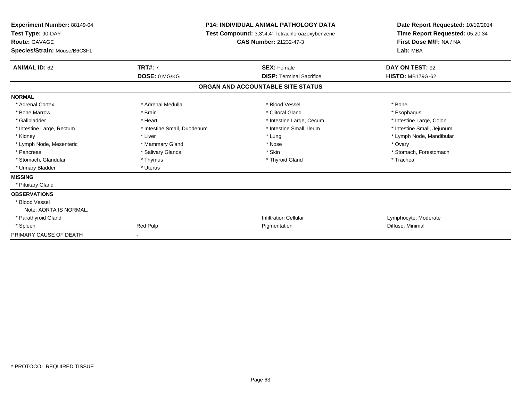| <b>Experiment Number: 88149-04</b><br>Test Type: 90-DAY<br><b>Route: GAVAGE</b><br>Species/Strain: Mouse/B6C3F1 |                             | <b>P14: INDIVIDUAL ANIMAL PATHOLOGY DATA</b><br>Test Compound: 3,3',4,4'-Tetrachloroazoxybenzene<br><b>CAS Number: 21232-47-3</b> | Date Report Requested: 10/19/2014<br>Time Report Requested: 05:20:34<br>First Dose M/F: NA / NA<br>Lab: MBA |
|-----------------------------------------------------------------------------------------------------------------|-----------------------------|-----------------------------------------------------------------------------------------------------------------------------------|-------------------------------------------------------------------------------------------------------------|
| <b>ANIMAL ID: 62</b>                                                                                            | <b>TRT#: 7</b>              | <b>SEX: Female</b>                                                                                                                | DAY ON TEST: 92                                                                                             |
|                                                                                                                 | DOSE: 0 MG/KG               | <b>DISP: Terminal Sacrifice</b>                                                                                                   | <b>HISTO: MB179G-62</b>                                                                                     |
|                                                                                                                 |                             | ORGAN AND ACCOUNTABLE SITE STATUS                                                                                                 |                                                                                                             |
| <b>NORMAL</b>                                                                                                   |                             |                                                                                                                                   |                                                                                                             |
| * Adrenal Cortex                                                                                                | * Adrenal Medulla           | * Blood Vessel                                                                                                                    | * Bone                                                                                                      |
| * Bone Marrow                                                                                                   | * Brain                     | * Clitoral Gland                                                                                                                  | * Esophagus                                                                                                 |
| * Gallbladder                                                                                                   | * Heart                     | * Intestine Large, Cecum                                                                                                          | * Intestine Large, Colon                                                                                    |
| * Intestine Large, Rectum                                                                                       | * Intestine Small, Duodenum | * Intestine Small, Ileum                                                                                                          | * Intestine Small, Jejunum                                                                                  |
| * Kidney                                                                                                        | * Liver                     | * Lung                                                                                                                            | * Lymph Node, Mandibular                                                                                    |
| * Lymph Node, Mesenteric                                                                                        | * Mammary Gland             | * Nose                                                                                                                            | * Ovarv                                                                                                     |
| * Pancreas                                                                                                      | * Salivary Glands           | * Skin                                                                                                                            | * Stomach, Forestomach                                                                                      |
| * Stomach, Glandular                                                                                            | * Thymus                    | * Thyroid Gland                                                                                                                   | * Trachea                                                                                                   |
| * Urinary Bladder                                                                                               | * Uterus                    |                                                                                                                                   |                                                                                                             |
| <b>MISSING</b>                                                                                                  |                             |                                                                                                                                   |                                                                                                             |
| * Pituitary Gland                                                                                               |                             |                                                                                                                                   |                                                                                                             |
| <b>OBSERVATIONS</b>                                                                                             |                             |                                                                                                                                   |                                                                                                             |
| * Blood Vessel                                                                                                  |                             |                                                                                                                                   |                                                                                                             |
| Note: AORTA IS NORMAL.                                                                                          |                             |                                                                                                                                   |                                                                                                             |
| * Parathyroid Gland                                                                                             |                             | <b>Infiltration Cellular</b>                                                                                                      | Lymphocyte, Moderate                                                                                        |
| * Spleen                                                                                                        | Red Pulp                    | Pigmentation                                                                                                                      | Diffuse, Minimal                                                                                            |
| PRIMARY CAUSE OF DEATH                                                                                          |                             |                                                                                                                                   |                                                                                                             |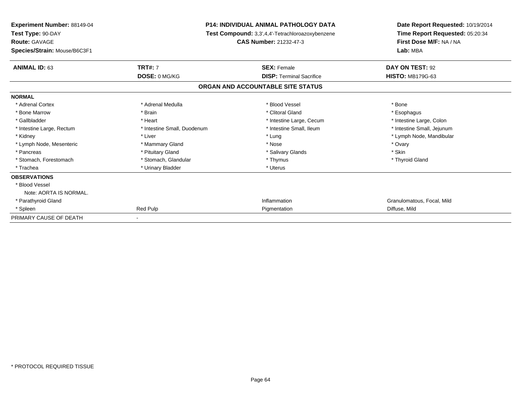| <b>Experiment Number: 88149-04</b><br>Test Type: 90-DAY |                             | <b>P14: INDIVIDUAL ANIMAL PATHOLOGY DATA</b><br>Test Compound: 3,3',4,4'-Tetrachloroazoxybenzene | Date Report Requested: 10/19/2014<br>Time Report Requested: 05:20:34 |  |
|---------------------------------------------------------|-----------------------------|--------------------------------------------------------------------------------------------------|----------------------------------------------------------------------|--|
| <b>Route: GAVAGE</b><br>Species/Strain: Mouse/B6C3F1    |                             | <b>CAS Number: 21232-47-3</b>                                                                    | First Dose M/F: NA / NA<br>Lab: MBA                                  |  |
| <b>ANIMAL ID: 63</b>                                    | <b>TRT#: 7</b>              | <b>SEX: Female</b>                                                                               | DAY ON TEST: 92                                                      |  |
|                                                         | DOSE: 0 MG/KG               | <b>DISP: Terminal Sacrifice</b>                                                                  | <b>HISTO: MB179G-63</b>                                              |  |
|                                                         |                             | ORGAN AND ACCOUNTABLE SITE STATUS                                                                |                                                                      |  |
| <b>NORMAL</b>                                           |                             |                                                                                                  |                                                                      |  |
| * Adrenal Cortex                                        | * Adrenal Medulla           | * Blood Vessel                                                                                   | * Bone                                                               |  |
| * Bone Marrow                                           | * Brain                     | * Clitoral Gland                                                                                 | * Esophagus                                                          |  |
| * Gallbladder                                           | * Heart                     | * Intestine Large, Cecum                                                                         | * Intestine Large, Colon                                             |  |
| * Intestine Large, Rectum                               | * Intestine Small, Duodenum | * Intestine Small, Ileum                                                                         | * Intestine Small, Jejunum                                           |  |
| * Kidney                                                | * Liver                     | * Lung                                                                                           | * Lymph Node, Mandibular                                             |  |
| * Lymph Node, Mesenteric                                | * Mammary Gland             | * Nose                                                                                           | * Ovary                                                              |  |
| * Pancreas                                              | * Pituitary Gland           | * Salivary Glands                                                                                | * Skin                                                               |  |
| * Stomach, Forestomach                                  | * Stomach, Glandular        | * Thymus                                                                                         | * Thyroid Gland                                                      |  |
| * Trachea                                               | * Urinary Bladder           | * Uterus                                                                                         |                                                                      |  |
| <b>OBSERVATIONS</b>                                     |                             |                                                                                                  |                                                                      |  |
| * Blood Vessel                                          |                             |                                                                                                  |                                                                      |  |
| Note: AORTA IS NORMAL.                                  |                             |                                                                                                  |                                                                      |  |
| * Parathyroid Gland                                     |                             | Inflammation                                                                                     | Granulomatous, Focal, Mild                                           |  |
| * Spleen                                                | Red Pulp                    | Pigmentation                                                                                     | Diffuse, Mild                                                        |  |
| PRIMARY CAUSE OF DEATH                                  |                             |                                                                                                  |                                                                      |  |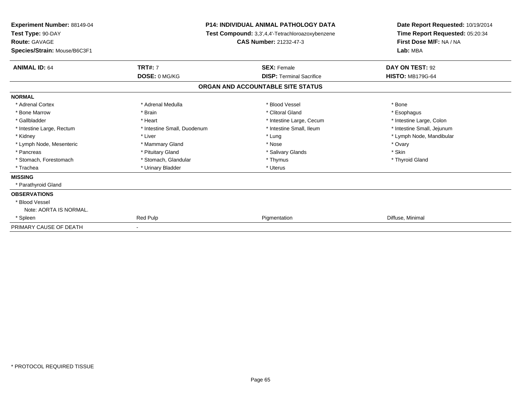| Experiment Number: 88149-04<br>Test Type: 90-DAY<br><b>Route: GAVAGE</b> |                             | <b>P14: INDIVIDUAL ANIMAL PATHOLOGY DATA</b><br>Test Compound: 3,3',4,4'-Tetrachloroazoxybenzene<br><b>CAS Number: 21232-47-3</b> | Date Report Requested: 10/19/2014<br>Time Report Requested: 05:20:34<br>First Dose M/F: NA / NA |
|--------------------------------------------------------------------------|-----------------------------|-----------------------------------------------------------------------------------------------------------------------------------|-------------------------------------------------------------------------------------------------|
| Species/Strain: Mouse/B6C3F1                                             |                             |                                                                                                                                   | Lab: MBA                                                                                        |
| <b>ANIMAL ID: 64</b>                                                     | <b>TRT#: 7</b>              | <b>SEX: Female</b>                                                                                                                | DAY ON TEST: 92                                                                                 |
|                                                                          | DOSE: 0 MG/KG               | <b>DISP: Terminal Sacrifice</b>                                                                                                   | <b>HISTO: MB179G-64</b>                                                                         |
|                                                                          |                             | ORGAN AND ACCOUNTABLE SITE STATUS                                                                                                 |                                                                                                 |
| <b>NORMAL</b>                                                            |                             |                                                                                                                                   |                                                                                                 |
| * Adrenal Cortex                                                         | * Adrenal Medulla           | * Blood Vessel                                                                                                                    | * Bone                                                                                          |
| * Bone Marrow                                                            | * Brain                     | * Clitoral Gland                                                                                                                  | * Esophagus                                                                                     |
| * Gallbladder                                                            | * Heart                     | * Intestine Large, Cecum                                                                                                          | * Intestine Large, Colon                                                                        |
| * Intestine Large, Rectum                                                | * Intestine Small, Duodenum | * Intestine Small, Ileum                                                                                                          | * Intestine Small, Jejunum                                                                      |
| * Kidney                                                                 | * Liver                     | * Lung                                                                                                                            | * Lymph Node, Mandibular                                                                        |
| * Lymph Node, Mesenteric                                                 | * Mammary Gland             | * Nose                                                                                                                            | * Ovary                                                                                         |
| * Pancreas                                                               | * Pituitary Gland           | * Salivary Glands                                                                                                                 | * Skin                                                                                          |
| * Stomach, Forestomach                                                   | * Stomach, Glandular        | * Thymus                                                                                                                          | * Thyroid Gland                                                                                 |
| * Trachea                                                                | * Urinary Bladder           | * Uterus                                                                                                                          |                                                                                                 |
| <b>MISSING</b>                                                           |                             |                                                                                                                                   |                                                                                                 |
| * Parathyroid Gland                                                      |                             |                                                                                                                                   |                                                                                                 |
| <b>OBSERVATIONS</b>                                                      |                             |                                                                                                                                   |                                                                                                 |
| * Blood Vessel                                                           |                             |                                                                                                                                   |                                                                                                 |
| Note: AORTA IS NORMAL.                                                   |                             |                                                                                                                                   |                                                                                                 |
| * Spleen                                                                 | Red Pulp                    | Pigmentation                                                                                                                      | Diffuse, Minimal                                                                                |
| PRIMARY CAUSE OF DEATH                                                   |                             |                                                                                                                                   |                                                                                                 |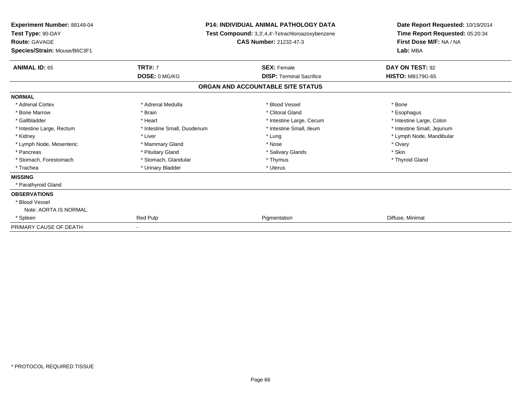| Experiment Number: 88149-04<br>Test Type: 90-DAY<br><b>Route: GAVAGE</b> |                             | <b>P14: INDIVIDUAL ANIMAL PATHOLOGY DATA</b><br>Test Compound: 3,3',4,4'-Tetrachloroazoxybenzene<br><b>CAS Number: 21232-47-3</b> | Date Report Requested: 10/19/2014<br>Time Report Requested: 05:20:34<br>First Dose M/F: NA / NA |
|--------------------------------------------------------------------------|-----------------------------|-----------------------------------------------------------------------------------------------------------------------------------|-------------------------------------------------------------------------------------------------|
| Species/Strain: Mouse/B6C3F1                                             |                             |                                                                                                                                   | Lab: MBA                                                                                        |
| <b>ANIMAL ID: 65</b>                                                     | <b>TRT#: 7</b>              | <b>SEX: Female</b>                                                                                                                | DAY ON TEST: 92                                                                                 |
|                                                                          | DOSE: 0 MG/KG               | <b>DISP: Terminal Sacrifice</b>                                                                                                   | <b>HISTO: MB179G-65</b>                                                                         |
|                                                                          |                             | ORGAN AND ACCOUNTABLE SITE STATUS                                                                                                 |                                                                                                 |
| <b>NORMAL</b>                                                            |                             |                                                                                                                                   |                                                                                                 |
| * Adrenal Cortex                                                         | * Adrenal Medulla           | * Blood Vessel                                                                                                                    | * Bone                                                                                          |
| * Bone Marrow                                                            | * Brain                     | * Clitoral Gland                                                                                                                  | * Esophagus                                                                                     |
| * Gallbladder                                                            | * Heart                     | * Intestine Large, Cecum                                                                                                          | * Intestine Large, Colon                                                                        |
| * Intestine Large, Rectum                                                | * Intestine Small, Duodenum | * Intestine Small, Ileum                                                                                                          | * Intestine Small, Jejunum                                                                      |
| * Kidney                                                                 | * Liver                     | * Lung                                                                                                                            | * Lymph Node, Mandibular                                                                        |
| * Lymph Node, Mesenteric                                                 | * Mammary Gland             | * Nose                                                                                                                            | * Ovary                                                                                         |
| * Pancreas                                                               | * Pituitary Gland           | * Salivary Glands                                                                                                                 | * Skin                                                                                          |
| * Stomach, Forestomach                                                   | * Stomach, Glandular        | * Thymus                                                                                                                          | * Thyroid Gland                                                                                 |
| * Trachea                                                                | * Urinary Bladder           | * Uterus                                                                                                                          |                                                                                                 |
| <b>MISSING</b>                                                           |                             |                                                                                                                                   |                                                                                                 |
| * Parathyroid Gland                                                      |                             |                                                                                                                                   |                                                                                                 |
| <b>OBSERVATIONS</b>                                                      |                             |                                                                                                                                   |                                                                                                 |
| * Blood Vessel                                                           |                             |                                                                                                                                   |                                                                                                 |
| Note: AORTA IS NORMAL.                                                   |                             |                                                                                                                                   |                                                                                                 |
| * Spleen                                                                 | Red Pulp                    | Pigmentation                                                                                                                      | Diffuse, Minimal                                                                                |
| PRIMARY CAUSE OF DEATH                                                   |                             |                                                                                                                                   |                                                                                                 |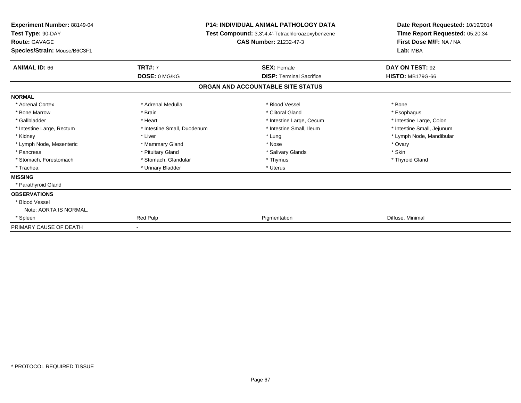| <b>Experiment Number: 88149-04</b><br>Test Type: 90-DAY<br><b>Route: GAVAGE</b> |                             | <b>P14: INDIVIDUAL ANIMAL PATHOLOGY DATA</b><br>Test Compound: 3,3',4,4'-Tetrachloroazoxybenzene<br><b>CAS Number: 21232-47-3</b> | Date Report Requested: 10/19/2014<br>Time Report Requested: 05:20:34<br>First Dose M/F: NA / NA |  |
|---------------------------------------------------------------------------------|-----------------------------|-----------------------------------------------------------------------------------------------------------------------------------|-------------------------------------------------------------------------------------------------|--|
| Species/Strain: Mouse/B6C3F1                                                    |                             |                                                                                                                                   | Lab: MBA                                                                                        |  |
| <b>ANIMAL ID: 66</b>                                                            | <b>TRT#: 7</b>              | <b>SEX: Female</b>                                                                                                                | DAY ON TEST: 92                                                                                 |  |
|                                                                                 | DOSE: 0 MG/KG               | <b>DISP: Terminal Sacrifice</b>                                                                                                   | <b>HISTO: MB179G-66</b>                                                                         |  |
|                                                                                 |                             | ORGAN AND ACCOUNTABLE SITE STATUS                                                                                                 |                                                                                                 |  |
| <b>NORMAL</b>                                                                   |                             |                                                                                                                                   |                                                                                                 |  |
| * Adrenal Cortex                                                                | * Adrenal Medulla           | * Blood Vessel                                                                                                                    | * Bone                                                                                          |  |
| * Bone Marrow                                                                   | * Brain                     | * Clitoral Gland                                                                                                                  | * Esophagus                                                                                     |  |
| * Gallbladder                                                                   | * Heart                     | * Intestine Large, Cecum                                                                                                          | * Intestine Large, Colon                                                                        |  |
| * Intestine Large, Rectum                                                       | * Intestine Small, Duodenum | * Intestine Small, Ileum                                                                                                          | * Intestine Small, Jejunum                                                                      |  |
| * Kidney                                                                        | * Liver                     | * Lung                                                                                                                            | * Lymph Node, Mandibular                                                                        |  |
| * Lymph Node, Mesenteric                                                        | * Mammary Gland             | * Nose                                                                                                                            | * Ovary                                                                                         |  |
| * Pancreas                                                                      | * Pituitary Gland           | * Salivary Glands                                                                                                                 | * Skin                                                                                          |  |
| * Stomach, Forestomach                                                          | * Stomach, Glandular        | * Thymus                                                                                                                          | * Thyroid Gland                                                                                 |  |
| * Trachea                                                                       | * Urinary Bladder           | * Uterus                                                                                                                          |                                                                                                 |  |
| <b>MISSING</b>                                                                  |                             |                                                                                                                                   |                                                                                                 |  |
| * Parathyroid Gland                                                             |                             |                                                                                                                                   |                                                                                                 |  |
| <b>OBSERVATIONS</b>                                                             |                             |                                                                                                                                   |                                                                                                 |  |
| * Blood Vessel                                                                  |                             |                                                                                                                                   |                                                                                                 |  |
| Note: AORTA IS NORMAL.                                                          |                             |                                                                                                                                   |                                                                                                 |  |
| * Spleen                                                                        | Red Pulp                    | Pigmentation                                                                                                                      | Diffuse, Minimal                                                                                |  |
| PRIMARY CAUSE OF DEATH                                                          |                             |                                                                                                                                   |                                                                                                 |  |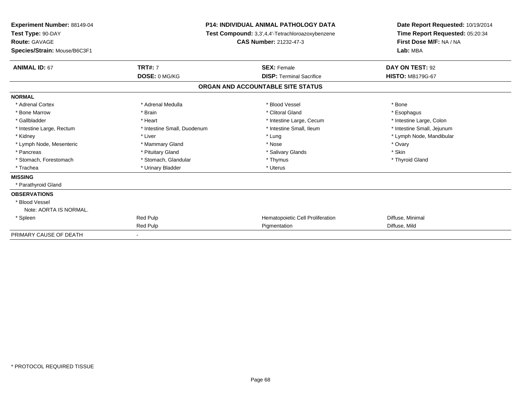| Experiment Number: 88149-04<br>Test Type: 90-DAY<br><b>Route: GAVAGE</b><br>Species/Strain: Mouse/B6C3F1 |                             | <b>P14: INDIVIDUAL ANIMAL PATHOLOGY DATA</b><br>Test Compound: 3,3',4,4'-Tetrachloroazoxybenzene<br><b>CAS Number: 21232-47-3</b> | Date Report Requested: 10/19/2014<br>Time Report Requested: 05:20:34<br>First Dose M/F: NA / NA<br>Lab: MBA |
|----------------------------------------------------------------------------------------------------------|-----------------------------|-----------------------------------------------------------------------------------------------------------------------------------|-------------------------------------------------------------------------------------------------------------|
|                                                                                                          |                             |                                                                                                                                   |                                                                                                             |
| <b>ANIMAL ID: 67</b>                                                                                     | <b>TRT#: 7</b>              | <b>SEX: Female</b>                                                                                                                | DAY ON TEST: 92                                                                                             |
|                                                                                                          | DOSE: 0 MG/KG               | <b>DISP: Terminal Sacrifice</b>                                                                                                   | <b>HISTO: MB179G-67</b>                                                                                     |
|                                                                                                          |                             | ORGAN AND ACCOUNTABLE SITE STATUS                                                                                                 |                                                                                                             |
| <b>NORMAL</b>                                                                                            |                             |                                                                                                                                   |                                                                                                             |
| * Adrenal Cortex                                                                                         | * Adrenal Medulla           | * Blood Vessel                                                                                                                    | * Bone                                                                                                      |
| * Bone Marrow                                                                                            | * Brain                     | * Clitoral Gland                                                                                                                  | * Esophagus                                                                                                 |
| * Gallbladder                                                                                            | * Heart                     | * Intestine Large, Cecum                                                                                                          | * Intestine Large, Colon                                                                                    |
| * Intestine Large, Rectum                                                                                | * Intestine Small, Duodenum | * Intestine Small, Ileum                                                                                                          | * Intestine Small, Jejunum                                                                                  |
| * Kidney                                                                                                 | * Liver                     | * Lung                                                                                                                            | * Lymph Node, Mandibular                                                                                    |
| * Lymph Node, Mesenteric                                                                                 | * Mammary Gland             | * Nose                                                                                                                            | * Ovary                                                                                                     |
| * Pancreas                                                                                               | * Pituitary Gland           | * Salivary Glands                                                                                                                 | * Skin                                                                                                      |
| * Stomach, Forestomach                                                                                   | * Stomach, Glandular        | * Thymus                                                                                                                          | * Thyroid Gland                                                                                             |
| * Trachea                                                                                                | * Urinary Bladder           | * Uterus                                                                                                                          |                                                                                                             |
| <b>MISSING</b>                                                                                           |                             |                                                                                                                                   |                                                                                                             |
| * Parathyroid Gland                                                                                      |                             |                                                                                                                                   |                                                                                                             |
| <b>OBSERVATIONS</b>                                                                                      |                             |                                                                                                                                   |                                                                                                             |
| * Blood Vessel                                                                                           |                             |                                                                                                                                   |                                                                                                             |
| Note: AORTA IS NORMAL.                                                                                   |                             |                                                                                                                                   |                                                                                                             |
| * Spleen                                                                                                 | Red Pulp                    | Hematopoietic Cell Proliferation                                                                                                  | Diffuse, Minimal                                                                                            |
|                                                                                                          | Red Pulp                    | Pigmentation                                                                                                                      | Diffuse, Mild                                                                                               |
| PRIMARY CAUSE OF DEATH                                                                                   |                             |                                                                                                                                   |                                                                                                             |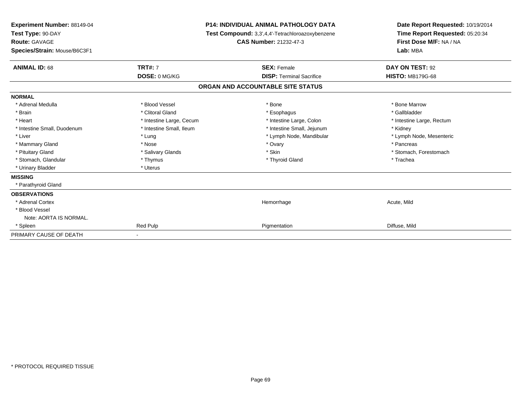| Experiment Number: 88149-04<br>Test Type: 90-DAY<br><b>Route: GAVAGE</b><br><b>CAS Number: 21232-47-3</b><br>Species/Strain: Mouse/B6C3F1 |                          | <b>P14: INDIVIDUAL ANIMAL PATHOLOGY DATA</b><br>Test Compound: 3,3',4,4'-Tetrachloroazoxybenzene | Date Report Requested: 10/19/2014<br>Time Report Requested: 05:20:34<br>First Dose M/F: NA / NA<br>Lab: MBA |
|-------------------------------------------------------------------------------------------------------------------------------------------|--------------------------|--------------------------------------------------------------------------------------------------|-------------------------------------------------------------------------------------------------------------|
| <b>ANIMAL ID: 68</b>                                                                                                                      | <b>TRT#: 7</b>           | <b>SEX: Female</b>                                                                               | DAY ON TEST: 92                                                                                             |
|                                                                                                                                           | DOSE: 0 MG/KG            | <b>DISP: Terminal Sacrifice</b>                                                                  | <b>HISTO: MB179G-68</b>                                                                                     |
|                                                                                                                                           |                          | ORGAN AND ACCOUNTABLE SITE STATUS                                                                |                                                                                                             |
| <b>NORMAL</b>                                                                                                                             |                          |                                                                                                  |                                                                                                             |
| * Adrenal Medulla                                                                                                                         | * Blood Vessel           | * Bone                                                                                           | * Bone Marrow                                                                                               |
| * Brain                                                                                                                                   | * Clitoral Gland         | * Esophagus                                                                                      | * Gallbladder                                                                                               |
| * Heart                                                                                                                                   | * Intestine Large, Cecum | * Intestine Large, Colon                                                                         | * Intestine Large, Rectum                                                                                   |
| * Intestine Small, Duodenum                                                                                                               | * Intestine Small, Ileum | * Intestine Small, Jejunum                                                                       | * Kidney                                                                                                    |
| * Liver                                                                                                                                   | * Lung                   | * Lymph Node, Mandibular                                                                         | * Lymph Node, Mesenteric                                                                                    |
| * Mammary Gland                                                                                                                           | * Nose                   | * Ovary                                                                                          | * Pancreas                                                                                                  |
| * Pituitary Gland                                                                                                                         | * Salivary Glands        | * Skin                                                                                           | * Stomach, Forestomach                                                                                      |
| * Stomach, Glandular                                                                                                                      | * Thymus                 | * Thyroid Gland                                                                                  | * Trachea                                                                                                   |
| * Urinary Bladder                                                                                                                         | * Uterus                 |                                                                                                  |                                                                                                             |
| <b>MISSING</b>                                                                                                                            |                          |                                                                                                  |                                                                                                             |
| * Parathyroid Gland                                                                                                                       |                          |                                                                                                  |                                                                                                             |
| <b>OBSERVATIONS</b>                                                                                                                       |                          |                                                                                                  |                                                                                                             |
| * Adrenal Cortex                                                                                                                          |                          | Hemorrhage                                                                                       | Acute, Mild                                                                                                 |
| * Blood Vessel                                                                                                                            |                          |                                                                                                  |                                                                                                             |
| Note: AORTA IS NORMAL.                                                                                                                    |                          |                                                                                                  |                                                                                                             |
| * Spleen                                                                                                                                  | Red Pulp                 | Pigmentation                                                                                     | Diffuse, Mild                                                                                               |
| PRIMARY CAUSE OF DEATH                                                                                                                    | $\sim$                   |                                                                                                  |                                                                                                             |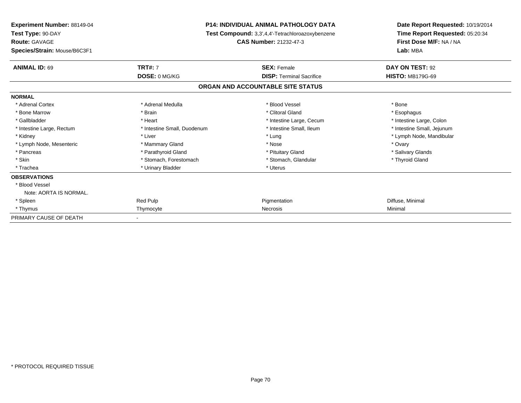| Experiment Number: 88149-04<br>Test Type: 90-DAY<br><b>Route: GAVAGE</b> |                             | <b>P14: INDIVIDUAL ANIMAL PATHOLOGY DATA</b>                                      | Date Report Requested: 10/19/2014<br>Time Report Requested: 05:20:34<br>First Dose M/F: NA / NA |
|--------------------------------------------------------------------------|-----------------------------|-----------------------------------------------------------------------------------|-------------------------------------------------------------------------------------------------|
|                                                                          |                             | Test Compound: 3,3',4,4'-Tetrachloroazoxybenzene<br><b>CAS Number: 21232-47-3</b> |                                                                                                 |
| Species/Strain: Mouse/B6C3F1                                             |                             |                                                                                   | Lab: MBA                                                                                        |
| <b>ANIMAL ID: 69</b>                                                     | <b>TRT#: 7</b>              | <b>SEX: Female</b>                                                                | DAY ON TEST: 92                                                                                 |
|                                                                          | DOSE: 0 MG/KG               | <b>DISP: Terminal Sacrifice</b>                                                   | <b>HISTO: MB179G-69</b>                                                                         |
|                                                                          |                             | ORGAN AND ACCOUNTABLE SITE STATUS                                                 |                                                                                                 |
| <b>NORMAL</b>                                                            |                             |                                                                                   |                                                                                                 |
| * Adrenal Cortex                                                         | * Adrenal Medulla           | * Blood Vessel                                                                    | * Bone                                                                                          |
| * Bone Marrow                                                            | * Brain                     | * Clitoral Gland                                                                  | * Esophagus                                                                                     |
| * Gallbladder                                                            | * Heart                     | * Intestine Large, Cecum                                                          | * Intestine Large, Colon                                                                        |
| * Intestine Large, Rectum                                                | * Intestine Small, Duodenum | * Intestine Small, Ileum                                                          | * Intestine Small, Jejunum                                                                      |
| * Kidney                                                                 | * Liver                     | * Lung                                                                            | * Lymph Node, Mandibular                                                                        |
| * Lymph Node, Mesenteric                                                 | * Mammary Gland             | * Nose                                                                            | * Ovary                                                                                         |
| * Pancreas                                                               | * Parathyroid Gland         | * Pituitary Gland                                                                 | * Salivary Glands                                                                               |
| * Skin                                                                   | * Stomach, Forestomach      | * Stomach, Glandular                                                              | * Thyroid Gland                                                                                 |
| * Trachea                                                                | * Urinary Bladder           | * Uterus                                                                          |                                                                                                 |
| <b>OBSERVATIONS</b>                                                      |                             |                                                                                   |                                                                                                 |
| * Blood Vessel                                                           |                             |                                                                                   |                                                                                                 |
| Note: AORTA IS NORMAL.                                                   |                             |                                                                                   |                                                                                                 |
| * Spleen                                                                 | Red Pulp                    | Pigmentation                                                                      | Diffuse, Minimal                                                                                |
| * Thymus                                                                 | Thymocyte                   | Necrosis                                                                          | Minimal                                                                                         |
| PRIMARY CAUSE OF DEATH                                                   |                             |                                                                                   |                                                                                                 |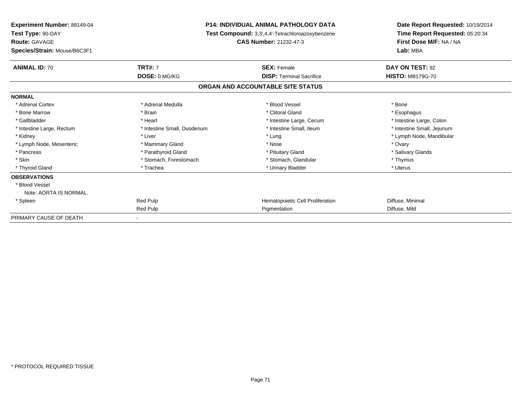| <b>Experiment Number: 88149-04</b><br>Test Type: 90-DAY<br><b>Route: GAVAGE</b> |                             | <b>P14: INDIVIDUAL ANIMAL PATHOLOGY DATA</b>                                      | Date Report Requested: 10/19/2014<br>Time Report Requested: 05:20:34<br>First Dose M/F: NA / NA |
|---------------------------------------------------------------------------------|-----------------------------|-----------------------------------------------------------------------------------|-------------------------------------------------------------------------------------------------|
|                                                                                 |                             | Test Compound: 3,3',4,4'-Tetrachloroazoxybenzene<br><b>CAS Number: 21232-47-3</b> |                                                                                                 |
| Species/Strain: Mouse/B6C3F1                                                    |                             |                                                                                   | Lab: MBA                                                                                        |
| <b>ANIMAL ID: 70</b>                                                            | <b>TRT#: 7</b>              | <b>SEX: Female</b>                                                                | DAY ON TEST: 92                                                                                 |
|                                                                                 | DOSE: 0 MG/KG               | <b>DISP: Terminal Sacrifice</b>                                                   | <b>HISTO: MB179G-70</b>                                                                         |
|                                                                                 |                             | ORGAN AND ACCOUNTABLE SITE STATUS                                                 |                                                                                                 |
| <b>NORMAL</b>                                                                   |                             |                                                                                   |                                                                                                 |
| * Adrenal Cortex                                                                | * Adrenal Medulla           | * Blood Vessel                                                                    | * Bone                                                                                          |
| * Bone Marrow                                                                   | * Brain                     | * Clitoral Gland                                                                  | * Esophagus                                                                                     |
| * Gallbladder                                                                   | * Heart                     | * Intestine Large, Cecum                                                          | * Intestine Large, Colon                                                                        |
| * Intestine Large, Rectum                                                       | * Intestine Small, Duodenum | * Intestine Small, Ileum                                                          | * Intestine Small, Jejunum                                                                      |
| * Kidney                                                                        | * Liver                     | * Lung                                                                            | * Lymph Node, Mandibular                                                                        |
| * Lymph Node, Mesenteric                                                        | * Mammary Gland             | * Nose                                                                            | * Ovary                                                                                         |
| * Pancreas                                                                      | * Parathyroid Gland         | * Pituitary Gland                                                                 | * Salivary Glands                                                                               |
| * Skin                                                                          | * Stomach, Forestomach      | * Stomach, Glandular                                                              | * Thymus                                                                                        |
| * Thyroid Gland                                                                 | * Trachea                   | * Urinary Bladder                                                                 | * Uterus                                                                                        |
| <b>OBSERVATIONS</b>                                                             |                             |                                                                                   |                                                                                                 |
| * Blood Vessel                                                                  |                             |                                                                                   |                                                                                                 |
| Note: AORTA IS NORMAL.                                                          |                             |                                                                                   |                                                                                                 |
| * Spleen                                                                        | Red Pulp                    | Hematopoietic Cell Proliferation                                                  | Diffuse, Minimal                                                                                |
|                                                                                 | Red Pulp                    | Pigmentation                                                                      | Diffuse, Mild                                                                                   |
| PRIMARY CAUSE OF DEATH                                                          |                             |                                                                                   |                                                                                                 |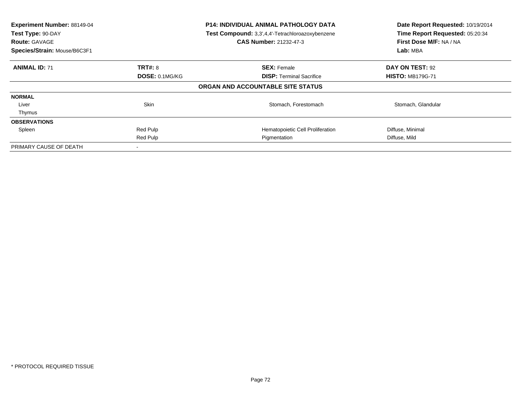| Experiment Number: 88149-04<br>Test Type: 90-DAY<br><b>Route: GAVAGE</b><br>Species/Strain: Mouse/B6C3F1 |                | <b>P14: INDIVIDUAL ANIMAL PATHOLOGY DATA</b><br>Test Compound: 3,3',4,4'-Tetrachloroazoxybenzene<br><b>CAS Number: 21232-47-3</b> | Date Report Requested: 10/19/2014<br>Time Report Requested: 05:20:34<br>First Dose M/F: NA / NA<br>Lab: MBA |
|----------------------------------------------------------------------------------------------------------|----------------|-----------------------------------------------------------------------------------------------------------------------------------|-------------------------------------------------------------------------------------------------------------|
| <b>ANIMAL ID: 71</b>                                                                                     | <b>TRT#: 8</b> | <b>SEX: Female</b>                                                                                                                | DAY ON TEST: 92                                                                                             |
|                                                                                                          | DOSE: 0.1MG/KG | <b>DISP:</b> Terminal Sacrifice                                                                                                   | <b>HISTO: MB179G-71</b>                                                                                     |
|                                                                                                          |                | ORGAN AND ACCOUNTABLE SITE STATUS                                                                                                 |                                                                                                             |
| <b>NORMAL</b>                                                                                            |                |                                                                                                                                   |                                                                                                             |
| Liver                                                                                                    | <b>Skin</b>    | Stomach, Forestomach                                                                                                              | Stomach, Glandular                                                                                          |
| Thymus                                                                                                   |                |                                                                                                                                   |                                                                                                             |
| <b>OBSERVATIONS</b>                                                                                      |                |                                                                                                                                   |                                                                                                             |
| Spleen                                                                                                   | Red Pulp       | Hematopoietic Cell Proliferation                                                                                                  | Diffuse, Minimal                                                                                            |
|                                                                                                          | Red Pulp       | Pigmentation                                                                                                                      | Diffuse, Mild                                                                                               |
| PRIMARY CAUSE OF DEATH                                                                                   |                |                                                                                                                                   |                                                                                                             |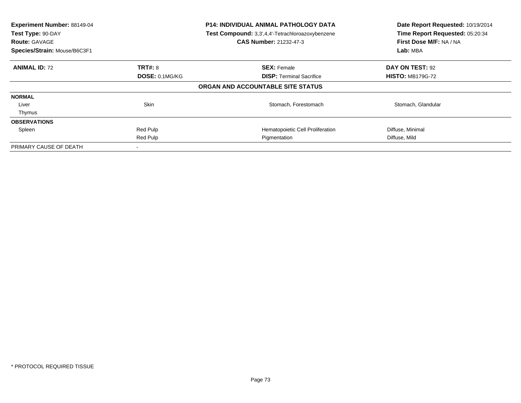| Experiment Number: 88149-04<br>Test Type: 90-DAY<br><b>Route: GAVAGE</b><br>Species/Strain: Mouse/B6C3F1 |                | <b>P14: INDIVIDUAL ANIMAL PATHOLOGY DATA</b><br>Test Compound: 3,3',4,4'-Tetrachloroazoxybenzene<br><b>CAS Number: 21232-47-3</b> | Date Report Requested: 10/19/2014<br>Time Report Requested: 05:20:34<br>First Dose M/F: NA / NA<br>Lab: MBA |
|----------------------------------------------------------------------------------------------------------|----------------|-----------------------------------------------------------------------------------------------------------------------------------|-------------------------------------------------------------------------------------------------------------|
| <b>ANIMAL ID: 72</b>                                                                                     | <b>TRT#: 8</b> | <b>SEX: Female</b>                                                                                                                | DAY ON TEST: 92                                                                                             |
|                                                                                                          | DOSE: 0.1MG/KG | <b>DISP:</b> Terminal Sacrifice                                                                                                   | <b>HISTO: MB179G-72</b>                                                                                     |
|                                                                                                          |                | ORGAN AND ACCOUNTABLE SITE STATUS                                                                                                 |                                                                                                             |
| <b>NORMAL</b>                                                                                            |                |                                                                                                                                   |                                                                                                             |
| Liver                                                                                                    | <b>Skin</b>    | Stomach, Forestomach                                                                                                              | Stomach, Glandular                                                                                          |
| Thymus                                                                                                   |                |                                                                                                                                   |                                                                                                             |
| <b>OBSERVATIONS</b>                                                                                      |                |                                                                                                                                   |                                                                                                             |
| Spleen                                                                                                   | Red Pulp       | Hematopoietic Cell Proliferation                                                                                                  | Diffuse, Minimal                                                                                            |
|                                                                                                          | Red Pulp       | Pigmentation                                                                                                                      | Diffuse, Mild                                                                                               |
| PRIMARY CAUSE OF DEATH                                                                                   |                |                                                                                                                                   |                                                                                                             |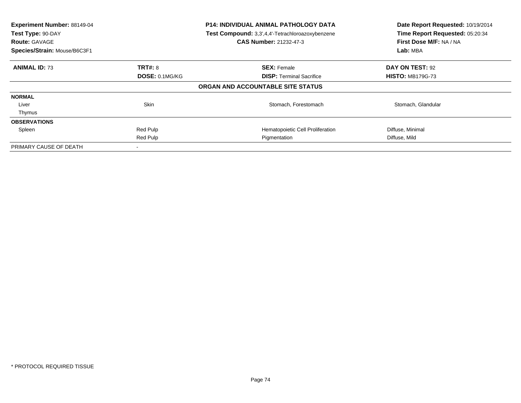| Experiment Number: 88149-04<br>Test Type: 90-DAY<br><b>Route: GAVAGE</b><br>Species/Strain: Mouse/B6C3F1 |                | <b>P14: INDIVIDUAL ANIMAL PATHOLOGY DATA</b><br>Test Compound: 3,3',4,4'-Tetrachloroazoxybenzene<br><b>CAS Number: 21232-47-3</b> | Date Report Requested: 10/19/2014<br>Time Report Requested: 05:20:34<br>First Dose M/F: NA / NA<br>Lab: MBA |
|----------------------------------------------------------------------------------------------------------|----------------|-----------------------------------------------------------------------------------------------------------------------------------|-------------------------------------------------------------------------------------------------------------|
| <b>ANIMAL ID: 73</b>                                                                                     | <b>TRT#: 8</b> | <b>SEX: Female</b>                                                                                                                | DAY ON TEST: 92                                                                                             |
|                                                                                                          | DOSE: 0.1MG/KG | <b>DISP:</b> Terminal Sacrifice                                                                                                   | <b>HISTO: MB179G-73</b>                                                                                     |
|                                                                                                          |                | ORGAN AND ACCOUNTABLE SITE STATUS                                                                                                 |                                                                                                             |
| <b>NORMAL</b>                                                                                            |                |                                                                                                                                   |                                                                                                             |
| Liver                                                                                                    | <b>Skin</b>    | Stomach, Forestomach                                                                                                              | Stomach, Glandular                                                                                          |
| Thymus                                                                                                   |                |                                                                                                                                   |                                                                                                             |
| <b>OBSERVATIONS</b>                                                                                      |                |                                                                                                                                   |                                                                                                             |
| Spleen                                                                                                   | Red Pulp       | Hematopoietic Cell Proliferation                                                                                                  | Diffuse, Minimal                                                                                            |
|                                                                                                          | Red Pulp       | Pigmentation                                                                                                                      | Diffuse, Mild                                                                                               |
| PRIMARY CAUSE OF DEATH                                                                                   |                |                                                                                                                                   |                                                                                                             |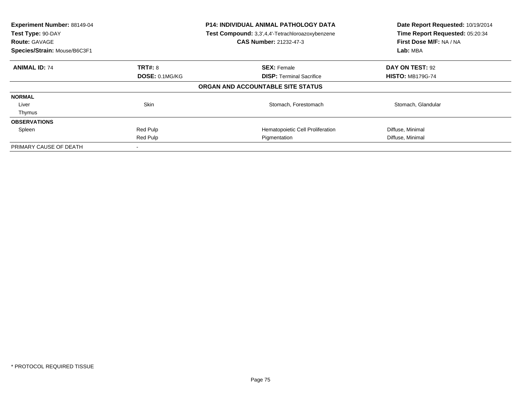| Experiment Number: 88149-04<br>Test Type: 90-DAY<br><b>Route: GAVAGE</b><br>Species/Strain: Mouse/B6C3F1 |                | <b>P14: INDIVIDUAL ANIMAL PATHOLOGY DATA</b><br>Test Compound: 3,3',4,4'-Tetrachloroazoxybenzene<br><b>CAS Number: 21232-47-3</b> | Date Report Requested: 10/19/2014<br>Time Report Requested: 05:20:34<br>First Dose M/F: NA / NA<br>Lab: MBA |
|----------------------------------------------------------------------------------------------------------|----------------|-----------------------------------------------------------------------------------------------------------------------------------|-------------------------------------------------------------------------------------------------------------|
| <b>ANIMAL ID: 74</b>                                                                                     | <b>TRT#: 8</b> | <b>SEX: Female</b>                                                                                                                | DAY ON TEST: 92                                                                                             |
|                                                                                                          | DOSE: 0.1MG/KG | <b>DISP:</b> Terminal Sacrifice                                                                                                   | <b>HISTO: MB179G-74</b>                                                                                     |
|                                                                                                          |                | ORGAN AND ACCOUNTABLE SITE STATUS                                                                                                 |                                                                                                             |
| <b>NORMAL</b>                                                                                            |                |                                                                                                                                   |                                                                                                             |
| Liver                                                                                                    | <b>Skin</b>    | Stomach, Forestomach                                                                                                              | Stomach, Glandular                                                                                          |
| Thymus                                                                                                   |                |                                                                                                                                   |                                                                                                             |
| <b>OBSERVATIONS</b>                                                                                      |                |                                                                                                                                   |                                                                                                             |
| Spleen                                                                                                   | Red Pulp       | Hematopoietic Cell Proliferation                                                                                                  | Diffuse, Minimal                                                                                            |
|                                                                                                          | Red Pulp       | Pigmentation                                                                                                                      | Diffuse, Minimal                                                                                            |
| PRIMARY CAUSE OF DEATH                                                                                   |                |                                                                                                                                   |                                                                                                             |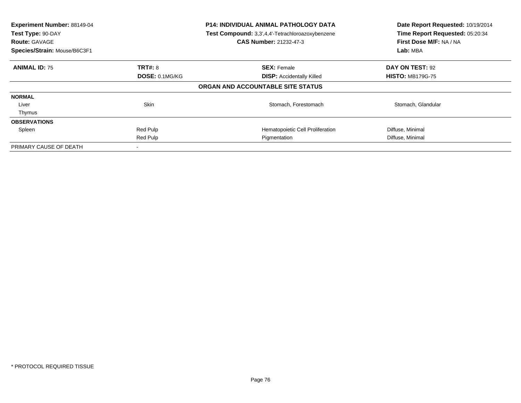| Experiment Number: 88149-04<br>Test Type: 90-DAY<br><b>Route: GAVAGE</b><br>Species/Strain: Mouse/B6C3F1 |                | <b>P14: INDIVIDUAL ANIMAL PATHOLOGY DATA</b><br>Test Compound: 3,3',4,4'-Tetrachloroazoxybenzene<br><b>CAS Number: 21232-47-3</b> | Date Report Requested: 10/19/2014<br>Time Report Requested: 05:20:34<br>First Dose M/F: NA / NA<br>Lab: MBA |
|----------------------------------------------------------------------------------------------------------|----------------|-----------------------------------------------------------------------------------------------------------------------------------|-------------------------------------------------------------------------------------------------------------|
| <b>ANIMAL ID: 75</b>                                                                                     | <b>TRT#: 8</b> | <b>SEX: Female</b>                                                                                                                | DAY ON TEST: 92                                                                                             |
|                                                                                                          | DOSE: 0.1MG/KG | <b>DISP:</b> Accidentally Killed                                                                                                  | <b>HISTO: MB179G-75</b>                                                                                     |
|                                                                                                          |                | ORGAN AND ACCOUNTABLE SITE STATUS                                                                                                 |                                                                                                             |
| <b>NORMAL</b>                                                                                            |                |                                                                                                                                   |                                                                                                             |
| Liver                                                                                                    | <b>Skin</b>    | Stomach, Forestomach                                                                                                              | Stomach, Glandular                                                                                          |
| Thymus                                                                                                   |                |                                                                                                                                   |                                                                                                             |
| <b>OBSERVATIONS</b>                                                                                      |                |                                                                                                                                   |                                                                                                             |
| Spleen                                                                                                   | Red Pulp       | Hematopoietic Cell Proliferation                                                                                                  | Diffuse, Minimal                                                                                            |
|                                                                                                          | Red Pulp       | Pigmentation                                                                                                                      | Diffuse, Minimal                                                                                            |
| PRIMARY CAUSE OF DEATH                                                                                   |                |                                                                                                                                   |                                                                                                             |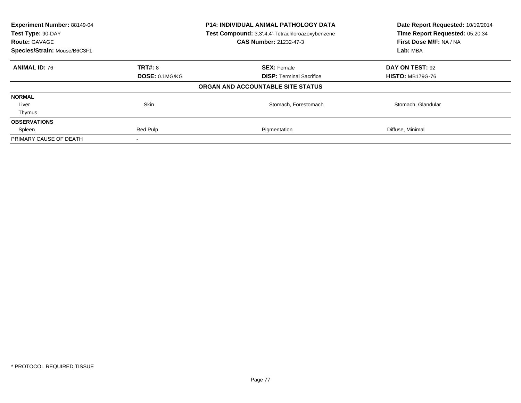| Experiment Number: 88149-04<br>Test Type: 90-DAY<br><b>Route: GAVAGE</b> |                | P14: INDIVIDUAL ANIMAL PATHOLOGY DATA<br>Test Compound: 3,3',4,4'-Tetrachloroazoxybenzene<br><b>CAS Number: 21232-47-3</b> | Date Report Requested: 10/19/2014<br>Time Report Requested: 05:20:34<br>First Dose M/F: NA / NA |
|--------------------------------------------------------------------------|----------------|----------------------------------------------------------------------------------------------------------------------------|-------------------------------------------------------------------------------------------------|
| Species/Strain: Mouse/B6C3F1                                             |                |                                                                                                                            | Lab: MBA                                                                                        |
| <b>ANIMAL ID: 76</b>                                                     | <b>TRT#: 8</b> | <b>SEX: Female</b>                                                                                                         | DAY ON TEST: 92                                                                                 |
|                                                                          | DOSE: 0.1MG/KG | <b>DISP:</b> Terminal Sacrifice                                                                                            | <b>HISTO: MB179G-76</b>                                                                         |
|                                                                          |                | ORGAN AND ACCOUNTABLE SITE STATUS                                                                                          |                                                                                                 |
| <b>NORMAL</b>                                                            |                |                                                                                                                            |                                                                                                 |
| Liver                                                                    | <b>Skin</b>    | Stomach, Forestomach                                                                                                       | Stomach, Glandular                                                                              |
| Thymus                                                                   |                |                                                                                                                            |                                                                                                 |
| <b>OBSERVATIONS</b>                                                      |                |                                                                                                                            |                                                                                                 |
| Spleen                                                                   | Red Pulp       | Pigmentation                                                                                                               | Diffuse, Minimal                                                                                |
| PRIMARY CAUSE OF DEATH                                                   |                |                                                                                                                            |                                                                                                 |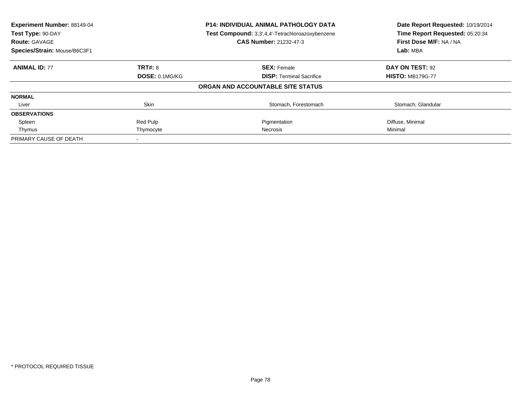| Experiment Number: 88149-04<br>Test Type: 90-DAY<br><b>Route: GAVAGE</b> |                | <b>P14: INDIVIDUAL ANIMAL PATHOLOGY DATA</b><br>Test Compound: 3,3',4,4'-Tetrachloroazoxybenzene<br><b>CAS Number: 21232-47-3</b> | Date Report Requested: 10/19/2014<br>Time Report Requested: 05:20:34<br>First Dose M/F: NA / NA |
|--------------------------------------------------------------------------|----------------|-----------------------------------------------------------------------------------------------------------------------------------|-------------------------------------------------------------------------------------------------|
| Species/Strain: Mouse/B6C3F1                                             |                |                                                                                                                                   | Lab: MBA                                                                                        |
| <b>ANIMAL ID: 77</b>                                                     | <b>TRT#: 8</b> | <b>SEX: Female</b>                                                                                                                | DAY ON TEST: 92                                                                                 |
|                                                                          | DOSE: 0.1MG/KG | <b>DISP:</b> Terminal Sacrifice                                                                                                   | <b>HISTO: MB179G-77</b>                                                                         |
|                                                                          |                | ORGAN AND ACCOUNTABLE SITE STATUS                                                                                                 |                                                                                                 |
| <b>NORMAL</b>                                                            |                |                                                                                                                                   |                                                                                                 |
| Liver                                                                    | Skin           | Stomach, Forestomach                                                                                                              | Stomach, Glandular                                                                              |
| <b>OBSERVATIONS</b>                                                      |                |                                                                                                                                   |                                                                                                 |
| Spleen                                                                   | Red Pulp       | Pigmentation                                                                                                                      | Diffuse, Minimal                                                                                |
| Thymus                                                                   | Thymocyte      | Necrosis                                                                                                                          | Minimal                                                                                         |
| PRIMARY CAUSE OF DEATH                                                   |                |                                                                                                                                   |                                                                                                 |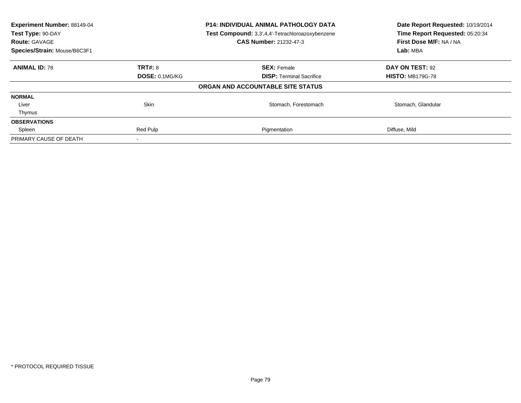| Experiment Number: 88149-04<br>Test Type: 90-DAY<br><b>Route: GAVAGE</b> |                | P14: INDIVIDUAL ANIMAL PATHOLOGY DATA<br>Test Compound: 3,3',4,4'-Tetrachloroazoxybenzene<br><b>CAS Number: 21232-47-3</b> | Date Report Requested: 10/19/2014<br>Time Report Requested: 05:20:34<br>First Dose M/F: NA / NA |
|--------------------------------------------------------------------------|----------------|----------------------------------------------------------------------------------------------------------------------------|-------------------------------------------------------------------------------------------------|
| Species/Strain: Mouse/B6C3F1                                             |                |                                                                                                                            | Lab: MBA                                                                                        |
| <b>ANIMAL ID: 78</b>                                                     | <b>TRT#: 8</b> | <b>SEX: Female</b>                                                                                                         | DAY ON TEST: 92                                                                                 |
|                                                                          | DOSE: 0.1MG/KG | <b>DISP:</b> Terminal Sacrifice                                                                                            | <b>HISTO: MB179G-78</b>                                                                         |
|                                                                          |                | ORGAN AND ACCOUNTABLE SITE STATUS                                                                                          |                                                                                                 |
| <b>NORMAL</b>                                                            |                |                                                                                                                            |                                                                                                 |
| Liver                                                                    | <b>Skin</b>    | Stomach, Forestomach                                                                                                       | Stomach, Glandular                                                                              |
| Thymus                                                                   |                |                                                                                                                            |                                                                                                 |
| <b>OBSERVATIONS</b>                                                      |                |                                                                                                                            |                                                                                                 |
| Spleen                                                                   | Red Pulp       | Pigmentation                                                                                                               | Diffuse, Mild                                                                                   |
| PRIMARY CAUSE OF DEATH                                                   |                |                                                                                                                            |                                                                                                 |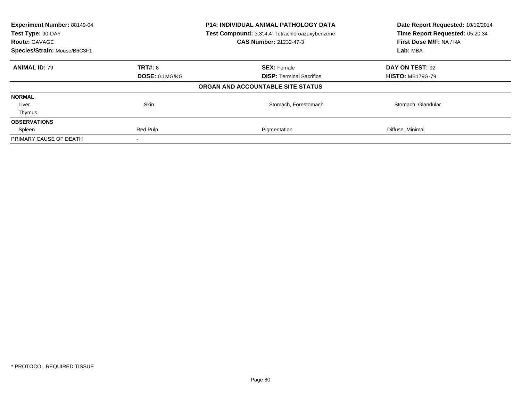| Experiment Number: 88149-04<br>Test Type: 90-DAY<br><b>Route: GAVAGE</b> |                | P14: INDIVIDUAL ANIMAL PATHOLOGY DATA<br>Test Compound: 3,3',4,4'-Tetrachloroazoxybenzene<br><b>CAS Number: 21232-47-3</b> | Date Report Requested: 10/19/2014<br>Time Report Requested: 05:20:34<br>First Dose M/F: NA / NA |
|--------------------------------------------------------------------------|----------------|----------------------------------------------------------------------------------------------------------------------------|-------------------------------------------------------------------------------------------------|
| Species/Strain: Mouse/B6C3F1                                             |                |                                                                                                                            | Lab: MBA                                                                                        |
| <b>ANIMAL ID: 79</b>                                                     | <b>TRT#: 8</b> | <b>SEX: Female</b>                                                                                                         | DAY ON TEST: 92                                                                                 |
|                                                                          | DOSE: 0.1MG/KG | <b>DISP:</b> Terminal Sacrifice                                                                                            | <b>HISTO: MB179G-79</b>                                                                         |
|                                                                          |                | ORGAN AND ACCOUNTABLE SITE STATUS                                                                                          |                                                                                                 |
| <b>NORMAL</b>                                                            |                |                                                                                                                            |                                                                                                 |
| Liver                                                                    | <b>Skin</b>    | Stomach, Forestomach                                                                                                       | Stomach, Glandular                                                                              |
| Thymus                                                                   |                |                                                                                                                            |                                                                                                 |
| <b>OBSERVATIONS</b>                                                      |                |                                                                                                                            |                                                                                                 |
| Spleen                                                                   | Red Pulp       | Pigmentation                                                                                                               | Diffuse, Minimal                                                                                |
| PRIMARY CAUSE OF DEATH                                                   |                |                                                                                                                            |                                                                                                 |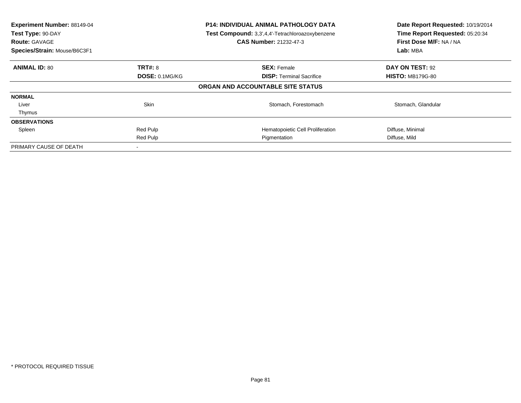| Experiment Number: 88149-04<br>Test Type: 90-DAY<br><b>Route: GAVAGE</b><br>Species/Strain: Mouse/B6C3F1 |                | <b>P14: INDIVIDUAL ANIMAL PATHOLOGY DATA</b><br>Test Compound: 3,3',4,4'-Tetrachloroazoxybenzene<br><b>CAS Number: 21232-47-3</b> | Date Report Requested: 10/19/2014<br>Time Report Requested: 05:20:34<br>First Dose M/F: NA / NA<br>Lab: MBA |
|----------------------------------------------------------------------------------------------------------|----------------|-----------------------------------------------------------------------------------------------------------------------------------|-------------------------------------------------------------------------------------------------------------|
| <b>ANIMAL ID: 80</b>                                                                                     | <b>TRT#: 8</b> | <b>SEX: Female</b>                                                                                                                | DAY ON TEST: 92                                                                                             |
|                                                                                                          | DOSE: 0.1MG/KG | <b>DISP:</b> Terminal Sacrifice                                                                                                   | <b>HISTO: MB179G-80</b>                                                                                     |
|                                                                                                          |                | ORGAN AND ACCOUNTABLE SITE STATUS                                                                                                 |                                                                                                             |
| <b>NORMAL</b>                                                                                            |                |                                                                                                                                   |                                                                                                             |
| Liver                                                                                                    | <b>Skin</b>    | Stomach, Forestomach                                                                                                              | Stomach, Glandular                                                                                          |
| Thymus                                                                                                   |                |                                                                                                                                   |                                                                                                             |
| <b>OBSERVATIONS</b>                                                                                      |                |                                                                                                                                   |                                                                                                             |
| Spleen                                                                                                   | Red Pulp       | Hematopoietic Cell Proliferation                                                                                                  | Diffuse, Minimal                                                                                            |
|                                                                                                          | Red Pulp       | Pigmentation                                                                                                                      | Diffuse, Mild                                                                                               |
| PRIMARY CAUSE OF DEATH                                                                                   |                |                                                                                                                                   |                                                                                                             |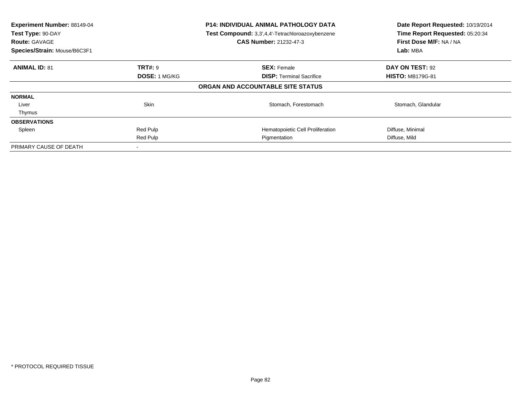| Experiment Number: 88149-04<br>Test Type: 90-DAY<br><b>Route: GAVAGE</b><br>Species/Strain: Mouse/B6C3F1 |                      | <b>P14: INDIVIDUAL ANIMAL PATHOLOGY DATA</b><br>Test Compound: 3,3',4,4'-Tetrachloroazoxybenzene<br><b>CAS Number: 21232-47-3</b> | Date Report Requested: 10/19/2014<br>Time Report Requested: 05:20:34<br>First Dose M/F: NA / NA<br>Lab: MBA |
|----------------------------------------------------------------------------------------------------------|----------------------|-----------------------------------------------------------------------------------------------------------------------------------|-------------------------------------------------------------------------------------------------------------|
| <b>ANIMAL ID: 81</b>                                                                                     | <b>TRT#:</b> 9       | <b>SEX: Female</b>                                                                                                                | DAY ON TEST: 92                                                                                             |
|                                                                                                          | <b>DOSE: 1 MG/KG</b> | <b>DISP:</b> Terminal Sacrifice                                                                                                   | <b>HISTO: MB179G-81</b>                                                                                     |
|                                                                                                          |                      | ORGAN AND ACCOUNTABLE SITE STATUS                                                                                                 |                                                                                                             |
| <b>NORMAL</b>                                                                                            |                      |                                                                                                                                   |                                                                                                             |
| Liver                                                                                                    | <b>Skin</b>          | Stomach, Forestomach                                                                                                              | Stomach, Glandular                                                                                          |
| Thymus                                                                                                   |                      |                                                                                                                                   |                                                                                                             |
| <b>OBSERVATIONS</b>                                                                                      |                      |                                                                                                                                   |                                                                                                             |
| Spleen                                                                                                   | Red Pulp             | Hematopoietic Cell Proliferation                                                                                                  | Diffuse, Minimal                                                                                            |
|                                                                                                          | Red Pulp             | Pigmentation                                                                                                                      | Diffuse, Mild                                                                                               |
| PRIMARY CAUSE OF DEATH                                                                                   |                      |                                                                                                                                   |                                                                                                             |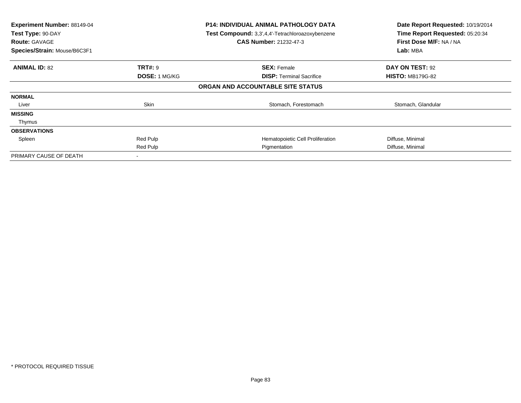| Experiment Number: 88149-04<br>Test Type: 90-DAY<br><b>Route: GAVAGE</b><br>Species/Strain: Mouse/B6C3F1 |                      | <b>P14: INDIVIDUAL ANIMAL PATHOLOGY DATA</b><br>Test Compound: 3,3',4,4'-Tetrachloroazoxybenzene<br><b>CAS Number: 21232-47-3</b> | Date Report Requested: 10/19/2014<br>Time Report Requested: 05:20:34<br>First Dose M/F: NA / NA<br>Lab: MBA |
|----------------------------------------------------------------------------------------------------------|----------------------|-----------------------------------------------------------------------------------------------------------------------------------|-------------------------------------------------------------------------------------------------------------|
| <b>ANIMAL ID: 82</b>                                                                                     | <b>TRT#: 9</b>       | <b>SEX: Female</b>                                                                                                                | DAY ON TEST: 92                                                                                             |
|                                                                                                          | <b>DOSE: 1 MG/KG</b> | <b>DISP:</b> Terminal Sacrifice                                                                                                   | <b>HISTO: MB179G-82</b>                                                                                     |
|                                                                                                          |                      | ORGAN AND ACCOUNTABLE SITE STATUS                                                                                                 |                                                                                                             |
| <b>NORMAL</b>                                                                                            |                      |                                                                                                                                   |                                                                                                             |
| Liver                                                                                                    | Skin                 | Stomach, Forestomach                                                                                                              | Stomach, Glandular                                                                                          |
| <b>MISSING</b>                                                                                           |                      |                                                                                                                                   |                                                                                                             |
| Thymus                                                                                                   |                      |                                                                                                                                   |                                                                                                             |
| <b>OBSERVATIONS</b>                                                                                      |                      |                                                                                                                                   |                                                                                                             |
| Spleen                                                                                                   | Red Pulp             | Hematopoietic Cell Proliferation                                                                                                  | Diffuse, Minimal                                                                                            |
|                                                                                                          | Red Pulp             | Pigmentation                                                                                                                      | Diffuse, Minimal                                                                                            |
| PRIMARY CAUSE OF DEATH                                                                                   |                      |                                                                                                                                   |                                                                                                             |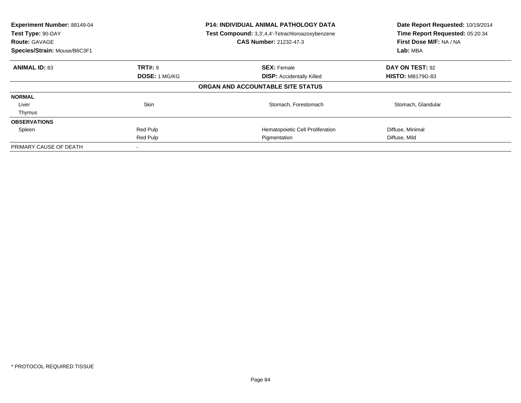| Experiment Number: 88149-04<br>Test Type: 90-DAY<br><b>Route: GAVAGE</b><br>Species/Strain: Mouse/B6C3F1 |                      | <b>P14: INDIVIDUAL ANIMAL PATHOLOGY DATA</b><br>Test Compound: 3,3',4,4'-Tetrachloroazoxybenzene<br><b>CAS Number: 21232-47-3</b> | Date Report Requested: 10/19/2014<br>Time Report Requested: 05:20:34<br>First Dose M/F: NA / NA<br>Lab: MBA |
|----------------------------------------------------------------------------------------------------------|----------------------|-----------------------------------------------------------------------------------------------------------------------------------|-------------------------------------------------------------------------------------------------------------|
| <b>ANIMAL ID: 83</b>                                                                                     | <b>TRT#:</b> 9       | <b>SEX: Female</b>                                                                                                                | DAY ON TEST: 92                                                                                             |
|                                                                                                          | <b>DOSE: 1 MG/KG</b> | <b>DISP:</b> Accidentally Killed                                                                                                  | <b>HISTO: MB179G-83</b>                                                                                     |
|                                                                                                          |                      | ORGAN AND ACCOUNTABLE SITE STATUS                                                                                                 |                                                                                                             |
| <b>NORMAL</b>                                                                                            |                      |                                                                                                                                   |                                                                                                             |
| Liver                                                                                                    | <b>Skin</b>          | Stomach, Forestomach                                                                                                              | Stomach, Glandular                                                                                          |
| Thymus                                                                                                   |                      |                                                                                                                                   |                                                                                                             |
| <b>OBSERVATIONS</b>                                                                                      |                      |                                                                                                                                   |                                                                                                             |
| Spleen                                                                                                   | Red Pulp             | Hematopoietic Cell Proliferation                                                                                                  | Diffuse, Minimal                                                                                            |
|                                                                                                          | Red Pulp             | Pigmentation                                                                                                                      | Diffuse, Mild                                                                                               |
| PRIMARY CAUSE OF DEATH                                                                                   |                      |                                                                                                                                   |                                                                                                             |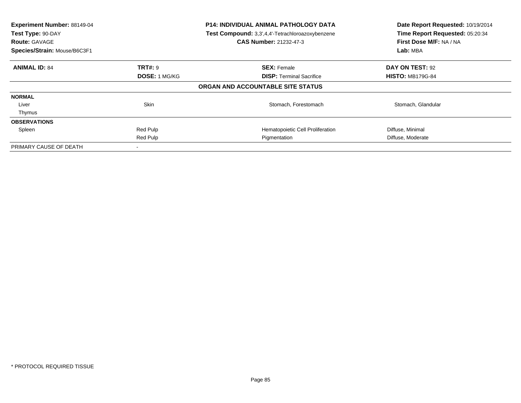| Experiment Number: 88149-04<br>Test Type: 90-DAY<br><b>Route: GAVAGE</b><br>Species/Strain: Mouse/B6C3F1 |                      | <b>P14: INDIVIDUAL ANIMAL PATHOLOGY DATA</b><br>Test Compound: 3,3',4,4'-Tetrachloroazoxybenzene<br><b>CAS Number: 21232-47-3</b> | Date Report Requested: 10/19/2014<br>Time Report Requested: 05:20:34<br>First Dose M/F: NA / NA<br>Lab: MBA |
|----------------------------------------------------------------------------------------------------------|----------------------|-----------------------------------------------------------------------------------------------------------------------------------|-------------------------------------------------------------------------------------------------------------|
| <b>ANIMAL ID: 84</b>                                                                                     | <b>TRT#:</b> 9       | <b>SEX: Female</b>                                                                                                                | DAY ON TEST: 92                                                                                             |
|                                                                                                          | <b>DOSE: 1 MG/KG</b> | <b>DISP:</b> Terminal Sacrifice                                                                                                   | <b>HISTO: MB179G-84</b>                                                                                     |
|                                                                                                          |                      | ORGAN AND ACCOUNTABLE SITE STATUS                                                                                                 |                                                                                                             |
| <b>NORMAL</b>                                                                                            |                      |                                                                                                                                   |                                                                                                             |
| Liver                                                                                                    | <b>Skin</b>          | Stomach, Forestomach                                                                                                              | Stomach, Glandular                                                                                          |
| Thymus                                                                                                   |                      |                                                                                                                                   |                                                                                                             |
| <b>OBSERVATIONS</b>                                                                                      |                      |                                                                                                                                   |                                                                                                             |
| Spleen                                                                                                   | Red Pulp             | Hematopoietic Cell Proliferation                                                                                                  | Diffuse, Minimal                                                                                            |
|                                                                                                          | Red Pulp             | Pigmentation                                                                                                                      | Diffuse, Moderate                                                                                           |
| PRIMARY CAUSE OF DEATH                                                                                   |                      |                                                                                                                                   |                                                                                                             |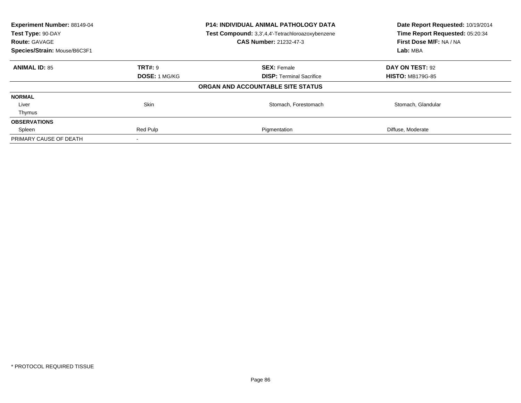| Experiment Number: 88149-04<br><b>P14: INDIVIDUAL ANIMAL PATHOLOGY DATA</b><br>Test Compound: 3,3',4,4'-Tetrachloroazoxybenzene<br>Test Type: 90-DAY<br>CAS Number: 21232-47-3<br><b>Route: GAVAGE</b> |                      |                                   | Date Report Requested: 10/19/2014<br>Time Report Requested: 05:20:34<br>First Dose M/F: NA / NA |
|--------------------------------------------------------------------------------------------------------------------------------------------------------------------------------------------------------|----------------------|-----------------------------------|-------------------------------------------------------------------------------------------------|
| Species/Strain: Mouse/B6C3F1                                                                                                                                                                           |                      |                                   | Lab: MBA                                                                                        |
| <b>ANIMAL ID: 85</b>                                                                                                                                                                                   | <b>TRT#: 9</b>       | <b>SEX: Female</b>                | DAY ON TEST: 92                                                                                 |
|                                                                                                                                                                                                        | <b>DOSE: 1 MG/KG</b> | <b>DISP:</b> Terminal Sacrifice   | <b>HISTO: MB179G-85</b>                                                                         |
|                                                                                                                                                                                                        |                      | ORGAN AND ACCOUNTABLE SITE STATUS |                                                                                                 |
| <b>NORMAL</b>                                                                                                                                                                                          |                      |                                   |                                                                                                 |
| Liver                                                                                                                                                                                                  | <b>Skin</b>          | Stomach, Forestomach              | Stomach, Glandular                                                                              |
| Thymus                                                                                                                                                                                                 |                      |                                   |                                                                                                 |
| <b>OBSERVATIONS</b>                                                                                                                                                                                    |                      |                                   |                                                                                                 |
| Spleen                                                                                                                                                                                                 | Red Pulp             | Pigmentation                      | Diffuse, Moderate                                                                               |
| PRIMARY CAUSE OF DEATH                                                                                                                                                                                 |                      |                                   |                                                                                                 |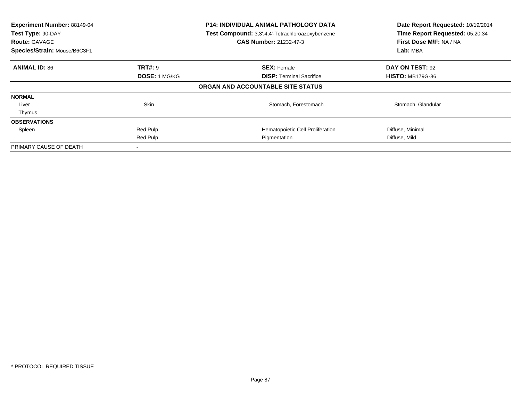| Experiment Number: 88149-04<br>Test Type: 90-DAY<br><b>Route: GAVAGE</b><br>Species/Strain: Mouse/B6C3F1 |                      | <b>P14: INDIVIDUAL ANIMAL PATHOLOGY DATA</b><br>Test Compound: 3,3',4,4'-Tetrachloroazoxybenzene<br><b>CAS Number: 21232-47-3</b> | Date Report Requested: 10/19/2014<br>Time Report Requested: 05:20:34<br>First Dose M/F: NA / NA<br>Lab: MBA |
|----------------------------------------------------------------------------------------------------------|----------------------|-----------------------------------------------------------------------------------------------------------------------------------|-------------------------------------------------------------------------------------------------------------|
| <b>ANIMAL ID: 86</b>                                                                                     | <b>TRT#:</b> 9       | <b>SEX: Female</b>                                                                                                                | DAY ON TEST: 92                                                                                             |
|                                                                                                          | <b>DOSE: 1 MG/KG</b> | <b>DISP:</b> Terminal Sacrifice                                                                                                   | <b>HISTO: MB179G-86</b>                                                                                     |
|                                                                                                          |                      | ORGAN AND ACCOUNTABLE SITE STATUS                                                                                                 |                                                                                                             |
| <b>NORMAL</b>                                                                                            |                      |                                                                                                                                   |                                                                                                             |
| Liver                                                                                                    | <b>Skin</b>          | Stomach, Forestomach                                                                                                              | Stomach, Glandular                                                                                          |
| Thymus                                                                                                   |                      |                                                                                                                                   |                                                                                                             |
| <b>OBSERVATIONS</b>                                                                                      |                      |                                                                                                                                   |                                                                                                             |
| Spleen                                                                                                   | Red Pulp             | Hematopoietic Cell Proliferation                                                                                                  | Diffuse, Minimal                                                                                            |
|                                                                                                          | Red Pulp             | Pigmentation                                                                                                                      | Diffuse, Mild                                                                                               |
| PRIMARY CAUSE OF DEATH                                                                                   |                      |                                                                                                                                   |                                                                                                             |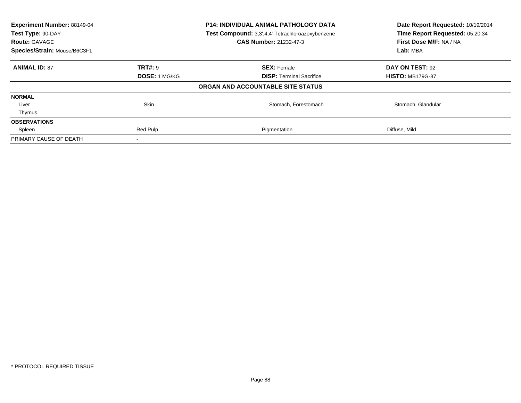| Experiment Number: 88149-04<br><b>P14: INDIVIDUAL ANIMAL PATHOLOGY DATA</b><br>Test Compound: 3,3',4,4'-Tetrachloroazoxybenzene<br>Test Type: 90-DAY<br><b>CAS Number: 21232-47-3</b><br><b>Route: GAVAGE</b><br>Species/Strain: Mouse/B6C3F1 |                      |                                   | Date Report Requested: 10/19/2014<br>Time Report Requested: 05:20:34<br>First Dose M/F: NA / NA<br>Lab: MBA |
|-----------------------------------------------------------------------------------------------------------------------------------------------------------------------------------------------------------------------------------------------|----------------------|-----------------------------------|-------------------------------------------------------------------------------------------------------------|
| <b>ANIMAL ID: 87</b>                                                                                                                                                                                                                          | <b>TRT#: 9</b>       | <b>SEX: Female</b>                | DAY ON TEST: 92                                                                                             |
|                                                                                                                                                                                                                                               | <b>DOSE: 1 MG/KG</b> | <b>DISP:</b> Terminal Sacrifice   | <b>HISTO: MB179G-87</b>                                                                                     |
|                                                                                                                                                                                                                                               |                      | ORGAN AND ACCOUNTABLE SITE STATUS |                                                                                                             |
| <b>NORMAL</b>                                                                                                                                                                                                                                 |                      |                                   |                                                                                                             |
| Liver                                                                                                                                                                                                                                         | Skin                 | Stomach, Forestomach              | Stomach, Glandular                                                                                          |
| Thymus                                                                                                                                                                                                                                        |                      |                                   |                                                                                                             |
| <b>OBSERVATIONS</b>                                                                                                                                                                                                                           |                      |                                   |                                                                                                             |
| Spleen                                                                                                                                                                                                                                        | Red Pulp             | Pigmentation                      | Diffuse, Mild                                                                                               |
| PRIMARY CAUSE OF DEATH                                                                                                                                                                                                                        |                      |                                   |                                                                                                             |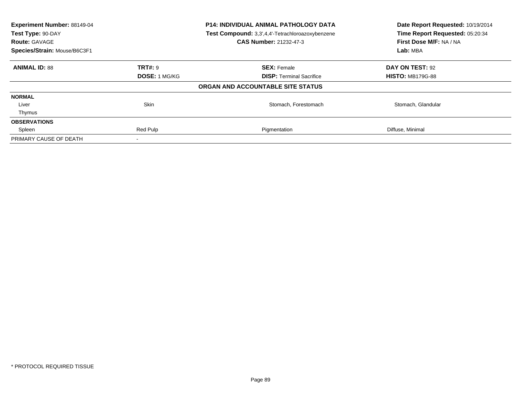| Experiment Number: 88149-04<br>Test Type: 90-DAY<br><b>Route: GAVAGE</b> |                      | P14: INDIVIDUAL ANIMAL PATHOLOGY DATA<br>Test Compound: 3,3',4,4'-Tetrachloroazoxybenzene<br><b>CAS Number: 21232-47-3</b> | Date Report Requested: 10/19/2014<br>Time Report Requested: 05:20:34<br>First Dose M/F: NA / NA |
|--------------------------------------------------------------------------|----------------------|----------------------------------------------------------------------------------------------------------------------------|-------------------------------------------------------------------------------------------------|
| Species/Strain: Mouse/B6C3F1                                             |                      |                                                                                                                            | Lab: MBA                                                                                        |
| <b>ANIMAL ID: 88</b>                                                     | <b>TRT#: 9</b>       | <b>SEX: Female</b>                                                                                                         | DAY ON TEST: 92                                                                                 |
|                                                                          | <b>DOSE: 1 MG/KG</b> | <b>DISP:</b> Terminal Sacrifice                                                                                            | <b>HISTO: MB179G-88</b>                                                                         |
|                                                                          |                      | ORGAN AND ACCOUNTABLE SITE STATUS                                                                                          |                                                                                                 |
| <b>NORMAL</b>                                                            |                      |                                                                                                                            |                                                                                                 |
| Liver                                                                    | <b>Skin</b>          | Stomach, Forestomach                                                                                                       | Stomach, Glandular                                                                              |
| Thymus                                                                   |                      |                                                                                                                            |                                                                                                 |
| <b>OBSERVATIONS</b>                                                      |                      |                                                                                                                            |                                                                                                 |
| Spleen                                                                   | Red Pulp             | Pigmentation                                                                                                               | Diffuse, Minimal                                                                                |
| PRIMARY CAUSE OF DEATH                                                   |                      |                                                                                                                            |                                                                                                 |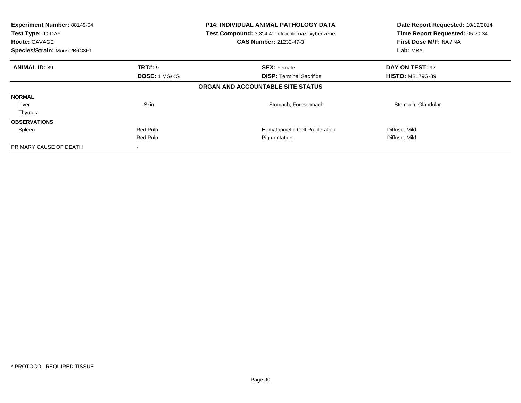| Experiment Number: 88149-04<br>Test Type: 90-DAY<br><b>Route: GAVAGE</b><br>Species/Strain: Mouse/B6C3F1 |                      | <b>P14: INDIVIDUAL ANIMAL PATHOLOGY DATA</b><br>Test Compound: 3,3',4,4'-Tetrachloroazoxybenzene<br><b>CAS Number: 21232-47-3</b> | Date Report Requested: 10/19/2014<br>Time Report Requested: 05:20:34<br>First Dose M/F: NA / NA<br>Lab: MBA |
|----------------------------------------------------------------------------------------------------------|----------------------|-----------------------------------------------------------------------------------------------------------------------------------|-------------------------------------------------------------------------------------------------------------|
| <b>ANIMAL ID: 89</b>                                                                                     | <b>TRT#:</b> 9       | <b>SEX: Female</b>                                                                                                                | DAY ON TEST: 92                                                                                             |
|                                                                                                          | <b>DOSE: 1 MG/KG</b> | <b>DISP:</b> Terminal Sacrifice                                                                                                   | <b>HISTO: MB179G-89</b>                                                                                     |
|                                                                                                          |                      | ORGAN AND ACCOUNTABLE SITE STATUS                                                                                                 |                                                                                                             |
| <b>NORMAL</b>                                                                                            |                      |                                                                                                                                   |                                                                                                             |
| Liver                                                                                                    | <b>Skin</b>          | Stomach, Forestomach                                                                                                              | Stomach, Glandular                                                                                          |
| Thymus                                                                                                   |                      |                                                                                                                                   |                                                                                                             |
| <b>OBSERVATIONS</b>                                                                                      |                      |                                                                                                                                   |                                                                                                             |
| Spleen                                                                                                   | Red Pulp             | Hematopoietic Cell Proliferation                                                                                                  | Diffuse, Mild                                                                                               |
|                                                                                                          | Red Pulp             | Pigmentation                                                                                                                      | Diffuse, Mild                                                                                               |
| PRIMARY CAUSE OF DEATH                                                                                   |                      |                                                                                                                                   |                                                                                                             |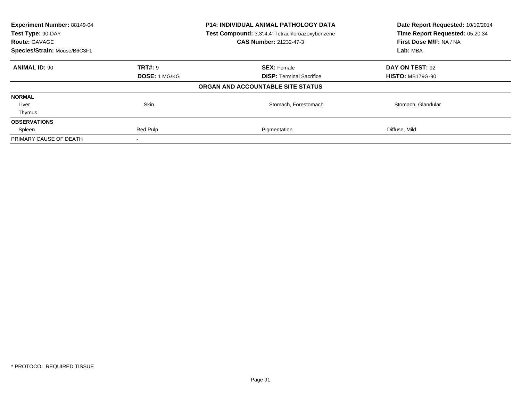| Experiment Number: 88149-04<br>Test Type: 90-DAY<br><b>Route: GAVAGE</b> |                      | P14: INDIVIDUAL ANIMAL PATHOLOGY DATA<br>Test Compound: 3,3',4,4'-Tetrachloroazoxybenzene<br><b>CAS Number: 21232-47-3</b> | Date Report Requested: 10/19/2014<br>Time Report Requested: 05:20:34<br>First Dose M/F: NA / NA |  |
|--------------------------------------------------------------------------|----------------------|----------------------------------------------------------------------------------------------------------------------------|-------------------------------------------------------------------------------------------------|--|
| Species/Strain: Mouse/B6C3F1                                             |                      |                                                                                                                            | Lab: MBA                                                                                        |  |
| <b>ANIMAL ID: 90</b>                                                     | <b>TRT#: 9</b>       | <b>SEX: Female</b>                                                                                                         | DAY ON TEST: 92                                                                                 |  |
|                                                                          | <b>DOSE: 1 MG/KG</b> | <b>DISP:</b> Terminal Sacrifice                                                                                            | <b>HISTO: MB179G-90</b>                                                                         |  |
|                                                                          |                      | ORGAN AND ACCOUNTABLE SITE STATUS                                                                                          |                                                                                                 |  |
| <b>NORMAL</b>                                                            |                      |                                                                                                                            |                                                                                                 |  |
| Liver                                                                    | Skin                 | Stomach, Forestomach                                                                                                       | Stomach, Glandular                                                                              |  |
| Thymus                                                                   |                      |                                                                                                                            |                                                                                                 |  |
| <b>OBSERVATIONS</b>                                                      |                      |                                                                                                                            |                                                                                                 |  |
| Spleen                                                                   | Red Pulp             | Pigmentation                                                                                                               | Diffuse, Mild                                                                                   |  |
| PRIMARY CAUSE OF DEATH                                                   |                      |                                                                                                                            |                                                                                                 |  |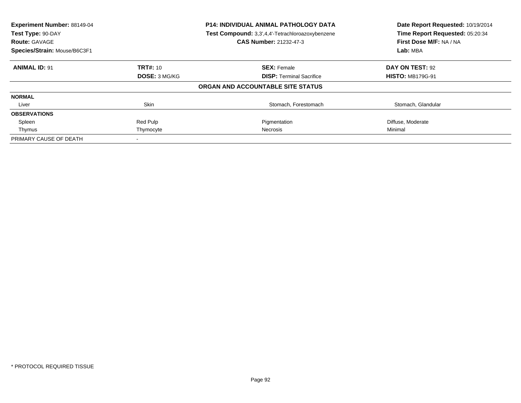| Experiment Number: 88149-04<br>Test Type: 90-DAY<br><b>Route: GAVAGE</b> |                      | <b>P14: INDIVIDUAL ANIMAL PATHOLOGY DATA</b><br>Test Compound: 3,3',4,4'-Tetrachloroazoxybenzene<br>CAS Number: 21232-47-3 | Date Report Requested: 10/19/2014<br>Time Report Requested: 05:20:34<br>First Dose M/F: NA / NA |  |
|--------------------------------------------------------------------------|----------------------|----------------------------------------------------------------------------------------------------------------------------|-------------------------------------------------------------------------------------------------|--|
| Species/Strain: Mouse/B6C3F1                                             |                      |                                                                                                                            | Lab: MBA                                                                                        |  |
| <b>ANIMAL ID: 91</b>                                                     | <b>TRT#: 10</b>      | <b>SEX: Female</b>                                                                                                         | DAY ON TEST: 92                                                                                 |  |
|                                                                          | <b>DOSE: 3 MG/KG</b> | <b>DISP:</b> Terminal Sacrifice                                                                                            | <b>HISTO: MB179G-91</b>                                                                         |  |
|                                                                          |                      | ORGAN AND ACCOUNTABLE SITE STATUS                                                                                          |                                                                                                 |  |
| <b>NORMAL</b>                                                            |                      |                                                                                                                            |                                                                                                 |  |
| Liver                                                                    | Skin                 | Stomach, Forestomach                                                                                                       | Stomach, Glandular                                                                              |  |
| <b>OBSERVATIONS</b>                                                      |                      |                                                                                                                            |                                                                                                 |  |
| Spleen                                                                   | Red Pulp             | Pigmentation                                                                                                               | Diffuse, Moderate                                                                               |  |
| Thymus                                                                   | Thymocyte            | Necrosis                                                                                                                   | Minimal                                                                                         |  |
| PRIMARY CAUSE OF DEATH                                                   |                      |                                                                                                                            |                                                                                                 |  |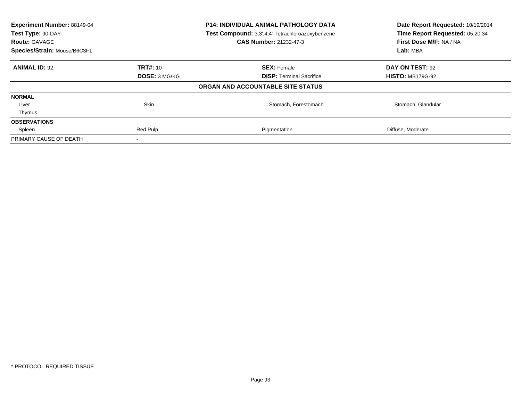| Experiment Number: 88149-04<br>Test Type: 90-DAY<br><b>Route: GAVAGE</b> | <b>P14: INDIVIDUAL ANIMAL PATHOLOGY DATA</b><br>Test Compound: 3,3',4,4'-Tetrachloroazoxybenzene<br>CAS Number: 21232-47-3 |                                   | Date Report Requested: 10/19/2014<br>Time Report Requested: 05:20:34<br>First Dose M/F: NA / NA |  |
|--------------------------------------------------------------------------|----------------------------------------------------------------------------------------------------------------------------|-----------------------------------|-------------------------------------------------------------------------------------------------|--|
| Species/Strain: Mouse/B6C3F1                                             |                                                                                                                            |                                   | Lab: MBA                                                                                        |  |
| <b>ANIMAL ID: 92</b>                                                     | <b>TRT#: 10</b>                                                                                                            | <b>SEX: Female</b>                | DAY ON TEST: 92                                                                                 |  |
|                                                                          | <b>DOSE: 3 MG/KG</b>                                                                                                       | <b>DISP:</b> Terminal Sacrifice   | <b>HISTO: MB179G-92</b>                                                                         |  |
|                                                                          |                                                                                                                            | ORGAN AND ACCOUNTABLE SITE STATUS |                                                                                                 |  |
| <b>NORMAL</b>                                                            |                                                                                                                            |                                   |                                                                                                 |  |
| Liver                                                                    | <b>Skin</b>                                                                                                                | Stomach, Forestomach              | Stomach, Glandular                                                                              |  |
| Thymus                                                                   |                                                                                                                            |                                   |                                                                                                 |  |
| <b>OBSERVATIONS</b>                                                      |                                                                                                                            |                                   |                                                                                                 |  |
| Spleen                                                                   | Red Pulp                                                                                                                   | Pigmentation                      | Diffuse, Moderate                                                                               |  |
| PRIMARY CAUSE OF DEATH                                                   |                                                                                                                            |                                   |                                                                                                 |  |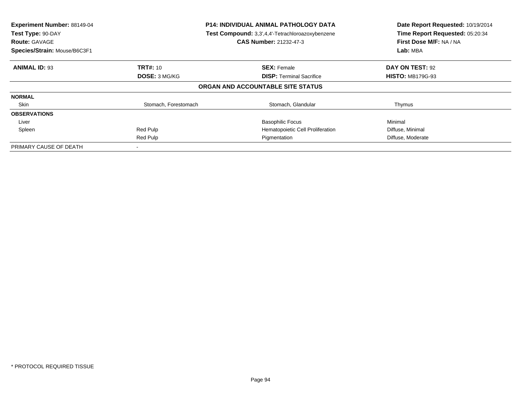| Experiment Number: 88149-04<br>Test Type: 90-DAY<br><b>Route: GAVAGE</b><br>Species/Strain: Mouse/B6C3F1 | <b>P14: INDIVIDUAL ANIMAL PATHOLOGY DATA</b><br>Test Compound: 3,3',4,4'-Tetrachloroazoxybenzene<br><b>CAS Number: 21232-47-3</b> |                                   | Date Report Requested: 10/19/2014<br>Time Report Requested: 05:20:34<br>First Dose M/F: NA / NA<br>Lab: MBA |
|----------------------------------------------------------------------------------------------------------|-----------------------------------------------------------------------------------------------------------------------------------|-----------------------------------|-------------------------------------------------------------------------------------------------------------|
| <b>ANIMAL ID: 93</b>                                                                                     | <b>TRT#: 10</b>                                                                                                                   | <b>SEX: Female</b>                | DAY ON TEST: 92                                                                                             |
|                                                                                                          | DOSE: 3 MG/KG                                                                                                                     | <b>DISP:</b> Terminal Sacrifice   | <b>HISTO: MB179G-93</b>                                                                                     |
|                                                                                                          |                                                                                                                                   | ORGAN AND ACCOUNTABLE SITE STATUS |                                                                                                             |
| <b>NORMAL</b>                                                                                            |                                                                                                                                   |                                   |                                                                                                             |
| Skin                                                                                                     | Stomach, Forestomach                                                                                                              | Stomach, Glandular                | Thymus                                                                                                      |
| <b>OBSERVATIONS</b>                                                                                      |                                                                                                                                   |                                   |                                                                                                             |
| Liver                                                                                                    |                                                                                                                                   | <b>Basophilic Focus</b>           | Minimal                                                                                                     |
| Spleen                                                                                                   | Red Pulp                                                                                                                          | Hematopoietic Cell Proliferation  | Diffuse, Minimal                                                                                            |
|                                                                                                          | Red Pulp                                                                                                                          | Pigmentation                      | Diffuse, Moderate                                                                                           |
| PRIMARY CAUSE OF DEATH                                                                                   |                                                                                                                                   |                                   |                                                                                                             |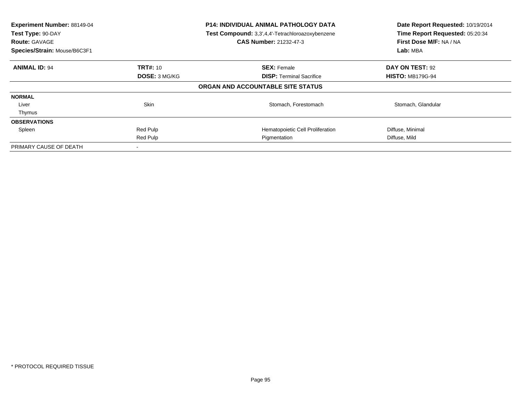| Experiment Number: 88149-04<br>Test Type: 90-DAY<br><b>Route: GAVAGE</b><br>Species/Strain: Mouse/B6C3F1 |                      | <b>P14: INDIVIDUAL ANIMAL PATHOLOGY DATA</b><br>Test Compound: 3,3',4,4'-Tetrachloroazoxybenzene<br><b>CAS Number: 21232-47-3</b> | Date Report Requested: 10/19/2014<br>Time Report Requested: 05:20:34<br>First Dose M/F: NA / NA<br>Lab: MBA |
|----------------------------------------------------------------------------------------------------------|----------------------|-----------------------------------------------------------------------------------------------------------------------------------|-------------------------------------------------------------------------------------------------------------|
| <b>ANIMAL ID: 94</b>                                                                                     | <b>TRT#: 10</b>      | <b>SEX: Female</b>                                                                                                                | DAY ON TEST: 92                                                                                             |
|                                                                                                          | <b>DOSE: 3 MG/KG</b> | <b>DISP:</b> Terminal Sacrifice                                                                                                   | <b>HISTO: MB179G-94</b>                                                                                     |
|                                                                                                          |                      | ORGAN AND ACCOUNTABLE SITE STATUS                                                                                                 |                                                                                                             |
| <b>NORMAL</b>                                                                                            |                      |                                                                                                                                   |                                                                                                             |
| Liver                                                                                                    | <b>Skin</b>          | Stomach, Forestomach                                                                                                              | Stomach, Glandular                                                                                          |
| Thymus                                                                                                   |                      |                                                                                                                                   |                                                                                                             |
| <b>OBSERVATIONS</b>                                                                                      |                      |                                                                                                                                   |                                                                                                             |
| Spleen                                                                                                   | Red Pulp             | Hematopoietic Cell Proliferation                                                                                                  | Diffuse, Minimal                                                                                            |
|                                                                                                          | Red Pulp             | Pigmentation                                                                                                                      | Diffuse, Mild                                                                                               |
| PRIMARY CAUSE OF DEATH                                                                                   |                      |                                                                                                                                   |                                                                                                             |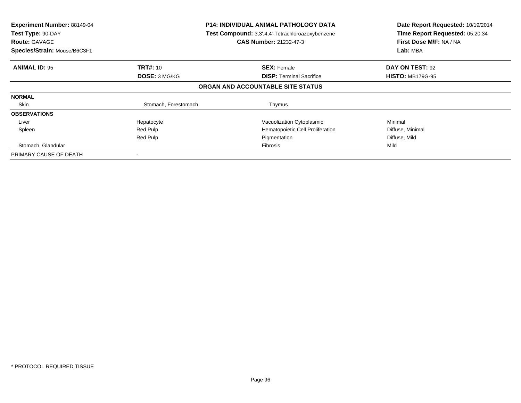| Experiment Number: 88149-04<br>Test Type: 90-DAY<br><b>Route: GAVAGE</b> | <b>P14: INDIVIDUAL ANIMAL PATHOLOGY DATA</b><br>Test Compound: 3,3',4,4'-Tetrachloroazoxybenzene<br>CAS Number: 21232-47-3 |                                   | Date Report Requested: 10/19/2014<br>Time Report Requested: 05:20:34<br>First Dose M/F: NA / NA |
|--------------------------------------------------------------------------|----------------------------------------------------------------------------------------------------------------------------|-----------------------------------|-------------------------------------------------------------------------------------------------|
| Species/Strain: Mouse/B6C3F1                                             |                                                                                                                            |                                   |                                                                                                 |
| <b>ANIMAL ID: 95</b>                                                     | <b>TRT#: 10</b>                                                                                                            | <b>SEX: Female</b>                | DAY ON TEST: 92                                                                                 |
|                                                                          | <b>DOSE: 3 MG/KG</b>                                                                                                       | <b>DISP:</b> Terminal Sacrifice   | <b>HISTO: MB179G-95</b>                                                                         |
|                                                                          |                                                                                                                            | ORGAN AND ACCOUNTABLE SITE STATUS |                                                                                                 |
| <b>NORMAL</b>                                                            |                                                                                                                            |                                   |                                                                                                 |
| Skin                                                                     | Stomach, Forestomach                                                                                                       | Thymus                            |                                                                                                 |
| <b>OBSERVATIONS</b>                                                      |                                                                                                                            |                                   |                                                                                                 |
| Liver                                                                    | Hepatocyte                                                                                                                 | Vacuolization Cytoplasmic         | Minimal                                                                                         |
| Spleen                                                                   | Red Pulp                                                                                                                   | Hematopoietic Cell Proliferation  | Diffuse, Minimal                                                                                |
|                                                                          | Red Pulp                                                                                                                   | Pigmentation                      | Diffuse, Mild                                                                                   |
| Stomach, Glandular                                                       |                                                                                                                            | Fibrosis                          | Mild                                                                                            |
| PRIMARY CAUSE OF DEATH                                                   |                                                                                                                            |                                   |                                                                                                 |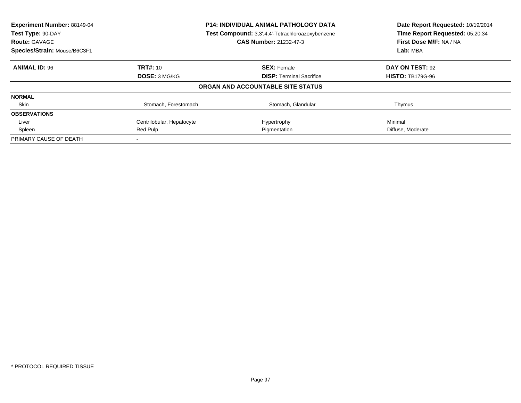| Experiment Number: 88149-04<br>Test Type: 90-DAY | <b>P14: INDIVIDUAL ANIMAL PATHOLOGY DATA</b><br>Test Compound: 3,3',4,4'-Tetrachloroazoxybenzene |                                   | Date Report Requested: 10/19/2014<br>Time Report Requested: 05:20:34 |
|--------------------------------------------------|--------------------------------------------------------------------------------------------------|-----------------------------------|----------------------------------------------------------------------|
| <b>Route: GAVAGE</b>                             |                                                                                                  | CAS Number: 21232-47-3            | First Dose M/F: NA / NA                                              |
| Species/Strain: Mouse/B6C3F1                     |                                                                                                  |                                   | Lab: MBA                                                             |
| <b>ANIMAL ID: 96</b>                             | <b>TRT#: 10</b>                                                                                  | <b>SEX: Female</b>                | DAY ON TEST: 92                                                      |
|                                                  | <b>DOSE: 3 MG/KG</b>                                                                             | <b>DISP:</b> Terminal Sacrifice   | <b>HISTO: TB179G-96</b>                                              |
|                                                  |                                                                                                  | ORGAN AND ACCOUNTABLE SITE STATUS |                                                                      |
| <b>NORMAL</b>                                    |                                                                                                  |                                   |                                                                      |
| Skin                                             | Stomach, Forestomach                                                                             | Stomach, Glandular                | Thymus                                                               |
| <b>OBSERVATIONS</b>                              |                                                                                                  |                                   |                                                                      |
| Liver                                            | Centrilobular, Hepatocyte                                                                        | Hypertrophy                       | Minimal                                                              |
| Spleen                                           | Red Pulp<br>Pigmentation                                                                         |                                   | Diffuse, Moderate                                                    |
| PRIMARY CAUSE OF DEATH                           |                                                                                                  |                                   |                                                                      |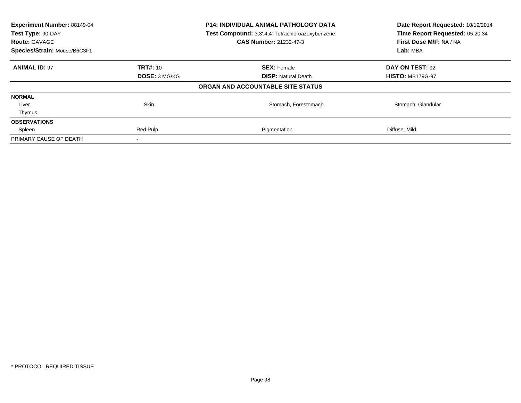| <b>Experiment Number: 88149-04</b><br>Test Type: 90-DAY<br><b>Route: GAVAGE</b> | P14: INDIVIDUAL ANIMAL PATHOLOGY DATA<br>Test Compound: 3,3',4,4'-Tetrachloroazoxybenzene<br><b>CAS Number: 21232-47-3</b> |                                   | Date Report Requested: 10/19/2014<br>Time Report Requested: 05:20:34<br>First Dose M/F: NA / NA |
|---------------------------------------------------------------------------------|----------------------------------------------------------------------------------------------------------------------------|-----------------------------------|-------------------------------------------------------------------------------------------------|
| Species/Strain: Mouse/B6C3F1                                                    |                                                                                                                            |                                   | Lab: MBA                                                                                        |
| <b>ANIMAL ID: 97</b>                                                            | <b>TRT#: 10</b>                                                                                                            | <b>SEX: Female</b>                | DAY ON TEST: 92                                                                                 |
|                                                                                 | <b>DOSE: 3 MG/KG</b>                                                                                                       | <b>DISP:</b> Natural Death        | <b>HISTO: MB179G-97</b>                                                                         |
|                                                                                 |                                                                                                                            | ORGAN AND ACCOUNTABLE SITE STATUS |                                                                                                 |
| <b>NORMAL</b>                                                                   |                                                                                                                            |                                   |                                                                                                 |
| Liver                                                                           | Skin                                                                                                                       | Stomach, Forestomach              | Stomach, Glandular                                                                              |
| Thymus                                                                          |                                                                                                                            |                                   |                                                                                                 |
| <b>OBSERVATIONS</b>                                                             |                                                                                                                            |                                   |                                                                                                 |
| Spleen                                                                          | Red Pulp                                                                                                                   | Pigmentation                      | Diffuse, Mild                                                                                   |
| PRIMARY CAUSE OF DEATH                                                          |                                                                                                                            |                                   |                                                                                                 |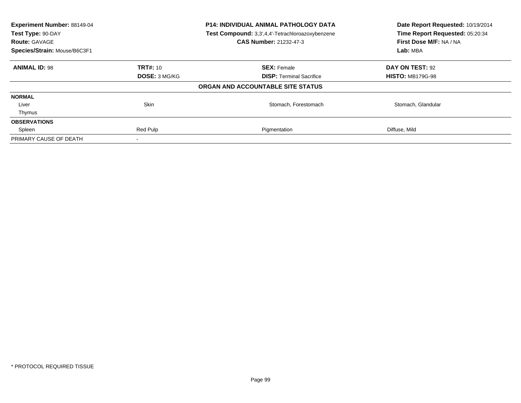| <b>Experiment Number: 88149-04</b><br>P14: INDIVIDUAL ANIMAL PATHOLOGY DATA<br>Test Type: 90-DAY<br>Test Compound: 3,3',4,4'-Tetrachloroazoxybenzene<br><b>CAS Number: 21232-47-3</b><br><b>Route: GAVAGE</b> |                 | Date Report Requested: 10/19/2014<br>Time Report Requested: 05:20:34<br>First Dose M/F: NA / NA |                         |  |
|---------------------------------------------------------------------------------------------------------------------------------------------------------------------------------------------------------------|-----------------|-------------------------------------------------------------------------------------------------|-------------------------|--|
| Species/Strain: Mouse/B6C3F1                                                                                                                                                                                  |                 |                                                                                                 | Lab: MBA                |  |
| <b>ANIMAL ID: 98</b>                                                                                                                                                                                          | <b>TRT#: 10</b> | <b>SEX: Female</b>                                                                              | DAY ON TEST: 92         |  |
|                                                                                                                                                                                                               | DOSE: 3 MG/KG   | <b>DISP:</b> Terminal Sacrifice                                                                 | <b>HISTO: MB179G-98</b> |  |
|                                                                                                                                                                                                               |                 | ORGAN AND ACCOUNTABLE SITE STATUS                                                               |                         |  |
| <b>NORMAL</b>                                                                                                                                                                                                 |                 |                                                                                                 |                         |  |
| Liver                                                                                                                                                                                                         | Skin            | Stomach, Forestomach                                                                            | Stomach, Glandular      |  |
| Thymus                                                                                                                                                                                                        |                 |                                                                                                 |                         |  |
| <b>OBSERVATIONS</b>                                                                                                                                                                                           |                 |                                                                                                 |                         |  |
| Spleen                                                                                                                                                                                                        | Red Pulp        | Pigmentation                                                                                    | Diffuse, Mild           |  |
| PRIMARY CAUSE OF DEATH                                                                                                                                                                                        |                 |                                                                                                 |                         |  |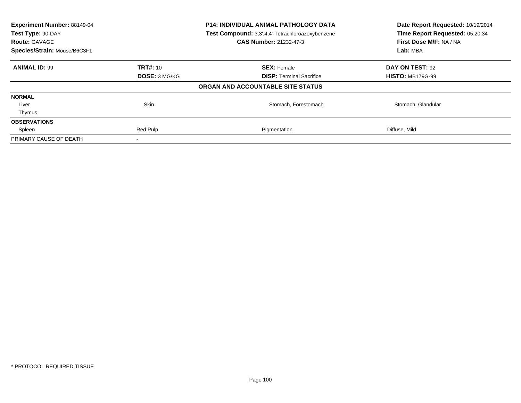| <b>Experiment Number: 88149-04</b><br>P14: INDIVIDUAL ANIMAL PATHOLOGY DATA<br>Test Type: 90-DAY<br>Test Compound: 3,3',4,4'-Tetrachloroazoxybenzene<br><b>CAS Number: 21232-47-3</b><br><b>Route: GAVAGE</b> |                 | Date Report Requested: 10/19/2014<br>Time Report Requested: 05:20:34<br>First Dose M/F: NA / NA |                         |  |
|---------------------------------------------------------------------------------------------------------------------------------------------------------------------------------------------------------------|-----------------|-------------------------------------------------------------------------------------------------|-------------------------|--|
| Species/Strain: Mouse/B6C3F1                                                                                                                                                                                  |                 |                                                                                                 | Lab: MBA                |  |
| <b>ANIMAL ID: 99</b>                                                                                                                                                                                          | <b>TRT#: 10</b> | <b>SEX: Female</b>                                                                              | DAY ON TEST: 92         |  |
|                                                                                                                                                                                                               | DOSE: 3 MG/KG   | <b>DISP:</b> Terminal Sacrifice                                                                 | <b>HISTO: MB179G-99</b> |  |
|                                                                                                                                                                                                               |                 | ORGAN AND ACCOUNTABLE SITE STATUS                                                               |                         |  |
| <b>NORMAL</b>                                                                                                                                                                                                 |                 |                                                                                                 |                         |  |
| Liver                                                                                                                                                                                                         | Skin            | Stomach, Forestomach                                                                            | Stomach, Glandular      |  |
| Thymus                                                                                                                                                                                                        |                 |                                                                                                 |                         |  |
| <b>OBSERVATIONS</b>                                                                                                                                                                                           |                 |                                                                                                 |                         |  |
| Spleen                                                                                                                                                                                                        | Red Pulp        | Pigmentation                                                                                    | Diffuse, Mild           |  |
| PRIMARY CAUSE OF DEATH                                                                                                                                                                                        |                 |                                                                                                 |                         |  |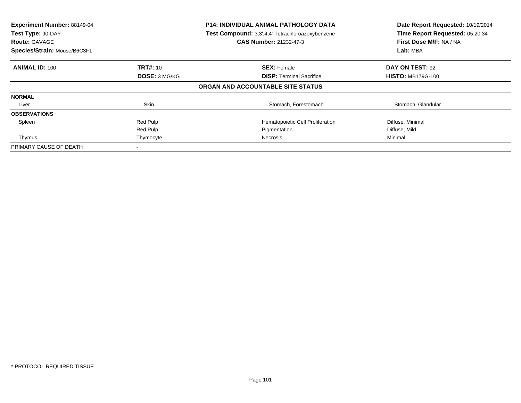| <b>Experiment Number: 88149-04</b><br>Test Type: 90-DAY<br><b>Route: GAVAGE</b><br>Species/Strain: Mouse/B6C3F1 |                 | <b>P14: INDIVIDUAL ANIMAL PATHOLOGY DATA</b><br>Test Compound: 3,3',4,4'-Tetrachloroazoxybenzene<br><b>CAS Number: 21232-47-3</b> | Date Report Requested: 10/19/2014<br>Time Report Requested: 05:20:34<br>First Dose M/F: NA / NA<br>Lab: MBA |
|-----------------------------------------------------------------------------------------------------------------|-----------------|-----------------------------------------------------------------------------------------------------------------------------------|-------------------------------------------------------------------------------------------------------------|
| <b>ANIMAL ID: 100</b>                                                                                           | <b>TRT#: 10</b> | <b>SEX: Female</b>                                                                                                                | DAY ON TEST: 92                                                                                             |
|                                                                                                                 | DOSE: 3 MG/KG   | <b>DISP:</b> Terminal Sacrifice                                                                                                   | <b>HISTO: MB179G-100</b>                                                                                    |
|                                                                                                                 |                 | ORGAN AND ACCOUNTABLE SITE STATUS                                                                                                 |                                                                                                             |
| <b>NORMAL</b>                                                                                                   |                 |                                                                                                                                   |                                                                                                             |
| Liver                                                                                                           | Skin            | Stomach, Forestomach                                                                                                              | Stomach, Glandular                                                                                          |
| <b>OBSERVATIONS</b>                                                                                             |                 |                                                                                                                                   |                                                                                                             |
| Spleen                                                                                                          | Red Pulp        | Hematopoietic Cell Proliferation                                                                                                  | Diffuse, Minimal                                                                                            |
|                                                                                                                 | Red Pulp        | Pigmentation                                                                                                                      | Diffuse, Mild                                                                                               |
| Thymus                                                                                                          | Thymocyte       | Necrosis                                                                                                                          | Minimal                                                                                                     |
| PRIMARY CAUSE OF DEATH                                                                                          |                 |                                                                                                                                   |                                                                                                             |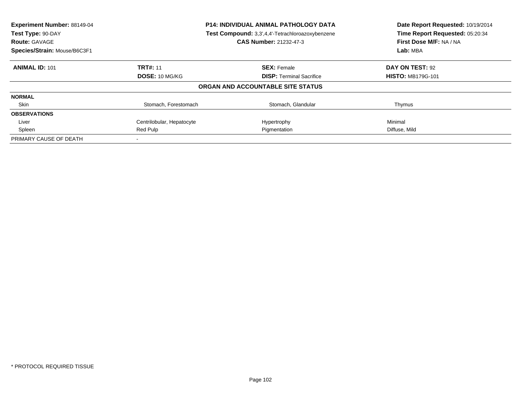| Experiment Number: 88149-04<br>Test Type: 90-DAY<br><b>Route: GAVAGE</b> | <b>P14: INDIVIDUAL ANIMAL PATHOLOGY DATA</b><br>Test Compound: 3,3',4,4'-Tetrachloroazoxybenzene<br>CAS Number: 21232-47-3 |                                   | Date Report Requested: 10/19/2014<br>Time Report Requested: 05:20:34<br>First Dose M/F: NA / NA |
|--------------------------------------------------------------------------|----------------------------------------------------------------------------------------------------------------------------|-----------------------------------|-------------------------------------------------------------------------------------------------|
| Species/Strain: Mouse/B6C3F1                                             |                                                                                                                            |                                   |                                                                                                 |
| <b>ANIMAL ID: 101</b>                                                    | <b>TRT#: 11</b>                                                                                                            | <b>SEX: Female</b>                | DAY ON TEST: 92                                                                                 |
|                                                                          | <b>DOSE: 10 MG/KG</b>                                                                                                      | <b>DISP:</b> Terminal Sacrifice   | <b>HISTO: MB179G-101</b>                                                                        |
|                                                                          |                                                                                                                            | ORGAN AND ACCOUNTABLE SITE STATUS |                                                                                                 |
| <b>NORMAL</b>                                                            |                                                                                                                            |                                   |                                                                                                 |
| Skin                                                                     | Stomach, Forestomach                                                                                                       | Stomach, Glandular                | Thymus                                                                                          |
| <b>OBSERVATIONS</b>                                                      |                                                                                                                            |                                   |                                                                                                 |
| Liver                                                                    | Centrilobular, Hepatocyte                                                                                                  | Hypertrophy                       | Minimal                                                                                         |
| Spleen                                                                   | Red Pulp                                                                                                                   | Pigmentation                      | Diffuse, Mild                                                                                   |
| PRIMARY CAUSE OF DEATH                                                   |                                                                                                                            |                                   |                                                                                                 |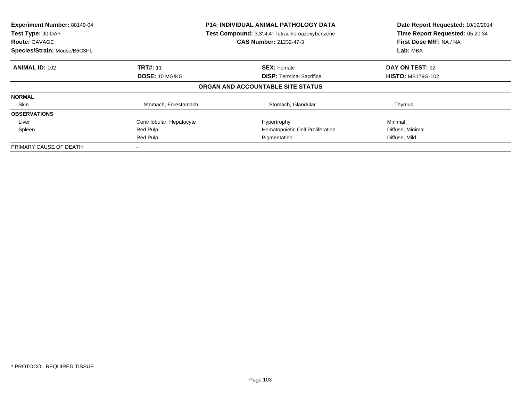| Experiment Number: 88149-04<br>Test Type: 90-DAY<br><b>Route: GAVAGE</b><br>Species/Strain: Mouse/B6C3F1 | <b>P14: INDIVIDUAL ANIMAL PATHOLOGY DATA</b><br>Test Compound: 3,3',4,4'-Tetrachloroazoxybenzene<br><b>CAS Number: 21232-47-3</b> |                                   | Date Report Requested: 10/19/2014<br>Time Report Requested: 05:20:34<br>First Dose M/F: NA / NA<br>Lab: MBA |
|----------------------------------------------------------------------------------------------------------|-----------------------------------------------------------------------------------------------------------------------------------|-----------------------------------|-------------------------------------------------------------------------------------------------------------|
| <b>ANIMAL ID: 102</b>                                                                                    | <b>TRT#: 11</b>                                                                                                                   | <b>SEX: Female</b>                | DAY ON TEST: 92                                                                                             |
|                                                                                                          | DOSE: 10 MG/KG                                                                                                                    | <b>DISP:</b> Terminal Sacrifice   | <b>HISTO: MB179G-102</b>                                                                                    |
|                                                                                                          |                                                                                                                                   | ORGAN AND ACCOUNTABLE SITE STATUS |                                                                                                             |
| <b>NORMAL</b>                                                                                            |                                                                                                                                   |                                   |                                                                                                             |
| Skin                                                                                                     | Stomach, Forestomach                                                                                                              | Stomach, Glandular                | Thymus                                                                                                      |
| <b>OBSERVATIONS</b>                                                                                      |                                                                                                                                   |                                   |                                                                                                             |
| Liver                                                                                                    | Centrilobular, Hepatocyte                                                                                                         | Hypertrophy                       | Minimal                                                                                                     |
| Spleen                                                                                                   | Red Pulp                                                                                                                          | Hematopoietic Cell Proliferation  | Diffuse, Minimal                                                                                            |
|                                                                                                          | Red Pulp                                                                                                                          | Pigmentation                      | Diffuse, Mild                                                                                               |
| PRIMARY CAUSE OF DEATH                                                                                   |                                                                                                                                   |                                   |                                                                                                             |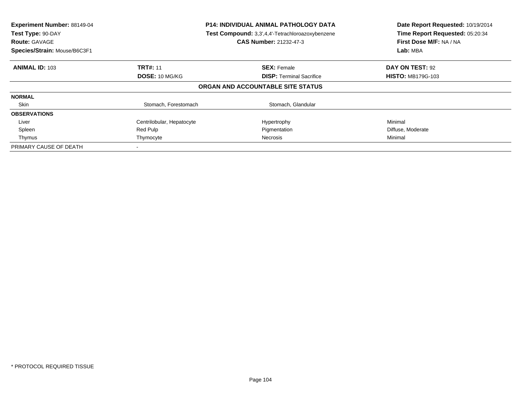| Experiment Number: 88149-04<br>Test Type: 90-DAY<br><b>Route: GAVAGE</b><br>Species/Strain: Mouse/B6C3F1 | <b>P14: INDIVIDUAL ANIMAL PATHOLOGY DATA</b><br>Test Compound: 3,3',4,4'-Tetrachloroazoxybenzene<br><b>CAS Number: 21232-47-3</b> |                                   | Date Report Requested: 10/19/2014<br>Time Report Requested: 05:20:34<br>First Dose M/F: NA / NA<br>Lab: MBA |
|----------------------------------------------------------------------------------------------------------|-----------------------------------------------------------------------------------------------------------------------------------|-----------------------------------|-------------------------------------------------------------------------------------------------------------|
| <b>ANIMAL ID: 103</b>                                                                                    | <b>TRT#: 11</b>                                                                                                                   | <b>SEX: Female</b>                | DAY ON TEST: 92                                                                                             |
|                                                                                                          | DOSE: 10 MG/KG                                                                                                                    | <b>DISP:</b> Terminal Sacrifice   | <b>HISTO: MB179G-103</b>                                                                                    |
|                                                                                                          |                                                                                                                                   | ORGAN AND ACCOUNTABLE SITE STATUS |                                                                                                             |
| <b>NORMAL</b>                                                                                            |                                                                                                                                   |                                   |                                                                                                             |
| Skin                                                                                                     | Stomach, Forestomach                                                                                                              | Stomach, Glandular                |                                                                                                             |
| <b>OBSERVATIONS</b>                                                                                      |                                                                                                                                   |                                   |                                                                                                             |
| Liver                                                                                                    | Centrilobular, Hepatocyte                                                                                                         | Hypertrophy                       | Minimal                                                                                                     |
| Spleen                                                                                                   | Red Pulp                                                                                                                          | Pigmentation                      | Diffuse, Moderate                                                                                           |
| Thymus                                                                                                   | Thymocyte                                                                                                                         | Necrosis                          | Minimal                                                                                                     |
| PRIMARY CAUSE OF DEATH                                                                                   |                                                                                                                                   |                                   |                                                                                                             |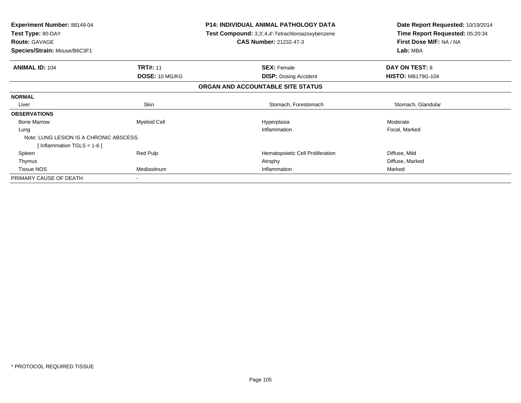| <b>Experiment Number: 88149-04</b><br>Test Type: 90-DAY<br><b>Route: GAVAGE</b> |                       | <b>P14: INDIVIDUAL ANIMAL PATHOLOGY DATA</b><br>Test Compound: 3,3',4,4'-Tetrachloroazoxybenzene<br><b>CAS Number: 21232-47-3</b> | Date Report Requested: 10/19/2014<br>Time Report Requested: 05:20:34<br>First Dose M/F: NA / NA |
|---------------------------------------------------------------------------------|-----------------------|-----------------------------------------------------------------------------------------------------------------------------------|-------------------------------------------------------------------------------------------------|
| Species/Strain: Mouse/B6C3F1                                                    |                       |                                                                                                                                   | Lab: MBA                                                                                        |
| <b>ANIMAL ID: 104</b>                                                           | <b>TRT#: 11</b>       | <b>SEX: Female</b>                                                                                                                | <b>DAY ON TEST: 8</b>                                                                           |
|                                                                                 | <b>DOSE: 10 MG/KG</b> | <b>DISP:</b> Dosing Accident                                                                                                      | <b>HISTO: MB179G-104</b>                                                                        |
|                                                                                 |                       | ORGAN AND ACCOUNTABLE SITE STATUS                                                                                                 |                                                                                                 |
| <b>NORMAL</b>                                                                   |                       |                                                                                                                                   |                                                                                                 |
| Liver                                                                           | Skin                  | Stomach, Forestomach                                                                                                              | Stomach, Glandular                                                                              |
| <b>OBSERVATIONS</b>                                                             |                       |                                                                                                                                   |                                                                                                 |
| <b>Bone Marrow</b>                                                              | <b>Myeloid Cell</b>   | Hyperplasia                                                                                                                       | Moderate                                                                                        |
| Lung                                                                            |                       | Inflammation                                                                                                                      | Focal, Marked                                                                                   |
| Note: LUNG LESION IS A CHRONIC ABSCESS.                                         |                       |                                                                                                                                   |                                                                                                 |
| [Inflammation TGLS = $1-6$ ]                                                    |                       |                                                                                                                                   |                                                                                                 |
| Spleen                                                                          | Red Pulp              | Hematopoietic Cell Proliferation                                                                                                  | Diffuse, Mild                                                                                   |
| Thymus                                                                          |                       | Atrophy                                                                                                                           | Diffuse, Marked                                                                                 |
| <b>Tissue NOS</b>                                                               | Mediastinum           | Inflammation                                                                                                                      | Marked                                                                                          |
| PRIMARY CAUSE OF DEATH                                                          |                       |                                                                                                                                   |                                                                                                 |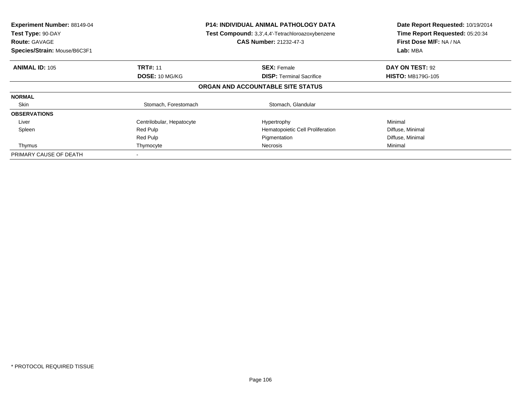| Experiment Number: 88149-04<br>Test Type: 90-DAY<br><b>Route: GAVAGE</b><br>Species/Strain: Mouse/B6C3F1 | <b>P14: INDIVIDUAL ANIMAL PATHOLOGY DATA</b><br>Test Compound: 3,3',4,4'-Tetrachloroazoxybenzene<br>CAS Number: 21232-47-3 |                                   | Date Report Requested: 10/19/2014<br>Time Report Requested: 05:20:34<br>First Dose M/F: NA / NA<br>Lab: MBA |
|----------------------------------------------------------------------------------------------------------|----------------------------------------------------------------------------------------------------------------------------|-----------------------------------|-------------------------------------------------------------------------------------------------------------|
| <b>ANIMAL ID: 105</b>                                                                                    | <b>TRT#: 11</b>                                                                                                            | <b>SEX: Female</b>                | DAY ON TEST: 92                                                                                             |
|                                                                                                          | <b>DOSE: 10 MG/KG</b>                                                                                                      | <b>DISP:</b> Terminal Sacrifice   | <b>HISTO: MB179G-105</b>                                                                                    |
|                                                                                                          |                                                                                                                            | ORGAN AND ACCOUNTABLE SITE STATUS |                                                                                                             |
| <b>NORMAL</b>                                                                                            |                                                                                                                            |                                   |                                                                                                             |
| Skin                                                                                                     | Stomach, Forestomach                                                                                                       | Stomach, Glandular                |                                                                                                             |
| <b>OBSERVATIONS</b>                                                                                      |                                                                                                                            |                                   |                                                                                                             |
| Liver                                                                                                    | Centrilobular, Hepatocyte                                                                                                  | Hypertrophy                       | Minimal                                                                                                     |
| Spleen                                                                                                   | Red Pulp                                                                                                                   | Hematopoietic Cell Proliferation  | Diffuse, Minimal                                                                                            |
|                                                                                                          | Red Pulp                                                                                                                   | Pigmentation                      | Diffuse, Minimal                                                                                            |
| Thymus                                                                                                   | Thymocyte                                                                                                                  | Necrosis                          | Minimal                                                                                                     |
| PRIMARY CAUSE OF DEATH                                                                                   |                                                                                                                            |                                   |                                                                                                             |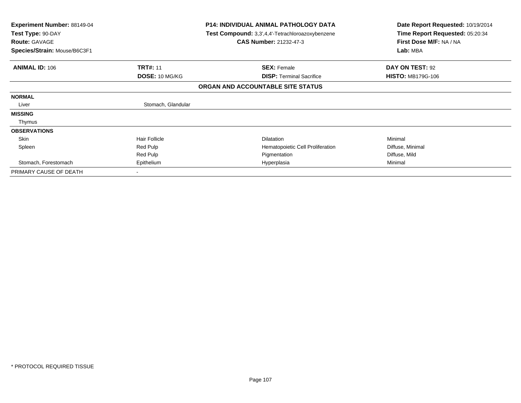| Experiment Number: 88149-04<br>Test Type: 90-DAY<br><b>Route: GAVAGE</b><br>Species/Strain: Mouse/B6C3F1 |                      | <b>P14: INDIVIDUAL ANIMAL PATHOLOGY DATA</b><br>Test Compound: 3,3',4,4'-Tetrachloroazoxybenzene<br><b>CAS Number: 21232-47-3</b> | Date Report Requested: 10/19/2014<br>Time Report Requested: 05:20:34<br>First Dose M/F: NA / NA<br>Lab: MBA |
|----------------------------------------------------------------------------------------------------------|----------------------|-----------------------------------------------------------------------------------------------------------------------------------|-------------------------------------------------------------------------------------------------------------|
| <b>ANIMAL ID: 106</b>                                                                                    | <b>TRT#: 11</b>      | <b>SEX: Female</b>                                                                                                                | DAY ON TEST: 92                                                                                             |
|                                                                                                          | DOSE: 10 MG/KG       | <b>DISP:</b> Terminal Sacrifice                                                                                                   | <b>HISTO: MB179G-106</b>                                                                                    |
|                                                                                                          |                      | ORGAN AND ACCOUNTABLE SITE STATUS                                                                                                 |                                                                                                             |
| <b>NORMAL</b>                                                                                            |                      |                                                                                                                                   |                                                                                                             |
| Liver                                                                                                    | Stomach, Glandular   |                                                                                                                                   |                                                                                                             |
| <b>MISSING</b>                                                                                           |                      |                                                                                                                                   |                                                                                                             |
| Thymus                                                                                                   |                      |                                                                                                                                   |                                                                                                             |
| <b>OBSERVATIONS</b>                                                                                      |                      |                                                                                                                                   |                                                                                                             |
| Skin                                                                                                     | <b>Hair Follicle</b> | <b>Dilatation</b>                                                                                                                 | Minimal                                                                                                     |
| Spleen                                                                                                   | Red Pulp             | Hematopoietic Cell Proliferation                                                                                                  | Diffuse, Minimal                                                                                            |
|                                                                                                          | Red Pulp             | Pigmentation                                                                                                                      | Diffuse, Mild                                                                                               |
| Stomach, Forestomach                                                                                     | Epithelium           | Hyperplasia                                                                                                                       | Minimal                                                                                                     |
| PRIMARY CAUSE OF DEATH                                                                                   |                      |                                                                                                                                   |                                                                                                             |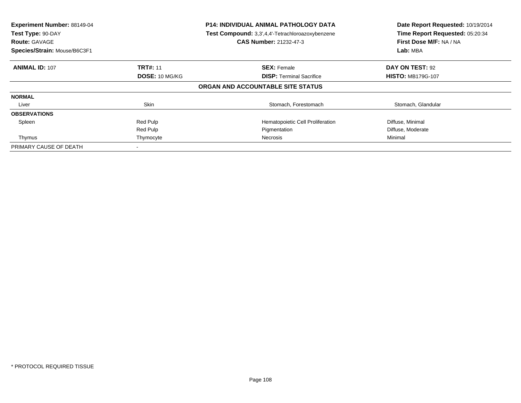| Experiment Number: 88149-04<br>Test Type: 90-DAY<br><b>Route: GAVAGE</b><br>Species/Strain: Mouse/B6C3F1 | <b>P14: INDIVIDUAL ANIMAL PATHOLOGY DATA</b><br>Test Compound: 3,3',4,4'-Tetrachloroazoxybenzene<br><b>CAS Number: 21232-47-3</b> |                                   | Date Report Requested: 10/19/2014<br>Time Report Requested: 05:20:34<br>First Dose M/F: NA / NA<br>Lab: MBA |
|----------------------------------------------------------------------------------------------------------|-----------------------------------------------------------------------------------------------------------------------------------|-----------------------------------|-------------------------------------------------------------------------------------------------------------|
| <b>ANIMAL ID: 107</b>                                                                                    | <b>TRT#: 11</b>                                                                                                                   | <b>SEX: Female</b>                | DAY ON TEST: 92                                                                                             |
|                                                                                                          | <b>DOSE: 10 MG/KG</b>                                                                                                             | <b>DISP:</b> Terminal Sacrifice   | <b>HISTO: MB179G-107</b>                                                                                    |
|                                                                                                          |                                                                                                                                   | ORGAN AND ACCOUNTABLE SITE STATUS |                                                                                                             |
| <b>NORMAL</b>                                                                                            |                                                                                                                                   |                                   |                                                                                                             |
| Liver                                                                                                    | <b>Skin</b>                                                                                                                       | Stomach, Forestomach              | Stomach, Glandular                                                                                          |
| <b>OBSERVATIONS</b>                                                                                      |                                                                                                                                   |                                   |                                                                                                             |
| Spleen                                                                                                   | Red Pulp                                                                                                                          | Hematopoietic Cell Proliferation  | Diffuse, Minimal                                                                                            |
|                                                                                                          | Red Pulp                                                                                                                          | Pigmentation                      | Diffuse, Moderate                                                                                           |
| Thymus                                                                                                   | Thymocyte                                                                                                                         | Necrosis                          | Minimal                                                                                                     |
| PRIMARY CAUSE OF DEATH                                                                                   |                                                                                                                                   |                                   |                                                                                                             |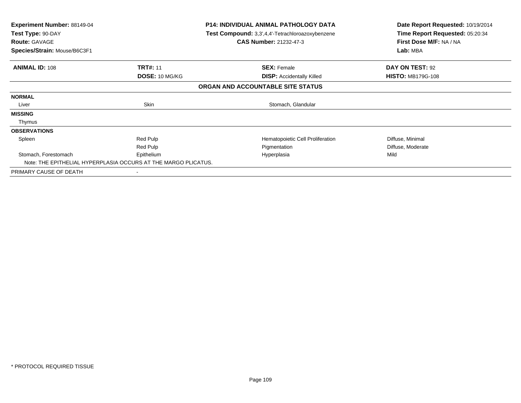| Experiment Number: 88149-04<br>Test Type: 90-DAY<br><b>Route: GAVAGE</b><br>Species/Strain: Mouse/B6C3F1 | <b>P14: INDIVIDUAL ANIMAL PATHOLOGY DATA</b><br>Test Compound: 3,3',4,4'-Tetrachloroazoxybenzene<br><b>CAS Number: 21232-47-3</b> |                                   | Date Report Requested: 10/19/2014<br>Time Report Requested: 05:20:34<br>First Dose M/F: NA / NA<br>Lab: MBA |
|----------------------------------------------------------------------------------------------------------|-----------------------------------------------------------------------------------------------------------------------------------|-----------------------------------|-------------------------------------------------------------------------------------------------------------|
| <b>ANIMAL ID: 108</b>                                                                                    | <b>TRT#: 11</b>                                                                                                                   | <b>SEX: Female</b>                | DAY ON TEST: 92                                                                                             |
|                                                                                                          | DOSE: 10 MG/KG                                                                                                                    | <b>DISP:</b> Accidentally Killed  | <b>HISTO: MB179G-108</b>                                                                                    |
|                                                                                                          |                                                                                                                                   | ORGAN AND ACCOUNTABLE SITE STATUS |                                                                                                             |
| <b>NORMAL</b>                                                                                            |                                                                                                                                   |                                   |                                                                                                             |
| Liver                                                                                                    | Skin                                                                                                                              | Stomach, Glandular                |                                                                                                             |
| <b>MISSING</b>                                                                                           |                                                                                                                                   |                                   |                                                                                                             |
| Thymus                                                                                                   |                                                                                                                                   |                                   |                                                                                                             |
| <b>OBSERVATIONS</b>                                                                                      |                                                                                                                                   |                                   |                                                                                                             |
| Spleen                                                                                                   | Red Pulp                                                                                                                          | Hematopoietic Cell Proliferation  | Diffuse, Minimal                                                                                            |
|                                                                                                          | Red Pulp                                                                                                                          | Pigmentation                      | Diffuse, Moderate                                                                                           |
| Stomach, Forestomach                                                                                     | Epithelium                                                                                                                        | Hyperplasia                       | Mild                                                                                                        |
| Note: THE EPITHELIAL HYPERPLASIA OCCURS AT THE MARGO PLICATUS.                                           |                                                                                                                                   |                                   |                                                                                                             |
| PRIMARY CAUSE OF DEATH                                                                                   |                                                                                                                                   |                                   |                                                                                                             |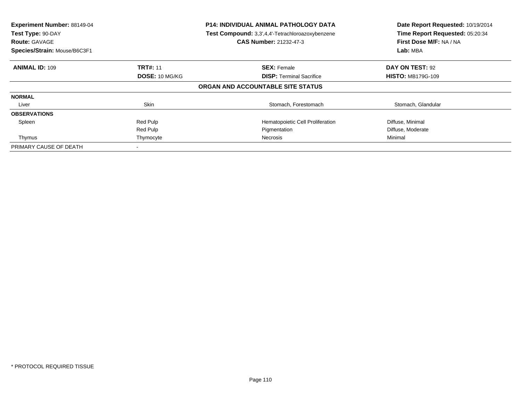| Experiment Number: 88149-04<br>Test Type: 90-DAY<br><b>Route: GAVAGE</b><br>Species/Strain: Mouse/B6C3F1 | <b>P14: INDIVIDUAL ANIMAL PATHOLOGY DATA</b><br>Test Compound: 3,3',4,4'-Tetrachloroazoxybenzene<br><b>CAS Number: 21232-47-3</b> |                                   | Date Report Requested: 10/19/2014<br>Time Report Requested: 05:20:34<br>First Dose M/F: NA / NA<br>Lab: MBA |
|----------------------------------------------------------------------------------------------------------|-----------------------------------------------------------------------------------------------------------------------------------|-----------------------------------|-------------------------------------------------------------------------------------------------------------|
| <b>ANIMAL ID: 109</b>                                                                                    | <b>TRT#: 11</b>                                                                                                                   | <b>SEX: Female</b>                | DAY ON TEST: 92                                                                                             |
|                                                                                                          | <b>DOSE: 10 MG/KG</b>                                                                                                             | <b>DISP:</b> Terminal Sacrifice   | <b>HISTO: MB179G-109</b>                                                                                    |
|                                                                                                          |                                                                                                                                   | ORGAN AND ACCOUNTABLE SITE STATUS |                                                                                                             |
| <b>NORMAL</b>                                                                                            |                                                                                                                                   |                                   |                                                                                                             |
| Liver                                                                                                    | <b>Skin</b>                                                                                                                       | Stomach, Forestomach              | Stomach, Glandular                                                                                          |
| <b>OBSERVATIONS</b>                                                                                      |                                                                                                                                   |                                   |                                                                                                             |
| Spleen                                                                                                   | Red Pulp                                                                                                                          | Hematopoietic Cell Proliferation  | Diffuse, Minimal                                                                                            |
|                                                                                                          | Red Pulp                                                                                                                          | Pigmentation                      | Diffuse, Moderate                                                                                           |
| Thymus                                                                                                   | Thymocyte                                                                                                                         | Necrosis                          | Minimal                                                                                                     |
| PRIMARY CAUSE OF DEATH                                                                                   |                                                                                                                                   |                                   |                                                                                                             |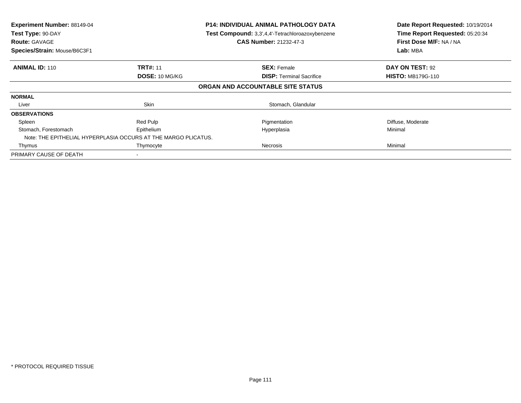| Experiment Number: 88149-04<br>Test Type: 90-DAY<br><b>Route: GAVAGE</b><br>Species/Strain: Mouse/B6C3F1 | <b>P14: INDIVIDUAL ANIMAL PATHOLOGY DATA</b><br>Test Compound: 3,3',4,4'-Tetrachloroazoxybenzene<br><b>CAS Number: 21232-47-3</b> |                                   | Date Report Requested: 10/19/2014<br>Time Report Requested: 05:20:34<br>First Dose M/F: NA / NA<br>Lab: MBA |
|----------------------------------------------------------------------------------------------------------|-----------------------------------------------------------------------------------------------------------------------------------|-----------------------------------|-------------------------------------------------------------------------------------------------------------|
| <b>ANIMAL ID: 110</b>                                                                                    | <b>TRT#: 11</b>                                                                                                                   | <b>SEX: Female</b>                | DAY ON TEST: 92                                                                                             |
|                                                                                                          | DOSE: 10 MG/KG                                                                                                                    | <b>DISP:</b> Terminal Sacrifice   | <b>HISTO: MB179G-110</b>                                                                                    |
|                                                                                                          |                                                                                                                                   | ORGAN AND ACCOUNTABLE SITE STATUS |                                                                                                             |
| <b>NORMAL</b>                                                                                            |                                                                                                                                   |                                   |                                                                                                             |
| Liver                                                                                                    | Skin                                                                                                                              | Stomach, Glandular                |                                                                                                             |
| <b>OBSERVATIONS</b>                                                                                      |                                                                                                                                   |                                   |                                                                                                             |
| Spleen                                                                                                   | Red Pulp                                                                                                                          | Pigmentation                      | Diffuse, Moderate                                                                                           |
| Stomach, Forestomach                                                                                     | Epithelium                                                                                                                        | Hyperplasia                       | Minimal                                                                                                     |
|                                                                                                          | Note: THE EPITHELIAL HYPERPLASIA OCCURS AT THE MARGO PLICATUS.                                                                    |                                   |                                                                                                             |
| Thymus                                                                                                   | Thymocyte                                                                                                                         | Necrosis                          | Minimal                                                                                                     |
| PRIMARY CAUSE OF DEATH                                                                                   |                                                                                                                                   |                                   |                                                                                                             |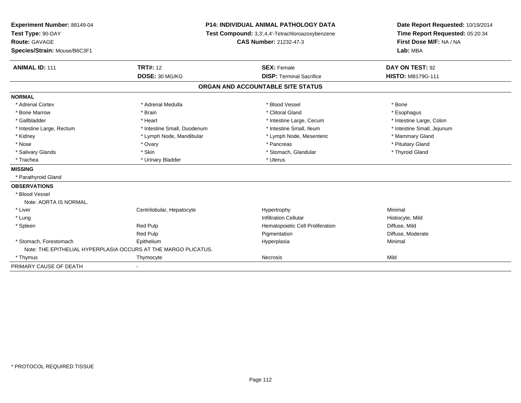| Experiment Number: 88149-04  |                                                                | <b>P14: INDIVIDUAL ANIMAL PATHOLOGY DATA</b>     | Date Report Requested: 10/19/2014 |  |
|------------------------------|----------------------------------------------------------------|--------------------------------------------------|-----------------------------------|--|
| Test Type: 90-DAY            |                                                                | Test Compound: 3,3',4,4'-Tetrachloroazoxybenzene | Time Report Requested: 05:20:34   |  |
| Route: GAVAGE                |                                                                | <b>CAS Number: 21232-47-3</b>                    | First Dose M/F: NA / NA           |  |
| Species/Strain: Mouse/B6C3F1 |                                                                |                                                  | Lab: MBA                          |  |
| <b>ANIMAL ID: 111</b>        | <b>TRT#: 12</b>                                                | <b>SEX: Female</b>                               | DAY ON TEST: 92                   |  |
|                              | DOSE: 30 MG/KG                                                 | <b>DISP: Terminal Sacrifice</b>                  | <b>HISTO: MB179G-111</b>          |  |
|                              |                                                                | ORGAN AND ACCOUNTABLE SITE STATUS                |                                   |  |
| <b>NORMAL</b>                |                                                                |                                                  |                                   |  |
| * Adrenal Cortex             | * Adrenal Medulla                                              | * Blood Vessel                                   | * Bone                            |  |
| * Bone Marrow                | * Brain                                                        | * Clitoral Gland                                 | * Esophagus                       |  |
| * Gallbladder                | * Heart                                                        | * Intestine Large, Cecum                         | * Intestine Large, Colon          |  |
| * Intestine Large, Rectum    | * Intestine Small, Duodenum                                    | * Intestine Small. Ileum                         | * Intestine Small, Jejunum        |  |
| * Kidney                     | * Lymph Node, Mandibular                                       | * Lymph Node, Mesenteric                         | * Mammary Gland                   |  |
| * Nose                       | * Ovary                                                        | * Pancreas                                       | * Pituitary Gland                 |  |
| * Salivary Glands            | * Skin                                                         | * Stomach, Glandular                             | * Thyroid Gland                   |  |
| * Trachea                    | * Urinary Bladder                                              | * Uterus                                         |                                   |  |
| <b>MISSING</b>               |                                                                |                                                  |                                   |  |
| * Parathyroid Gland          |                                                                |                                                  |                                   |  |
| <b>OBSERVATIONS</b>          |                                                                |                                                  |                                   |  |
| * Blood Vessel               |                                                                |                                                  |                                   |  |
| Note: AORTA IS NORMAL.       |                                                                |                                                  |                                   |  |
| * Liver                      | Centrilobular, Hepatocyte                                      | Hypertrophy                                      | Minimal                           |  |
| * Lung                       |                                                                | <b>Infiltration Cellular</b>                     | Histiocyte, Mild                  |  |
| * Spleen                     | <b>Red Pulp</b>                                                | Hematopoietic Cell Proliferation                 | Diffuse, Mild                     |  |
|                              | Red Pulp                                                       | Pigmentation                                     | Diffuse, Moderate                 |  |
| * Stomach, Forestomach       | Epithelium                                                     | Hyperplasia                                      | Minimal                           |  |
|                              | Note: THE EPITHELIAL HYPERPLASIA OCCURS AT THE MARGO PLICATUS. |                                                  |                                   |  |
| * Thymus                     | Thymocyte                                                      | Necrosis                                         | Mild                              |  |
| PRIMARY CAUSE OF DEATH       |                                                                |                                                  |                                   |  |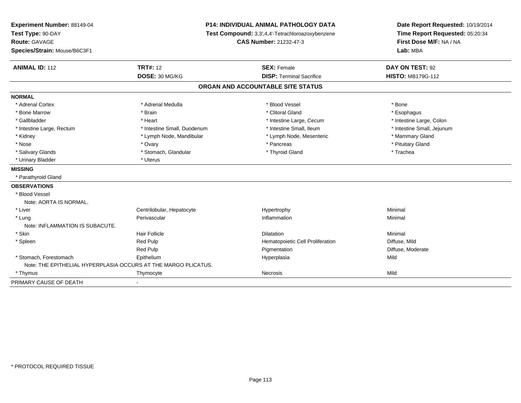| Experiment Number: 88149-04<br>Test Type: 90-DAY<br>Route: GAVAGE<br>Species/Strain: Mouse/B6C3F1 | <b>P14: INDIVIDUAL ANIMAL PATHOLOGY DATA</b><br>Test Compound: 3,3',4,4'-Tetrachloroazoxybenzene<br><b>CAS Number: 21232-47-3</b> |                                   | Date Report Requested: 10/19/2014<br>Time Report Requested: 05:20:34<br>First Dose M/F: NA / NA<br>Lab: MBA |  |
|---------------------------------------------------------------------------------------------------|-----------------------------------------------------------------------------------------------------------------------------------|-----------------------------------|-------------------------------------------------------------------------------------------------------------|--|
| <b>ANIMAL ID: 112</b>                                                                             | <b>TRT#: 12</b>                                                                                                                   | <b>SEX: Female</b>                | DAY ON TEST: 92                                                                                             |  |
|                                                                                                   | DOSE: 30 MG/KG                                                                                                                    | <b>DISP: Terminal Sacrifice</b>   | <b>HISTO: MB179G-112</b>                                                                                    |  |
|                                                                                                   |                                                                                                                                   | ORGAN AND ACCOUNTABLE SITE STATUS |                                                                                                             |  |
| <b>NORMAL</b>                                                                                     |                                                                                                                                   |                                   |                                                                                                             |  |
| * Adrenal Cortex                                                                                  | * Adrenal Medulla                                                                                                                 | * Blood Vessel                    | * Bone                                                                                                      |  |
| * Bone Marrow                                                                                     | * Brain                                                                                                                           | * Clitoral Gland                  | * Esophagus                                                                                                 |  |
| * Gallbladder                                                                                     | * Heart                                                                                                                           | * Intestine Large, Cecum          | * Intestine Large, Colon                                                                                    |  |
| * Intestine Large, Rectum                                                                         | * Intestine Small, Duodenum                                                                                                       | * Intestine Small, Ileum          | * Intestine Small, Jejunum                                                                                  |  |
| * Kidney                                                                                          | * Lymph Node, Mandibular                                                                                                          | * Lymph Node, Mesenteric          | * Mammary Gland                                                                                             |  |
| * Nose                                                                                            | * Ovary                                                                                                                           | * Pancreas                        | * Pituitary Gland                                                                                           |  |
| * Salivary Glands                                                                                 | * Stomach, Glandular                                                                                                              | * Thyroid Gland                   | * Trachea                                                                                                   |  |
| * Urinary Bladder                                                                                 | * Uterus                                                                                                                          |                                   |                                                                                                             |  |
| <b>MISSING</b>                                                                                    |                                                                                                                                   |                                   |                                                                                                             |  |
| * Parathyroid Gland                                                                               |                                                                                                                                   |                                   |                                                                                                             |  |
| <b>OBSERVATIONS</b>                                                                               |                                                                                                                                   |                                   |                                                                                                             |  |
| * Blood Vessel                                                                                    |                                                                                                                                   |                                   |                                                                                                             |  |
| Note: AORTA IS NORMAL.                                                                            |                                                                                                                                   |                                   |                                                                                                             |  |
| * Liver                                                                                           | Centrilobular, Hepatocyte                                                                                                         | Hypertrophy                       | Minimal                                                                                                     |  |
| * Lung<br>Note: INFLAMMATION IS SUBACUTE.                                                         | Perivascular                                                                                                                      | Inflammation                      | Minimal                                                                                                     |  |
| * Skin                                                                                            | <b>Hair Follicle</b>                                                                                                              | <b>Dilatation</b>                 | Minimal                                                                                                     |  |
| * Spleen                                                                                          | <b>Red Pulp</b>                                                                                                                   | Hematopoietic Cell Proliferation  | Diffuse, Mild                                                                                               |  |
|                                                                                                   | <b>Red Pulp</b>                                                                                                                   | Pigmentation                      | Diffuse, Moderate                                                                                           |  |
| * Stomach, Forestomach                                                                            | Epithelium                                                                                                                        | Hyperplasia                       | Mild                                                                                                        |  |
| Note: THE EPITHELIAL HYPERPLASIA OCCURS AT THE MARGO PLICATUS.                                    |                                                                                                                                   |                                   |                                                                                                             |  |
| * Thymus                                                                                          | Thymocyte                                                                                                                         | Necrosis                          | Mild                                                                                                        |  |
| PRIMARY CAUSE OF DEATH                                                                            |                                                                                                                                   |                                   |                                                                                                             |  |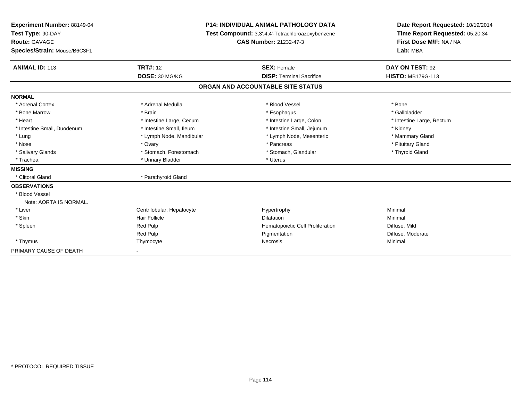| <b>Experiment Number: 88149-04</b><br>Test Type: 90-DAY |                           | <b>P14: INDIVIDUAL ANIMAL PATHOLOGY DATA</b>     | Date Report Requested: 10/19/2014<br>Time Report Requested: 05:20:34 |
|---------------------------------------------------------|---------------------------|--------------------------------------------------|----------------------------------------------------------------------|
|                                                         |                           | Test Compound: 3,3',4,4'-Tetrachloroazoxybenzene |                                                                      |
| <b>Route: GAVAGE</b>                                    |                           | CAS Number: 21232-47-3                           | First Dose M/F: NA / NA                                              |
| Species/Strain: Mouse/B6C3F1                            |                           |                                                  | Lab: MBA                                                             |
| <b>ANIMAL ID: 113</b>                                   | <b>TRT#: 12</b>           | <b>SEX: Female</b>                               | DAY ON TEST: 92                                                      |
|                                                         | DOSE: 30 MG/KG            | <b>DISP: Terminal Sacrifice</b>                  | <b>HISTO: MB179G-113</b>                                             |
|                                                         |                           | ORGAN AND ACCOUNTABLE SITE STATUS                |                                                                      |
| <b>NORMAL</b>                                           |                           |                                                  |                                                                      |
| * Adrenal Cortex                                        | * Adrenal Medulla         | * Blood Vessel                                   | * Bone                                                               |
| * Bone Marrow                                           | * Brain                   | * Esophagus                                      | * Gallbladder                                                        |
| * Heart                                                 | * Intestine Large, Cecum  | * Intestine Large, Colon                         | * Intestine Large, Rectum                                            |
| * Intestine Small, Duodenum                             | * Intestine Small, Ileum  | * Intestine Small, Jejunum                       | * Kidney                                                             |
| * Lung                                                  | * Lymph Node, Mandibular  | * Lymph Node, Mesenteric                         | * Mammary Gland                                                      |
| * Nose                                                  | * Ovary                   | * Pancreas                                       | * Pituitary Gland                                                    |
| * Salivary Glands                                       | * Stomach, Forestomach    | * Stomach, Glandular                             | * Thyroid Gland                                                      |
| * Trachea                                               | * Urinary Bladder         | * Uterus                                         |                                                                      |
| <b>MISSING</b>                                          |                           |                                                  |                                                                      |
| * Clitoral Gland                                        | * Parathyroid Gland       |                                                  |                                                                      |
| <b>OBSERVATIONS</b>                                     |                           |                                                  |                                                                      |
| * Blood Vessel                                          |                           |                                                  |                                                                      |
| Note: AORTA IS NORMAL.                                  |                           |                                                  |                                                                      |
| * Liver                                                 | Centrilobular, Hepatocyte | Hypertrophy                                      | Minimal                                                              |
| * Skin                                                  | Hair Follicle             | <b>Dilatation</b>                                | Minimal                                                              |
| * Spleen                                                | Red Pulp                  | Hematopoietic Cell Proliferation                 | Diffuse, Mild                                                        |
|                                                         | Red Pulp                  | Pigmentation                                     | Diffuse, Moderate                                                    |
| * Thymus                                                | Thymocyte                 | Necrosis                                         | Minimal                                                              |
| PRIMARY CAUSE OF DEATH                                  |                           |                                                  |                                                                      |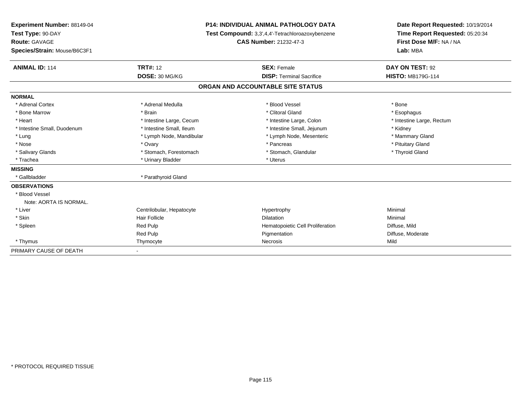| <b>Experiment Number: 88149-04</b><br>Test Type: 90-DAY |                           | <b>P14: INDIVIDUAL ANIMAL PATHOLOGY DATA</b>     | Date Report Requested: 10/19/2014<br>Time Report Requested: 05:20:34 |
|---------------------------------------------------------|---------------------------|--------------------------------------------------|----------------------------------------------------------------------|
|                                                         |                           | Test Compound: 3,3',4,4'-Tetrachloroazoxybenzene |                                                                      |
| <b>Route: GAVAGE</b>                                    |                           | CAS Number: 21232-47-3                           | First Dose M/F: NA / NA                                              |
| Species/Strain: Mouse/B6C3F1                            |                           |                                                  | Lab: MBA                                                             |
| <b>ANIMAL ID: 114</b>                                   | <b>TRT#: 12</b>           | <b>SEX: Female</b>                               | DAY ON TEST: 92                                                      |
|                                                         | DOSE: 30 MG/KG            | <b>DISP: Terminal Sacrifice</b>                  | <b>HISTO: MB179G-114</b>                                             |
|                                                         |                           | ORGAN AND ACCOUNTABLE SITE STATUS                |                                                                      |
| <b>NORMAL</b>                                           |                           |                                                  |                                                                      |
| * Adrenal Cortex                                        | * Adrenal Medulla         | * Blood Vessel                                   | * Bone                                                               |
| * Bone Marrow                                           | * Brain                   | * Clitoral Gland                                 | * Esophagus                                                          |
| * Heart                                                 | * Intestine Large, Cecum  | * Intestine Large, Colon                         | * Intestine Large, Rectum                                            |
| * Intestine Small, Duodenum                             | * Intestine Small, Ileum  | * Intestine Small, Jejunum                       | * Kidney                                                             |
| * Lung                                                  | * Lymph Node, Mandibular  | * Lymph Node, Mesenteric                         | * Mammary Gland                                                      |
| * Nose                                                  | * Ovary                   | * Pancreas                                       | * Pituitary Gland                                                    |
| * Salivary Glands                                       | * Stomach, Forestomach    | * Stomach, Glandular                             | * Thyroid Gland                                                      |
| * Trachea                                               | * Urinary Bladder         | * Uterus                                         |                                                                      |
| <b>MISSING</b>                                          |                           |                                                  |                                                                      |
| * Gallbladder                                           | * Parathyroid Gland       |                                                  |                                                                      |
| <b>OBSERVATIONS</b>                                     |                           |                                                  |                                                                      |
| * Blood Vessel                                          |                           |                                                  |                                                                      |
| Note: AORTA IS NORMAL.                                  |                           |                                                  |                                                                      |
| * Liver                                                 | Centrilobular, Hepatocyte | Hypertrophy                                      | Minimal                                                              |
| * Skin                                                  | Hair Follicle             | <b>Dilatation</b>                                | Minimal                                                              |
| * Spleen                                                | Red Pulp                  | Hematopoietic Cell Proliferation                 | Diffuse, Mild                                                        |
|                                                         | Red Pulp                  | Pigmentation                                     | Diffuse, Moderate                                                    |
| * Thymus                                                | Thymocyte                 | Necrosis                                         | Mild                                                                 |
| PRIMARY CAUSE OF DEATH                                  |                           |                                                  |                                                                      |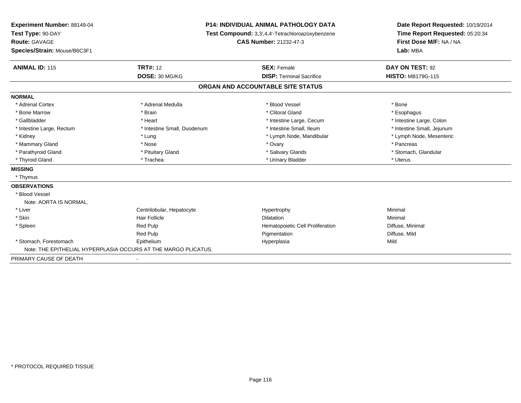| <b>Experiment Number: 88149-04</b>                             | <b>P14: INDIVIDUAL ANIMAL PATHOLOGY DATA</b> |                                                  | Date Report Requested: 10/19/2014 |
|----------------------------------------------------------------|----------------------------------------------|--------------------------------------------------|-----------------------------------|
| Test Type: 90-DAY                                              |                                              | Test Compound: 3,3',4,4'-Tetrachloroazoxybenzene | Time Report Requested: 05:20:34   |
| Route: GAVAGE                                                  |                                              | <b>CAS Number: 21232-47-3</b>                    | First Dose M/F: NA / NA           |
| Species/Strain: Mouse/B6C3F1                                   |                                              |                                                  | Lab: MBA                          |
| <b>ANIMAL ID: 115</b>                                          | <b>TRT#: 12</b>                              | <b>SEX: Female</b>                               | DAY ON TEST: 92                   |
|                                                                | DOSE: 30 MG/KG                               | <b>DISP: Terminal Sacrifice</b>                  | <b>HISTO: MB179G-115</b>          |
|                                                                |                                              | ORGAN AND ACCOUNTABLE SITE STATUS                |                                   |
| <b>NORMAL</b>                                                  |                                              |                                                  |                                   |
| * Adrenal Cortex                                               | * Adrenal Medulla                            | * Blood Vessel                                   | * Bone                            |
| * Bone Marrow                                                  | * Brain                                      | * Clitoral Gland                                 | * Esophagus                       |
| * Gallbladder                                                  | * Heart                                      | * Intestine Large, Cecum                         | * Intestine Large, Colon          |
| * Intestine Large, Rectum                                      | * Intestine Small, Duodenum                  | * Intestine Small, Ileum                         | * Intestine Small, Jejunum        |
| * Kidney                                                       | * Lung                                       | * Lymph Node, Mandibular                         | * Lymph Node, Mesenteric          |
| * Mammary Gland                                                | * Nose                                       | * Ovary                                          | * Pancreas                        |
| * Parathyroid Gland                                            | * Pituitary Gland                            | * Salivary Glands                                | * Stomach, Glandular              |
| * Thyroid Gland                                                | * Trachea                                    | * Urinary Bladder                                | * Uterus                          |
| <b>MISSING</b>                                                 |                                              |                                                  |                                   |
| * Thymus                                                       |                                              |                                                  |                                   |
| <b>OBSERVATIONS</b>                                            |                                              |                                                  |                                   |
| * Blood Vessel                                                 |                                              |                                                  |                                   |
| Note: AORTA IS NORMAL.                                         |                                              |                                                  |                                   |
| * Liver                                                        | Centrilobular, Hepatocyte                    | Hypertrophy                                      | Minimal                           |
| * Skin                                                         | Hair Follicle                                | <b>Dilatation</b>                                | Minimal                           |
| * Spleen                                                       | Red Pulp                                     | Hematopoietic Cell Proliferation                 | Diffuse, Minimal                  |
|                                                                | Red Pulp                                     | Pigmentation                                     | Diffuse, Mild                     |
| * Stomach, Forestomach                                         | Epithelium                                   | Hyperplasia                                      | Mild                              |
| Note: THE EPITHELIAL HYPERPLASIA OCCURS AT THE MARGO PLICATUS. |                                              |                                                  |                                   |
| PRIMARY CAUSE OF DEATH                                         |                                              |                                                  |                                   |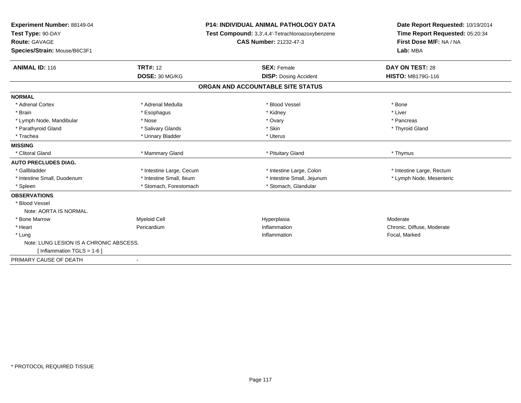| Experiment Number: 88149-04<br>Test Type: 90-DAY<br><b>Route: GAVAGE</b><br><b>CAS Number: 21232-47-3</b> |                          | <b>P14: INDIVIDUAL ANIMAL PATHOLOGY DATA</b>     | Date Report Requested: 10/19/2014 |  |
|-----------------------------------------------------------------------------------------------------------|--------------------------|--------------------------------------------------|-----------------------------------|--|
|                                                                                                           |                          | Test Compound: 3,3',4,4'-Tetrachloroazoxybenzene | Time Report Requested: 05:20:34   |  |
|                                                                                                           |                          |                                                  | First Dose M/F: NA / NA           |  |
| Species/Strain: Mouse/B6C3F1                                                                              |                          |                                                  | Lab: MBA                          |  |
| <b>ANIMAL ID: 116</b>                                                                                     | <b>TRT#: 12</b>          | <b>SEX: Female</b>                               | DAY ON TEST: 28                   |  |
|                                                                                                           | DOSE: 30 MG/KG           | <b>DISP:</b> Dosing Accident                     | <b>HISTO: MB179G-116</b>          |  |
|                                                                                                           |                          | ORGAN AND ACCOUNTABLE SITE STATUS                |                                   |  |
| <b>NORMAL</b>                                                                                             |                          |                                                  |                                   |  |
| * Adrenal Cortex                                                                                          | * Adrenal Medulla        | * Blood Vessel                                   | * Bone                            |  |
| * Brain                                                                                                   | * Esophagus              | * Kidney                                         | * Liver                           |  |
| * Lymph Node, Mandibular                                                                                  | * Nose                   | * Ovary                                          | * Pancreas                        |  |
| * Parathyroid Gland                                                                                       | * Salivary Glands        | * Skin                                           | * Thyroid Gland                   |  |
| * Trachea                                                                                                 | * Urinary Bladder        | * Uterus                                         |                                   |  |
| <b>MISSING</b>                                                                                            |                          |                                                  |                                   |  |
| * Clitoral Gland                                                                                          | * Mammary Gland          | * Pituitary Gland                                | * Thymus                          |  |
| <b>AUTO PRECLUDES DIAG.</b>                                                                               |                          |                                                  |                                   |  |
| * Gallbladder                                                                                             | * Intestine Large, Cecum | * Intestine Large, Colon                         | * Intestine Large, Rectum         |  |
| * Intestine Small, Duodenum                                                                               | * Intestine Small, Ileum | * Intestine Small, Jejunum                       | * Lymph Node, Mesenteric          |  |
| * Spleen                                                                                                  | * Stomach, Forestomach   | * Stomach, Glandular                             |                                   |  |
| <b>OBSERVATIONS</b>                                                                                       |                          |                                                  |                                   |  |
| * Blood Vessel                                                                                            |                          |                                                  |                                   |  |
| Note: AORTA IS NORMAL.                                                                                    |                          |                                                  |                                   |  |
| * Bone Marrow                                                                                             | <b>Myeloid Cell</b>      | Hyperplasia                                      | Moderate                          |  |
| * Heart                                                                                                   | Pericardium              | Inflammation                                     | Chronic, Diffuse, Moderate        |  |
| * Lung                                                                                                    |                          | Inflammation                                     | Focal, Marked                     |  |
| Note: LUNG LESION IS A CHRONIC ABSCESS.                                                                   |                          |                                                  |                                   |  |
| [Inflammation TGLS = 1-6]                                                                                 |                          |                                                  |                                   |  |
| PRIMARY CAUSE OF DEATH                                                                                    |                          |                                                  |                                   |  |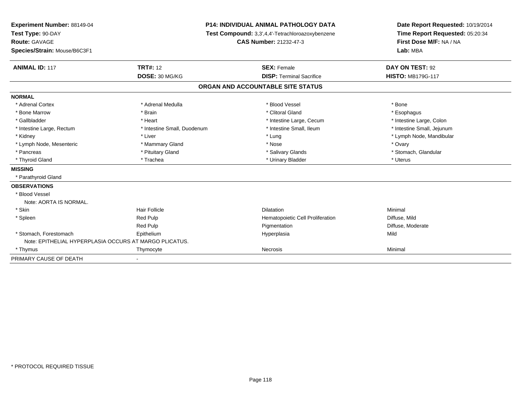| Experiment Number: 88149-04<br>Test Type: 90-DAY<br>Route: GAVAGE<br>Species/Strain: Mouse/B6C3F1 |                             | <b>P14: INDIVIDUAL ANIMAL PATHOLOGY DATA</b><br>Test Compound: 3,3',4,4'-Tetrachloroazoxybenzene<br><b>CAS Number: 21232-47-3</b> | Date Report Requested: 10/19/2014<br>Time Report Requested: 05:20:34<br>First Dose M/F: NA / NA<br>Lab: MBA |  |
|---------------------------------------------------------------------------------------------------|-----------------------------|-----------------------------------------------------------------------------------------------------------------------------------|-------------------------------------------------------------------------------------------------------------|--|
| <b>ANIMAL ID: 117</b>                                                                             | <b>TRT#: 12</b>             | <b>SEX: Female</b>                                                                                                                | DAY ON TEST: 92                                                                                             |  |
|                                                                                                   | DOSE: 30 MG/KG              | <b>DISP: Terminal Sacrifice</b>                                                                                                   | <b>HISTO: MB179G-117</b>                                                                                    |  |
|                                                                                                   |                             | ORGAN AND ACCOUNTABLE SITE STATUS                                                                                                 |                                                                                                             |  |
| <b>NORMAL</b>                                                                                     |                             |                                                                                                                                   |                                                                                                             |  |
| * Adrenal Cortex                                                                                  | * Adrenal Medulla           | * Blood Vessel                                                                                                                    | * Bone                                                                                                      |  |
| * Bone Marrow                                                                                     | * Brain                     | * Clitoral Gland                                                                                                                  | * Esophagus                                                                                                 |  |
| * Gallbladder                                                                                     | * Heart                     | * Intestine Large, Cecum                                                                                                          | * Intestine Large, Colon                                                                                    |  |
| * Intestine Large, Rectum                                                                         | * Intestine Small, Duodenum | * Intestine Small, Ileum                                                                                                          | * Intestine Small, Jejunum                                                                                  |  |
| * Kidney                                                                                          | * Liver                     | * Lung                                                                                                                            | * Lymph Node, Mandibular                                                                                    |  |
| * Lymph Node, Mesenteric                                                                          | * Mammary Gland             | * Nose                                                                                                                            | * Ovary                                                                                                     |  |
| * Pancreas                                                                                        | * Pituitary Gland           | * Salivary Glands                                                                                                                 | * Stomach, Glandular                                                                                        |  |
| * Thyroid Gland                                                                                   | * Trachea                   | * Urinary Bladder                                                                                                                 | * Uterus                                                                                                    |  |
| <b>MISSING</b>                                                                                    |                             |                                                                                                                                   |                                                                                                             |  |
| * Parathyroid Gland                                                                               |                             |                                                                                                                                   |                                                                                                             |  |
| <b>OBSERVATIONS</b>                                                                               |                             |                                                                                                                                   |                                                                                                             |  |
| * Blood Vessel                                                                                    |                             |                                                                                                                                   |                                                                                                             |  |
| Note: AORTA IS NORMAL.                                                                            |                             |                                                                                                                                   |                                                                                                             |  |
| * Skin                                                                                            | <b>Hair Follicle</b>        | <b>Dilatation</b>                                                                                                                 | Minimal                                                                                                     |  |
| * Spleen                                                                                          | <b>Red Pulp</b>             | Hematopoietic Cell Proliferation                                                                                                  | Diffuse, Mild                                                                                               |  |
|                                                                                                   | Red Pulp                    | Pigmentation                                                                                                                      | Diffuse, Moderate                                                                                           |  |
| * Stomach, Forestomach                                                                            | Epithelium                  | Hyperplasia                                                                                                                       | Mild                                                                                                        |  |
| Note: EPITHELIAL HYPERPLASIA OCCURS AT MARGO PLICATUS.                                            |                             |                                                                                                                                   |                                                                                                             |  |
| * Thymus                                                                                          | Thymocyte                   | Necrosis                                                                                                                          | Minimal                                                                                                     |  |
| PRIMARY CAUSE OF DEATH                                                                            |                             |                                                                                                                                   |                                                                                                             |  |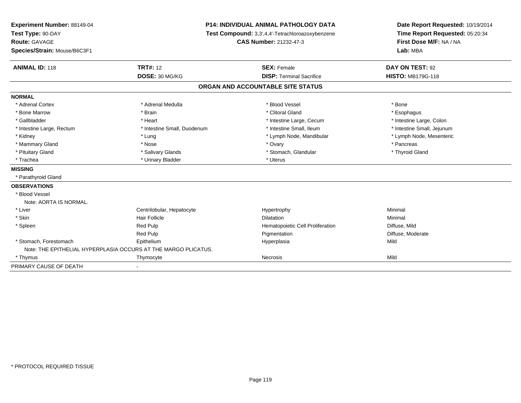| Experiment Number: 88149-04  |                                                                | <b>P14: INDIVIDUAL ANIMAL PATHOLOGY DATA</b>     | Date Report Requested: 10/19/2014 |  |
|------------------------------|----------------------------------------------------------------|--------------------------------------------------|-----------------------------------|--|
| Test Type: 90-DAY            |                                                                | Test Compound: 3,3',4,4'-Tetrachloroazoxybenzene | Time Report Requested: 05:20:34   |  |
| Route: GAVAGE                |                                                                | <b>CAS Number: 21232-47-3</b>                    | First Dose M/F: NA / NA           |  |
| Species/Strain: Mouse/B6C3F1 |                                                                |                                                  | Lab: MBA                          |  |
| <b>ANIMAL ID: 118</b>        | <b>TRT#: 12</b>                                                | <b>SEX: Female</b>                               | DAY ON TEST: 92                   |  |
|                              | DOSE: 30 MG/KG                                                 | <b>DISP: Terminal Sacrifice</b>                  | <b>HISTO: MB179G-118</b>          |  |
|                              |                                                                | ORGAN AND ACCOUNTABLE SITE STATUS                |                                   |  |
| <b>NORMAL</b>                |                                                                |                                                  |                                   |  |
| * Adrenal Cortex             | * Adrenal Medulla                                              | * Blood Vessel                                   | * Bone                            |  |
| * Bone Marrow                | * Brain                                                        | * Clitoral Gland                                 | * Esophagus                       |  |
| * Gallbladder                | * Heart                                                        | * Intestine Large, Cecum                         | * Intestine Large, Colon          |  |
| * Intestine Large, Rectum    | * Intestine Small, Duodenum                                    | * Intestine Small, Ileum                         | * Intestine Small, Jejunum        |  |
| * Kidney                     | * Lung                                                         | * Lymph Node, Mandibular                         | * Lymph Node, Mesenteric          |  |
| * Mammary Gland              | * Nose                                                         | * Ovary                                          | * Pancreas                        |  |
| * Pituitary Gland            | * Salivary Glands                                              | * Stomach, Glandular                             | * Thyroid Gland                   |  |
| * Trachea                    | * Urinary Bladder                                              | * Uterus                                         |                                   |  |
| <b>MISSING</b>               |                                                                |                                                  |                                   |  |
| * Parathyroid Gland          |                                                                |                                                  |                                   |  |
| <b>OBSERVATIONS</b>          |                                                                |                                                  |                                   |  |
| * Blood Vessel               |                                                                |                                                  |                                   |  |
| Note: AORTA IS NORMAL.       |                                                                |                                                  |                                   |  |
| * Liver                      | Centrilobular, Hepatocyte                                      | Hypertrophy                                      | Minimal                           |  |
| * Skin                       | Hair Follicle                                                  | <b>Dilatation</b>                                | Minimal                           |  |
| * Spleen                     | Red Pulp                                                       | Hematopoietic Cell Proliferation                 | Diffuse, Mild                     |  |
|                              | Red Pulp                                                       | Pigmentation                                     | Diffuse, Moderate                 |  |
| * Stomach, Forestomach       | Epithelium                                                     | Hyperplasia                                      | Mild                              |  |
|                              | Note: THE EPITHELIAL HYPERPLASIA OCCURS AT THE MARGO PLICATUS. |                                                  |                                   |  |
| * Thymus                     | Thymocyte                                                      | Necrosis                                         | Mild                              |  |
| PRIMARY CAUSE OF DEATH       |                                                                |                                                  |                                   |  |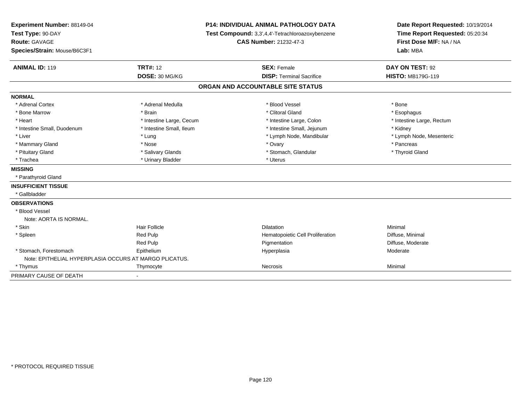| Experiment Number: 88149-04<br>Test Type: 90-DAY<br>Route: GAVAGE<br>Species/Strain: Mouse/B6C3F1 | <b>P14: INDIVIDUAL ANIMAL PATHOLOGY DATA</b><br>Test Compound: 3,3',4,4'-Tetrachloroazoxybenzene<br>CAS Number: 21232-47-3 |                                   | Date Report Requested: 10/19/2014<br>Time Report Requested: 05:20:34<br>First Dose M/F: NA / NA<br>Lab: MBA |  |
|---------------------------------------------------------------------------------------------------|----------------------------------------------------------------------------------------------------------------------------|-----------------------------------|-------------------------------------------------------------------------------------------------------------|--|
| <b>ANIMAL ID: 119</b>                                                                             | <b>TRT#: 12</b>                                                                                                            | <b>SEX: Female</b>                | DAY ON TEST: 92                                                                                             |  |
|                                                                                                   | DOSE: 30 MG/KG                                                                                                             | <b>DISP: Terminal Sacrifice</b>   | <b>HISTO: MB179G-119</b>                                                                                    |  |
|                                                                                                   |                                                                                                                            | ORGAN AND ACCOUNTABLE SITE STATUS |                                                                                                             |  |
| <b>NORMAL</b>                                                                                     |                                                                                                                            |                                   |                                                                                                             |  |
| * Adrenal Cortex                                                                                  | * Adrenal Medulla                                                                                                          | * Blood Vessel                    | * Bone                                                                                                      |  |
| * Bone Marrow                                                                                     | * Brain                                                                                                                    | * Clitoral Gland                  | * Esophagus                                                                                                 |  |
| * Heart                                                                                           | * Intestine Large, Cecum                                                                                                   | * Intestine Large, Colon          | * Intestine Large, Rectum                                                                                   |  |
| * Intestine Small, Duodenum                                                                       | * Intestine Small, Ileum                                                                                                   | * Intestine Small, Jejunum        | * Kidney                                                                                                    |  |
| * Liver                                                                                           | * Lung                                                                                                                     | * Lymph Node, Mandibular          | * Lymph Node, Mesenteric                                                                                    |  |
| * Mammary Gland                                                                                   | * Nose                                                                                                                     | * Ovary                           | * Pancreas                                                                                                  |  |
| * Pituitary Gland                                                                                 | * Salivary Glands                                                                                                          | * Stomach, Glandular              | * Thyroid Gland                                                                                             |  |
| * Trachea                                                                                         | * Urinary Bladder                                                                                                          | * Uterus                          |                                                                                                             |  |
| <b>MISSING</b>                                                                                    |                                                                                                                            |                                   |                                                                                                             |  |
| * Parathyroid Gland                                                                               |                                                                                                                            |                                   |                                                                                                             |  |
| <b>INSUFFICIENT TISSUE</b>                                                                        |                                                                                                                            |                                   |                                                                                                             |  |
| * Gallbladder                                                                                     |                                                                                                                            |                                   |                                                                                                             |  |
| <b>OBSERVATIONS</b>                                                                               |                                                                                                                            |                                   |                                                                                                             |  |
| * Blood Vessel                                                                                    |                                                                                                                            |                                   |                                                                                                             |  |
| Note: AORTA IS NORMAL.                                                                            |                                                                                                                            |                                   |                                                                                                             |  |
| * Skin                                                                                            | <b>Hair Follicle</b>                                                                                                       | <b>Dilatation</b>                 | Minimal                                                                                                     |  |
| * Spleen                                                                                          | <b>Red Pulp</b>                                                                                                            | Hematopoietic Cell Proliferation  | Diffuse, Minimal                                                                                            |  |
|                                                                                                   | Red Pulp                                                                                                                   | Pigmentation                      | Diffuse, Moderate                                                                                           |  |
| * Stomach, Forestomach                                                                            | Epithelium                                                                                                                 | Hyperplasia                       | Moderate                                                                                                    |  |
| Note: EPITHELIAL HYPERPLASIA OCCURS AT MARGO PLICATUS.                                            |                                                                                                                            |                                   |                                                                                                             |  |
| * Thymus                                                                                          | Thymocyte                                                                                                                  | Necrosis                          | Minimal                                                                                                     |  |
| PRIMARY CAUSE OF DEATH                                                                            | $\blacksquare$                                                                                                             |                                   |                                                                                                             |  |